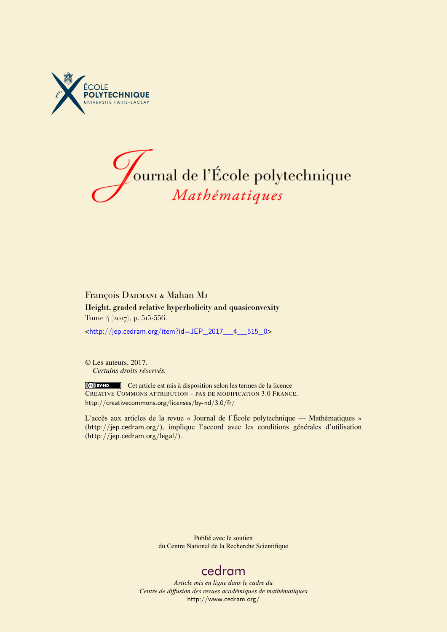



## François DAHMANI & Mahan MJ **Height, graded relative hyperbolicity and quasiconvexity** Tome 4 (2017), p. 515-556.

<[http://jep.cedram.org/item?id=JEP\\_2017\\_\\_4\\_\\_515\\_0](http://jep.cedram.org/item?id=JEP_2017__4__515_0)>

© Les auteurs, 2017. *Certains droits réservés.*

Cet article est mis à disposition selon les termes de la licence CREATIVE COMMONS ATTRIBUTION – PAS DE MODIFICATION 3.0 FRANCE. <http://creativecommons.org/licenses/by-nd/3.0/fr/>

L'accès aux articles de la revue « Journal de l'École polytechnique — Mathématiques » (<http://jep.cedram.org/>), implique l'accord avec les conditions générales d'utilisation (<http://jep.cedram.org/legal/>).

> Publié avec le soutien du Centre National de la Recherche Scientifique

## [cedram](http://www.cedram.org/)

*Article mis en ligne dans le cadre du Centre de diffusion des revues académiques de mathématiques* <http://www.cedram.org/>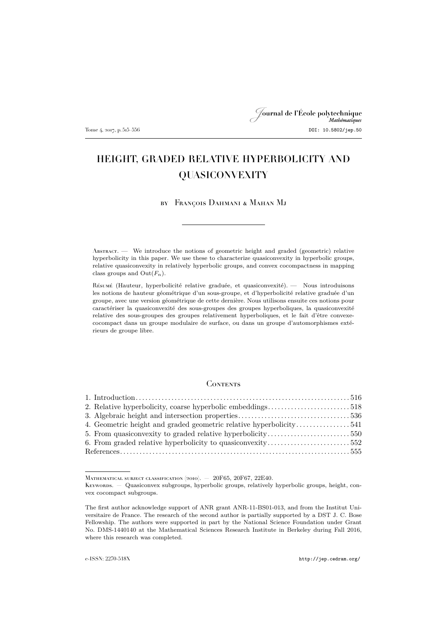# Journal de l'École polytechnique Tome 4, 2017, p. 515–556 DOI: 10.5802/jep.50

## HEIGHT, GRADED RELATIVE HYPERBOLICITY AND QUASICONVEXITY

by François Dahmani & Mahan Mj

Abstract. — We introduce the notions of geometric height and graded (geometric) relative hyperbolicity in this paper. We use these to characterize quasiconvexity in hyperbolic groups, relative quasiconvexity in relatively hyperbolic groups, and convex cocompactness in mapping class groups and  $Out(F_n)$ .

Résumé (Hauteur, hyperbolicité relative graduée, et quasiconvexité). — Nous introduisons les notions de hauteur géométrique d'un sous-groupe, et d'hyperbolicité relative graduée d'un groupe, avec une version géométrique de cette dernière. Nous utilisons ensuite ces notions pour caractériser la quasiconvexité des sous-groupes des groupes hyperboliques, la quasiconvexité relative des sous-groupes des groupes relativement hyperboliques, et le fait d'être convexecocompact dans un groupe modulaire de surface, ou dans un groupe d'automorphismes extérieurs de groupe libre.

### CONTENTS

| 2. Relative hyperbolicity, coarse hyperbolic embeddings518         |  |
|--------------------------------------------------------------------|--|
|                                                                    |  |
| 4. Geometric height and graded geometric relative hyperbolicity541 |  |
|                                                                    |  |
| 6. From graded relative hyperbolicity to quasiconvexity552         |  |
|                                                                    |  |

MATHEMATICAL SUBJECT CLASSIFICATION (2010). - 20F65, 20F67, 22E40.

Keywords. — Quasiconvex subgroups, hyperbolic groups, relatively hyperbolic groups, height, convex cocompact subgroups.

The first author acknowledge support of ANR grant ANR-11-BS01-013, and from the Institut Universitaire de France. The research of the second author is partially supported by a DST J. C. Bose Fellowship. The authors were supported in part by the National Science Foundation under Grant No. DMS-1440140 at the Mathematical Sciences Research Institute in Berkeley during Fall 2016, where this research was completed.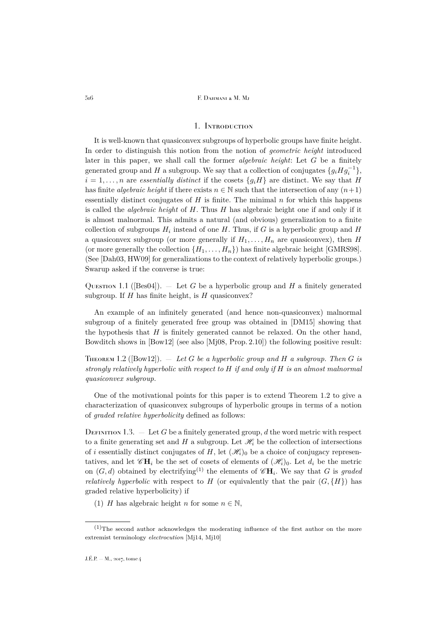## 1. Introduction

<span id="page-2-0"></span>It is well-known that quasiconvex subgroups of hyperbolic groups have finite height. In order to distinguish this notion from the notion of *geometric height* introduced later in this paper, we shall call the former *algebraic height*: Let G be a finitely generated group and H a subgroup. We say that a collection of conjugates  $\{g_i H g_i^{-1}\},$  $i = 1, \ldots, n$  are *essentially distinct* if the cosets  $\{g_i H\}$  are distinct. We say that H has finite *algebraic height* if there exists  $n \in \mathbb{N}$  such that the intersection of any  $(n+1)$ essentially distinct conjugates of  $H$  is finite. The minimal  $n$  for which this happens is called the *algebraic height* of H. Thus H has algebraic height one if and only if it is almost malnormal. This admits a natural (and obvious) generalization to a finite collection of subgroups  $H_i$  instead of one H. Thus, if G is a hyperbolic group and H a quasiconvex subgroup (or more generally if  $H_1, \ldots, H_n$  are quasiconvex), then H (or more generally the collection  $\{H_1, \ldots, H_n\}$ ) has finite algebraic height [\[GMRS98\]](#page-41-1). (See [\[Dah03,](#page-41-2) [HW09\]](#page-41-3) for generalizations to the context of relatively hyperbolic groups.) Swarup asked if the converse is true:

<span id="page-2-2"></span>Question 1.1 ([\[Bes04\]](#page-41-4)).  $-$  Let G be a hyperbolic group and H a finitely generated subgroup. If  $H$  has finite height, is  $H$  quasiconvex?

An example of an infinitely generated (and hence non-quasiconvex) malnormal subgroup of a finitely generated free group was obtained in [\[DM15\]](#page-41-5) showing that the hypothesis that  $H$  is finitely generated cannot be relaxed. On the other hand, Bowditch shows in [\[Bow12\]](#page-41-6) (see also [\[Mj08,](#page-41-7) Prop. 2.10]) the following positive result:

<span id="page-2-1"></span>Theorem 1.2 ([\[Bow12\]](#page-41-6)). — *Let* G *be a hyperbolic group and* H *a subgroup. Then* G *is strongly relatively hyperbolic with respect to* H *if and only if* H *is an almost malnormal quasiconvex subgroup.*

One of the motivational points for this paper is to extend Theorem [1.2](#page-2-1) to give a characterization of quasiconvex subgroups of hyperbolic groups in terms of a notion of *graded relative hyperbolicity* defined as follows:

<span id="page-2-3"></span>DEFINITION 1.3.  $\overline{ }$  Let G be a finitely generated group, d the word metric with respect to a finite generating set and H a subgroup. Let  $\mathcal{H}_i$  be the collection of intersections of i essentially distinct conjugates of H, let  $(\mathcal{H}_i)_0$  be a choice of conjugacy representatives, and let  $\mathscr{C}H_i$  be the set of cosets of elements of  $(\mathscr{H}_i)_0$ . Let  $d_i$  be the metric on  $(G, d)$  obtained by electrifying<sup>(1)</sup> the elements of  $\mathscr{C}H_i$ . We say that G is *graded relatively hyperbolic* with respect to H (or equivalently that the pair  $(G, \{H\})$  has graded relative hyperbolicity) if

(1) H has algebraic height n for some  $n \in \mathbb{N}$ ,

 $(1)$ The second author acknowledges the moderating influence of the first author on the more extremist terminology *electrocution* [\[Mj14,](#page-42-0) [Mj10\]](#page-41-8)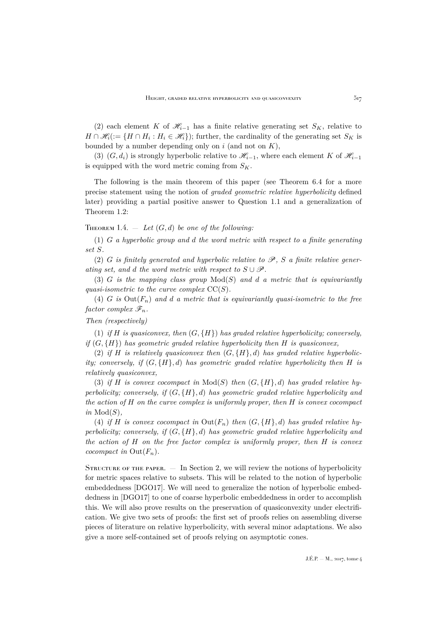(2) each element K of  $\mathcal{H}_{i-1}$  has a finite relative generating set  $S_K$ , relative to  $H \cap \mathscr{H}_i := \{ H \cap H_i : H_i \in \mathscr{H}_i \}$ ; further, the cardinality of the generating set  $S_K$  is bounded by a number depending only on  $i$  (and not on  $K$ ),

(3)  $(G, d_i)$  is strongly hyperbolic relative to  $\mathcal{H}_{i-1}$ , where each element K of  $\mathcal{H}_{i-1}$ is equipped with the word metric coming from  $S_K$ .

The following is the main theorem of this paper (see Theorem [6.4](#page-39-0) for a more precise statement using the notion of *graded geometric relative hyperbolicity* defined later) providing a partial positive answer to Question [1.1](#page-2-2) and a generalization of Theorem [1.2:](#page-2-1)

THEOREM 1.4.  $-$  *Let*  $(G, d)$  *be one of the following:* 

(1) G *a hyperbolic group and* d *the word metric with respect to a finite generating set* S*.*

(2) G *is finitely generated and hyperbolic relative to*  $\mathscr{P}$ *, S a finite relative generating set, and d the word metric with respect to*  $S \cup \mathscr{P}$ .

(3) G *is the mapping class group* Mod(S) *and* d *a metric that is equivariantly quasi-isometric to the curve complex* CC(S)*.*

(4) G is  $Out(F_n)$  and d a metric that is equivariantly quasi-isometric to the free *factor complex*  $\mathscr{F}_n$ *.* 

*Then (respectively)*

(1) *if* H *is quasiconvex, then*  $(G, \{H\})$  *has graded relative hyperbolicity; conversely, if* (G, {H}) *has geometric graded relative hyperbolicity then* H *is quasiconvex,*

(2) *if* H *is relatively quasiconvex then*  $(G, {H}, d)$  *has graded relative hyperbolicity; conversely, if*  $(G, {H}, d)$  *has geometric graded relative hyperbolicity then* H *is relatively quasiconvex,*

(3) *if* H *is convex cocompact in*  $Mod(S)$  *then*  $(G, \{H\}, d)$  *has graded relative hyperbolicity; conversely, if* (G, {H}, d) *has geometric graded relative hyperbolicity and the action of* H *on the curve complex is uniformly proper, then* H *is convex cocompact*  $in Mod(S)$ ,

(4) *if* H *is convex cocompact in*  $Out(F_n)$  *then*  $(G, \{H\}, d)$  *has graded relative hyperbolicity; conversely, if* (G, {H}, d) *has geometric graded relative hyperbolicity and the action of* H *on the free factor complex is uniformly proper, then* H *is convex cocompact in*  $Out(F_n)$ *.* 

STRUCTURE OF THE PAPER.  $-$  In Section 2, we will review the notions of hyperbolicity for metric spaces relative to subsets. This will be related to the notion of hyperbolic embeddedness [\[DGO17\]](#page-41-9). We will need to generalize the notion of hyperbolic embeddedness in [\[DGO17\]](#page-41-9) to one of coarse hyperbolic embeddedness in order to accomplish this. We will also prove results on the preservation of quasiconvexity under electrification. We give two sets of proofs: the first set of proofs relies on assembling diverse pieces of literature on relative hyperbolicity, with several minor adaptations. We also give a more self-contained set of proofs relying on asymptotic cones.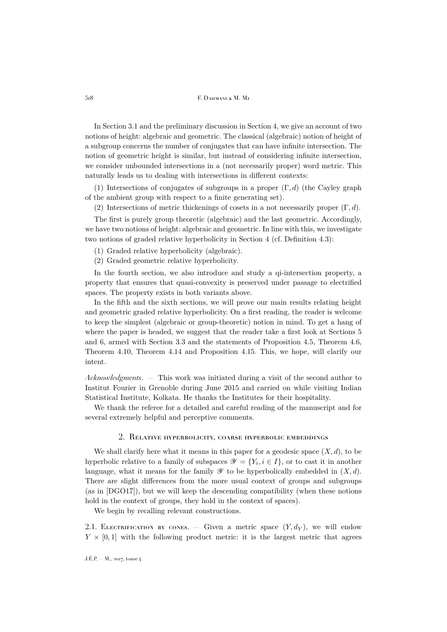In Section 3.1 and the preliminary discussion in Section 4, we give an account of two notions of height: algebraic and geometric. The classical (algebraic) notion of height of a subgroup concerns the number of conjugates that can have infinite intersection. The notion of geometric height is similar, but instead of considering infinite intersection, we consider unbounded intersections in a (not necessarily proper) word metric. This naturally leads us to dealing with intersections in different contexts:

(1) Intersections of conjugates of subgroups in a proper  $(\Gamma, d)$  (the Cayley graph of the ambient group with respect to a finite generating set).

(2) Intersections of metric thickenings of cosets in a not necessarily proper  $(\Gamma, d)$ .

The first is purely group theoretic (algebraic) and the last geometric. Accordingly, we have two notions of height: algebraic and geometric. In line with this, we investigate two notions of graded relative hyperbolicity in Section 4 (cf. Definition [4.3\)](#page-27-1):

(1) Graded relative hyperbolicity (algebraic).

(2) Graded geometric relative hyperbolicity.

In the fourth section, we also introduce and study a qi-intersection property, a property that ensures that quasi-convexity is preserved under passage to electrified spaces. The property exists in both variants above.

In the fifth and the sixth sections, we will prove our main results relating height and geometric graded relative hyperbolicity. On a first reading, the reader is welcome to keep the simplest (algebraic or group-theoretic) notion in mind. To get a hang of where the paper is headed, we suggest that the reader take a first look at Sections 5 and 6, armed with Section 3.3 and the statements of Proposition [4.5,](#page-28-0) Theorem [4.6,](#page-29-0) Theorem [4.10,](#page-30-0) Theorem [4.14](#page-32-0) and Proposition [4.15.](#page-33-0) This, we hope, will clarify our intent.

*Acknowledgments*. — This work was initiated during a visit of the second author to Institut Fourier in Grenoble during June 2015 and carried on while visiting Indian Statistical Institute, Kolkata. He thanks the Institutes for their hospitality.

We thank the referee for a detailed and careful reading of the manuscript and for several extremely helpful and perceptive comments.

## 2. Relative hyperbolicity, coarse hyperbolic embeddings

<span id="page-4-0"></span>We shall clarify here what it means in this paper for a geodesic space  $(X, d)$ , to be hyperbolic relative to a family of subspaces  $\mathscr{Y} = \{Y_i, i \in I\}$ , or to cast it in another language, what it means for the family  $\mathscr Y$  to be hyperbolically embedded in  $(X, d)$ . There are slight differences from the more usual context of groups and subgroups (as in [\[DGO17\]](#page-41-9)), but we will keep the descending compatibility (when these notions hold in the context of groups, they hold in the context of spaces).

We begin by recalling relevant constructions.

<span id="page-4-1"></span>2.1. ELECTRIFICATION BY CONES. — Given a metric space  $(Y, d_Y)$ , we will endow  $Y \times [0, 1]$  with the following product metric: it is the largest metric that agrees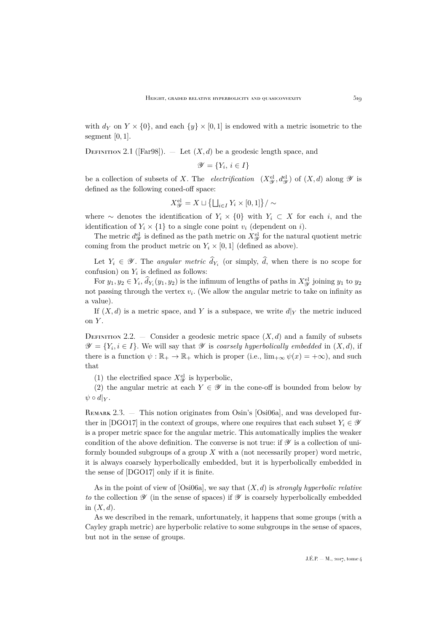with  $d_Y$  on  $Y \times \{0\}$ , and each  $\{y\} \times [0,1]$  is endowed with a metric isometric to the segment  $[0, 1]$ .

DEFINITION 2.1 ([\[Far98\]](#page-41-10)).  $-$  Let  $(X, d)$  be a geodesic length space, and

$$
\mathscr{Y} = \{ Y_i, \, i \in I \}
$$

be a collection of subsets of X. The *electrification*  $(X_{\mathcal{Y}}^{\text{el}}, d_{\mathcal{Y}}^{\text{el}})$  of  $(X, d)$  along  $\mathcal{Y}$  is defined as the following coned-off space:

$$
X_{\mathscr{Y}}^{\mathrm{el}} = X \sqcup \left\{ \bigsqcup_{i \in I} Y_i \times [0,1] \right\} / \sim
$$

where  $\sim$  denotes the identification of  $Y_i \times \{0\}$  with  $Y_i \subset X$  for each i, and the identification of  $Y_i \times \{1\}$  to a single cone point  $v_i$  (dependent on i).

The metric  $d_{\mathscr{Y}}^{\text{el}}$  is defined as the path metric on  $X_{\mathscr{Y}}^{\text{el}}$  for the natural quotient metric coming from the product metric on  $Y_i \times [0,1]$  (defined as above).

Let  $Y_i \in \mathscr{Y}$ . The *angular metric*  $d_{Y_i}$  (or simply, d, when there is no scope for confusion) on  $Y_i$  is defined as follows:

For  $y_1, y_2 \in Y_i$ ,  $d_{Y_i}(y_1, y_2)$  is the infimum of lengths of paths in  $X_{\mathscr{Y}}^{\text{el}}$  joining  $y_1$  to  $y_2$ not passing through the vertex  $v_i$ . (We allow the angular metric to take on infinity as a value).

If  $(X, d)$  is a metric space, and Y is a subspace, we write  $d|_Y$  the metric induced on Y.

<span id="page-5-0"></span>DEFINITION 2.2. — Consider a geodesic metric space  $(X, d)$  and a family of subsets  $\mathscr{Y} = \{Y_i, i \in I\}$ . We will say that  $\mathscr Y$  is *coarsely hyperbolically embedded* in  $(X, d)$ , if there is a function  $\psi : \mathbb{R}_+ \to \mathbb{R}_+$  which is proper (i.e.,  $\lim_{x \to \infty} \psi(x) = +\infty$ ), and such that

(1) the electrified space  $X^{\text{el}}_{\mathscr{Y}}$  is hyperbolic,

(2) the angular metric at each  $Y \in \mathscr{Y}$  in the cone-off is bounded from below by  $\psi \circ d|_Y$ .

REMARK 2.3. — This notion originates from Osin's [\[Osi06a\]](#page-42-1), and was developed fur-ther in [\[DGO17\]](#page-41-9) in the context of groups, where one requires that each subset  $Y_i \in \mathscr{Y}$ is a proper metric space for the angular metric. This automatically implies the weaker condition of the above definition. The converse is not true: if  $\mathscr Y$  is a collection of uniformly bounded subgroups of a group  $X$  with a (not necessarily proper) word metric, it is always coarsely hyperbolically embedded, but it is hyperbolically embedded in the sense of [\[DGO17\]](#page-41-9) only if it is finite.

As in the point of view of [\[Osi06a\]](#page-42-1), we say that (X, d) is *strongly hyperbolic relative to* the collection  $\mathscr Y$  (in the sense of spaces) if  $\mathscr Y$  is coarsely hyperbolically embedded in  $(X, d)$ .

As we described in the remark, unfortunately, it happens that some groups (with a Cayley graph metric) are hyperbolic relative to some subgroups in the sense of spaces, but not in the sense of groups.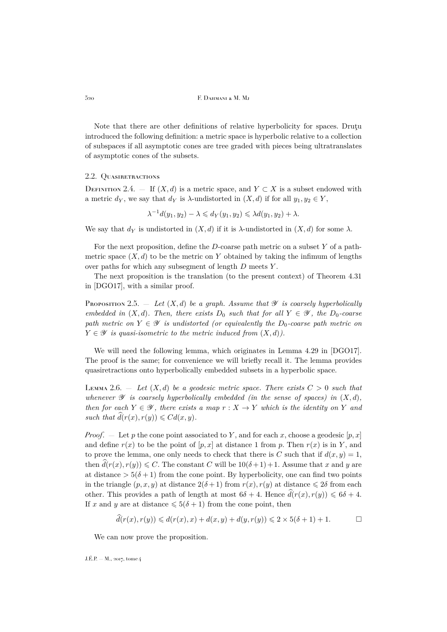Note that there are other definitions of relative hyperbolicity for spaces. Drutu introduced the following definition: a metric space is hyperbolic relative to a collection of subspaces if all asymptotic cones are tree graded with pieces being ultratranslates of asymptotic cones of the subsets.

#### 2.2. QUASIRETRACTIONS

DEFINITION 2.4. — If  $(X, d)$  is a metric space, and  $Y \subset X$  is a subset endowed with a metric  $d_Y$ , we say that  $d_Y$  is  $\lambda$ -undistorted in  $(X, d)$  if for all  $y_1, y_2 \in Y$ ,

$$
\lambda^{-1}d(y_1, y_2) - \lambda \leq d_Y(y_1, y_2) \leq \lambda d(y_1, y_2) + \lambda.
$$

We say that  $d_Y$  is undistorted in  $(X, d)$  if it is  $\lambda$ -undistorted in  $(X, d)$  for some  $\lambda$ .

For the next proposition, define the D-coarse path metric on a subset Y of a pathmetric space  $(X, d)$  to be the metric on Y obtained by taking the infimum of lengths over paths for which any subsegment of length  $D$  meets  $Y$ .

The next proposition is the translation (to the present context) of Theorem 4.31 in [\[DGO17\]](#page-41-9), with a similar proof.

PROPOSITION 2.5.  $-$  *Let*  $(X, d)$  *be a graph. Assume that*  $\mathscr Y$  *is coarsely hyperbolically embedded in*  $(X, d)$ *. Then, there exists*  $D_0$  *such that for all*  $Y \in \mathcal{Y}$ *, the*  $D_0$ *-coarse path metric on*  $Y \in \mathcal{Y}$  *is undistorted (or equivalently the*  $D_0$ -coarse path metric on  $Y \in \mathscr{Y}$  *is quasi-isometric to the metric induced from*  $(X, d)$ *)*.

We will need the following lemma, which originates in Lemma 4.29 in [\[DGO17\]](#page-41-9). The proof is the same; for convenience we will briefly recall it. The lemma provides quasiretractions onto hyperbolically embedded subsets in a hyperbolic space.

LEMMA 2.6.  $-$  Let  $(X,d)$  be a geodesic metric space. There exists  $C > 0$  such that *whenever*  $\mathscr Y$  *is coarsely hyperbolically embedded (in the sense of spaces) in*  $(X, d)$ *, then for each*  $Y \in \mathcal{Y}$ *, there exists a map*  $r : X \rightarrow Y$  *which is the identity on* Y *and such that*  $\hat{d}(r(x), r(y)) \leq C d(x, y)$ .

*Proof.* — Let p the cone point associated to Y, and for each x, choose a geodesic  $[p, x]$ and define  $r(x)$  to be the point of  $[p, x]$  at distance 1 from p. Then  $r(x)$  is in Y, and to prove the lemma, one only needs to check that there is C such that if  $d(x, y) = 1$ , then  $\hat{d}(r(x), r(y)) \leq C$ . The constant C will be  $10(\delta+1)+1$ . Assume that x and y are at distance  $> 5(\delta + 1)$  from the cone point. By hyperbolicity, one can find two points in the triangle  $(p, x, y)$  at distance  $2(\delta + 1)$  from  $r(x), r(y)$  at distance  $\leq 2\delta$  from each other. This provides a path of length at most  $6\delta + 4$ . Hence  $\hat{d}(r(x), r(y)) \leq 6\delta + 4$ . If x and y are at distance  $\leq 5(\delta + 1)$  from the cone point, then

$$
\widehat{d}(r(x), r(y)) \le d(r(x), x) + d(x, y) + d(y, r(y)) \le 2 \times 5(\delta + 1) + 1. \square
$$

We can now prove the proposition.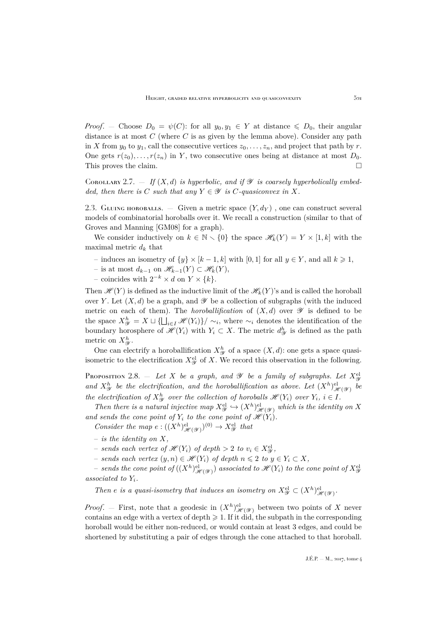*Proof.* – Choose  $D_0 = \psi(C)$ : for all  $y_0, y_1 \in Y$  at distance  $\leq D_0$ , their angular distance is at most  $C$  (where  $C$  is as given by the lemma above). Consider any path in X from  $y_0$  to  $y_1$ , call the consecutive vertices  $z_0, \ldots, z_n$ , and project that path by r. One gets  $r(z_0), \ldots, r(z_n)$  in Y, two consecutive ones being at distance at most  $D_0$ . This proves the claim.

<span id="page-7-1"></span>COROLLARY 2.7.  $-$  *If*  $(X, d)$  *is hyperbolic, and if*  $\mathscr Y$  *is coarsely hyperbolically embedded, then there is* C *such that any*  $Y \in \mathcal{Y}$  *is* C-quasiconvex in X.

2.3. GLUING HOROBALLS. — Given a metric space  $(Y, d_Y)$ , one can construct several models of combinatorial horoballs over it. We recall a construction (similar to that of Groves and Manning [\[GM08\]](#page-41-11) for a graph).

We consider inductively on  $k \in \mathbb{N} \setminus \{0\}$  the space  $\mathscr{H}_k(Y) = Y \times [1, k]$  with the maximal metric  $d_k$  that

- induces an isometry of  $\{y\} \times [k-1, k]$  with [0, 1] for all  $y \in Y$ , and all  $k \ge 1$ ,
- is at most  $d_{k-1}$  on  $\mathscr{H}_{k-1}(Y) \subset \mathscr{H}_k(Y)$ ,
- − coincides with  $2^{-k} \times d$  on  $Y \times \{k\}.$

Then  $\mathscr{H}(Y)$  is defined as the inductive limit of the  $\mathscr{H}_k(Y)$ 's and is called the horoball over Y. Let  $(X, d)$  be a graph, and  $\mathscr Y$  be a collection of subgraphs (with the induced metric on each of them). The *horoballification* of  $(X, d)$  over  $\mathscr Y$  is defined to be the space  $X_{\mathscr{Y}}^h = X \sqcup \{\bigsqcup_{i \in I} \mathscr{H}(Y_i)\}/\sim_i$ , where  $\sim_i$  denotes the identification of the boundary horosphere of  $\mathscr{H}(Y_i)$  with  $Y_i \subset X$ . The metric  $d_{\mathscr{Y}}^h$  is defined as the path metric on  $X_{\mathscr{Y}}^{h}$ .

One can electrify a horoballification  $X_{\mathcal{Y}}^{h}$  of a space  $(X, d)$ : one gets a space quasiisometric to the electrification  $X^{\text{el}}_{\mathscr{Y}}$  of X. We record this observation in the following.

<span id="page-7-0"></span>Proposition 2.8.  $-$  *Let*  $X$  *be a graph, and*  $\mathscr Y$  *be a family of subgraphs. Let*  $X_{\mathscr Y}^{\text{el}}$ and  $X^h_{\mathscr{Y}}$  be the electrification, and the horoballification as above. Let  $(X^h)_{\mathscr{H}(\mathscr{Y})}^{\text{el}}$  be *the electrification of*  $X_{\mathcal{Y}}^h$  *over the collection of horoballs*  $\mathcal{H}(Y_i)$  *over*  $Y_i$ *, i*  $\in$  *I.* 

Then there is a natural injective map  $X^{\text{el}}_{\mathscr{Y}} \hookrightarrow (X^h)^{\text{el}}_{\mathscr{H}(\mathscr{Y})}$  which is the identity on X and sends the cone point of  $Y_i$  to the cone point of  $\mathscr{H}(Y_i)$ .

*Consider the map*  $e: ((X^h)_{\mathscr{H}(\mathscr{Y})}^{\mathrm{el}})^{(0)} \to X_{\mathscr{Y}}^{\mathrm{el}}$  that

- *is the identity on* X*,*
- $-$  *sends each vertex of*  $\mathcal{H}(Y_i)$  *of depth* > 2 *to*  $v_i \in X_{\mathcal{Y}}^{\text{el}}$ ,
- *− sends each vertex*  $(y, n) \in \mathcal{H}(Y_i)$  *of depth*  $n \leq 2$  *to*  $y \in Y_i \subset X$ *,*

 $-$  sends the cone point of  $((X^h)^{\mathrm{el}}_{\mathscr{H}(\mathscr{Y})})$  associated to  $\mathscr{H}(Y_i)$  to the cone point of  $X^{\mathrm{el}}_\mathscr{Y}$ *associated to* Yi*.*

*Then e is a quasi-isometry that induces an isometry on*  $X^{\text{el}}_{\mathscr{Y}} \subset (X^h)^{\text{el}}_{\mathscr{H}(\mathscr{Y})}$ .

*Proof.* – First, note that a geodesic in  $(X^h)_{\mathscr{H}(\mathscr{Y})}^{\text{el}}$  between two points of X never contains an edge with a vertex of depth  $\geq 1$ . If it did, the subpath in the corresponding horoball would be either non-reduced, or would contain at least 3 edges, and could be shortened by substituting a pair of edges through the cone attached to that horoball.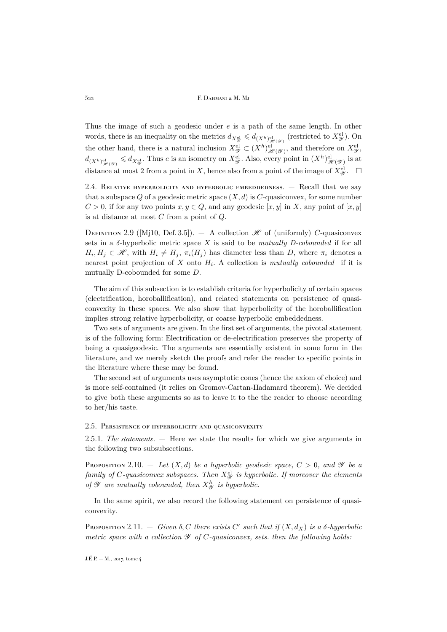Thus the image of such a geodesic under e is a path of the same length. In other words, there is an inequality on the metrics  $d_{X^{\text{el}}_{\mathscr{X}}}\leqslant d_{(X^h)^{\text{el}}_{\mathscr{H}(\mathscr{Y})}}$  (restricted to  $X^{\text{el}}_{\mathscr{Y}}$ ). On the other hand, there is a natural inclusion  $X_{\mathscr{Y}}^{\text{el}} \subset (X^h)_{\mathscr{H}(\mathscr{Y})}^{\text{el}},$  and therefore on  $X_{\mathscr{Y}}^{\text{el}},$  $d_{(X^h)^{\text{el}}_{\mathscr{H}(\mathscr{Y})}} \leqslant d_{X^{\text{el}}_{\mathscr{Y}}}$ . Thus e is an isometry on  $X^{\text{el}}_{\mathscr{Y}}$ . Also, every point in  $(X^h)^{\text{el}}_{\mathscr{H}(\mathscr{Y})}$  is at distance at most 2 from a point in X, hence also from a point of the image of  $X_{\mathscr{Y}}^{\text{el}}$ .  $\Box$ 

2.4. RELATIVE HYPERBOLICITY AND HYPERBOLIC EMBEDDEDNESS.  $-$  Recall that we say that a subspace Q of a geodesic metric space  $(X, d)$  is C-quasiconvex, for some number  $C > 0$ , if for any two points  $x, y \in Q$ , and any geodesic  $[x, y]$  in X, any point of  $[x, y]$ is at distance at most  $C$  from a point of  $Q$ .

<span id="page-8-3"></span>DEFINITION 2.9 ([\[Mj10,](#page-41-8) Def. 3.5]).  $-$  A collection  $\mathscr H$  of (uniformly) C-quasiconvex sets in a δ-hyperbolic metric space X is said to be *mutually D-cobounded* if for all  $H_i, H_j \in \mathcal{H}$ , with  $H_i \neq H_j$ ,  $\pi_i(H_j)$  has diameter less than D, where  $\pi_i$  denotes a nearest point projection of  $X$  onto  $H_i$ . A collection is *mutually cobounded* if it is mutually D-cobounded for some D.

The aim of this subsection is to establish criteria for hyperbolicity of certain spaces (electrification, horoballification), and related statements on persistence of quasiconvexity in these spaces. We also show that hyperbolicity of the horoballification implies strong relative hyperbolicity, or coarse hyperbolic embeddedness.

Two sets of arguments are given. In the first set of arguments, the pivotal statement is of the following form: Electrification or de-electrification preserves the property of being a quasigeodesic. The arguments are essentially existent in some form in the literature, and we merely sketch the proofs and refer the reader to specific points in the literature where these may be found.

The second set of arguments uses asymptotic cones (hence the axiom of choice) and is more self-contained (it relies on Gromov-Cartan-Hadamard theorem). We decided to give both these arguments so as to leave it to the the reader to choose according to her/his taste.

#### 2.5. Persistence of hyperbolicity and quasiconvexity

<span id="page-8-2"></span>2.5.1. *The statements*. — Here we state the results for which we give arguments in the following two subsubsections.

<span id="page-8-0"></span>Proposition 2.10. — Let  $(X, d)$  be a hyperbolic geodesic space,  $C > 0$ , and  $\mathscr Y$  be a  $family\ of\ C\-quasiconvex\ subspaces.\ Then\ X_{\mathscr Y}^{\rm el}\ is\ hyperbolic.\ If\ moreover\ the\ elements$ of  $\mathscr Y$  are mutually cobounded, then  $X^h_{\mathscr Y}$  is hyperbolic.

In the same spirit, we also record the following statement on persistence of quasiconvexity.

<span id="page-8-1"></span>**PROPOSITION** 2.11.  $-$  *Given*  $\delta$ , *C there exists C' such that if*  $(X, d_X)$  *is a*  $\delta$ *-hyperbolic metric space with a collection* Y *of* C*-quasiconvex, sets. then the following holds:*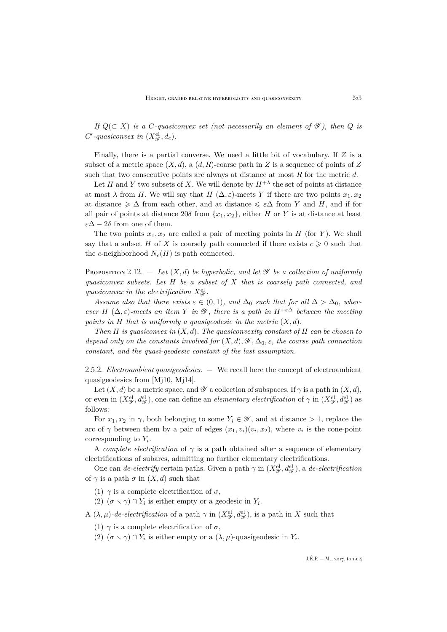*If*  $Q(\subset X)$  *is a C-quasiconvex set (not necessarily an element of*  $\mathscr Y$ *), then* Q *is*  $C'$ -quasiconvex in  $(X_{\mathscr{Y}}^{\text{el}}, d_e)$ .

Finally, there is a partial converse. We need a little bit of vocabulary. If Z is a subset of a metric space  $(X, d)$ , a  $(d, R)$ -coarse path in Z is a sequence of points of Z such that two consecutive points are always at distance at most  $R$  for the metric  $d$ .

Let H and Y two subsets of X. We will denote by  $H^{+\lambda}$  the set of points at distance at most  $\lambda$  from H. We will say that H  $(\Delta, \varepsilon)$ -meets Y if there are two points  $x_1, x_2$ at distance  $\geq \Delta$  from each other, and at distance  $\leq \varepsilon \Delta$  from Y and H, and if for all pair of points at distance  $20\delta$  from  $\{x_1, x_2\}$ , either H or Y is at distance at least  $\varepsilon\Delta - 2\delta$  from one of them.

The two points  $x_1, x_2$  are called a pair of meeting points in  $H$  (for Y). We shall say that a subset H of X is coarsely path connected if there exists  $c \geq 0$  such that the c-neighborhood  $N_c(H)$  is path connected.

<span id="page-9-0"></span>Proposition 2.12.  $=$  *Let*  $(X, d)$  *be hyperbolic, and let*  $\mathscr Y$  *be a collection of uniformly quasiconvex subsets. Let* H *be a subset of* X *that is coarsely path connected, and* quasiconvex in the electrification  $X^{\text{el}}_{\mathscr{Y}}$ .

*Assume also that there exists*  $\varepsilon \in (0,1)$ *, and*  $\Delta_0$  *such that for all*  $\Delta > \Delta_0$ *, wherever*  $H(\Delta, \varepsilon)$ -meets an *item* Y *in*  $\mathscr Y$ *, there is a path in*  $H^{+\varepsilon\Delta}$  *between the meeting points in* H *that is uniformly a quasigeodesic in the metric*  $(X, d)$ *.* 

*Then* H *is quasiconvex in* (X, d)*. The quasiconvexity constant of* H *can be chosen to depend only on the constants involved for*  $(X, d), \mathscr{Y}, \Delta_0, \varepsilon$ , the coarse path connection *constant, and the quasi-geodesic constant of the last assumption.*

2.5.2. *Electroambient quasigeodesics*. — We recall here the concept of electroambient quasigeodesics from [\[Mj10,](#page-41-8) [Mj14\]](#page-42-0).

Let  $(X, d)$  be a metric space, and  $\mathscr Y$  a collection of subspaces. If  $\gamma$  is a path in  $(X, d)$ , or even in  $(X_{\mathscr{Y}}^{\text{el}}, d_{\mathscr{Y}}^{\text{el}})$ , one can define an *elementary electrification* of  $\gamma$  in  $(X_{\mathscr{Y}}^{\text{el}}, d_{\mathscr{Y}}^{\text{el}})$  as follows:

For  $x_1, x_2$  in  $\gamma$ , both belonging to some  $Y_i \in \mathscr{Y}$ , and at distance > 1, replace the arc of  $\gamma$  between them by a pair of edges  $(x_1, v_i)(v_i, x_2)$ , where  $v_i$  is the cone-point corresponding to  $Y_i$ .

A *complete electrification* of  $\gamma$  is a path obtained after a sequence of elementary electrifications of subarcs, admitting no further elementary electrifications.

One can *de-electrify* certain paths. Given a path  $\gamma$  in  $(X_{\mathscr{Y}}^{\text{el}}, d_{\mathscr{Y}}^{\text{el}})$ , a *de-electrification* of  $\gamma$  is a path  $\sigma$  in  $(X, d)$  such that

- (1)  $\gamma$  is a complete electrification of  $\sigma$ .
- (2)  $(\sigma \setminus \gamma) \cap Y_i$  is either empty or a geodesic in  $Y_i$ .

A  $(\lambda, \mu)$ *-de-electrification* of a path  $\gamma$  in  $(X_{\mathscr{Y}}^{\text{el}}, d_{\mathscr{Y}}^{\text{el}})$ , is a path in X such that

- (1)  $\gamma$  is a complete electrification of  $\sigma$ ,
- (2)  $(\sigma \setminus \gamma) \cap Y_i$  is either empty or a  $(\lambda, \mu)$ -quasigeodesic in  $Y_i$ .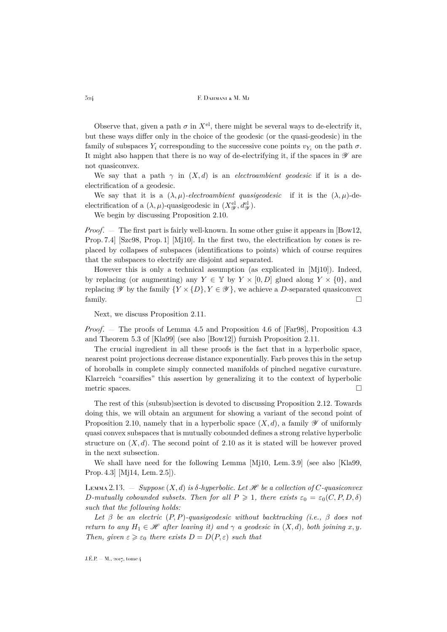Observe that, given a path  $\sigma$  in  $X^{\text{el}}$ , there might be several ways to de-electrify it, but these ways differ only in the choice of the geodesic (or the quasi-geodesic) in the family of subspaces  $Y_i$  corresponding to the successive cone points  $v_{Y_i}$  on the path  $\sigma$ . It might also happen that there is no way of de-electrifying it, if the spaces in  $\mathscr Y$  are not quasiconvex.

We say that a path  $\gamma$  in  $(X, d)$  is an *electroambient geodesic* if it is a deelectrification of a geodesic.

We say that it is a  $(\lambda, \mu)$ -electroambient quasigeodesic if it is the  $(\lambda, \mu)$ -deelectrification of a  $(\lambda, \mu)$ -quasigeodesic in  $(X_{\mathscr{Y}}^{\text{el}}, d_{\mathscr{Y}}^{\text{el}})$ .

We begin by discussing Proposition [2.10.](#page-8-0)

*Proof*. — The first part is fairly well-known. In some other guise it appears in [\[Bow12,](#page-41-6) Prop. 7.4] [\[Szc98,](#page-42-2) Prop. 1] [\[Mj10\]](#page-41-8). In the first two, the electrification by cones is replaced by collapses of subspaces (identifications to points) which of course requires that the subspaces to electrify are disjoint and separated.

However this is only a technical assumption (as explicated in [\[Mj10\]](#page-41-8)). Indeed, by replacing (or augmenting) any  $Y \in \mathbb{Y}$  by  $Y \times [0, D]$  glued along  $Y \times \{0\}$ , and replacing  $\mathscr Y$  by the family  $\{Y \times \{D\}, Y \in \mathscr Y\}$ , we achieve a D-separated quasiconvex  $f_1$  family.

Next, we discuss Proposition [2.11.](#page-8-1)

*Proof*. — The proofs of Lemma 4.5 and Proposition 4.6 of [\[Far98\]](#page-41-10), Proposition 4.3 and Theorem 5.3 of [\[Kla99\]](#page-41-12) (see also [\[Bow12\]](#page-41-6)) furnish Proposition [2.11.](#page-8-1)

The crucial ingredient in all these proofs is the fact that in a hyperbolic space, nearest point projections decrease distance exponentially. Farb proves this in the setup of horoballs in complete simply connected manifolds of pinched negative curvature. Klarreich "coarsifies" this assertion by generalizing it to the context of hyperbolic metric spaces.  $\Box$ 

The rest of this (subsub)section is devoted to discussing Proposition [2.12.](#page-9-0) Towards doing this, we will obtain an argument for showing a variant of the second point of Proposition [2.10,](#page-8-0) namely that in a hyperbolic space  $(X, d)$ , a family  $\mathscr Y$  of uniformly quasi convex subspaces that is mutually cobounded defines a strong relative hyperbolic structure on  $(X, d)$ . The second point of [2.10](#page-8-0) as it is stated will be however proved in the next subsection.

We shall have need for the following Lemma [\[Mj10,](#page-41-8) Lem. 3.9] (see also [\[Kla99,](#page-41-12) Prop. 4.3] [\[Mj14,](#page-42-0) Lem. 2.5]).

Lemma 2.13.  $-$  *Suppose*  $(X, d)$  *is*  $\delta$ -*hyperbolic. Let*  $\mathcal{H}$  *be a collection of*  $C$ -quasiconvex D-mutually cobounded subsets. Then for all  $P \geq 1$ , there exists  $\varepsilon_0 = \varepsilon_0(C, P, D, \delta)$ *such that the following holds:*

*Let* β *be an electric* (P, P)*-quasigeodesic without backtracking (i.e.,* β *does not return to any*  $H_1 \in \mathcal{H}$  *after leaving it) and*  $\gamma$  *a geodesic in*  $(X, d)$ *, both joining* x, y. *Then, given*  $\varepsilon \geqslant \varepsilon_0$  *there exists*  $D = D(P, \varepsilon)$  *such that*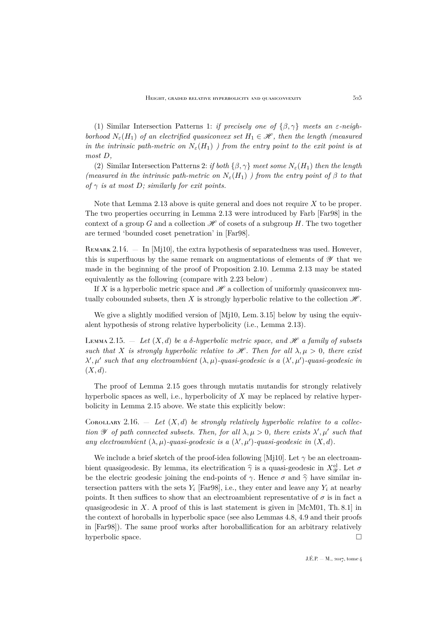(1) Similar Intersection Patterns 1: *if precisely one of*  $\{\beta, \gamma\}$  *meets an*  $\varepsilon$ -neigh*borhood*  $N_{\varepsilon}(H_1)$  *of an electrified quasiconvex set*  $H_1 \in \mathcal{H}$ , then the length (measured *in the intrinsic path-metric on*  $N_{\varepsilon}(H_1)$  *) from the entry point to the exit point is at most* D*,*

<span id="page-11-0"></span>(2) Similar Intersection Patterns 2: *if both*  $\{\beta, \gamma\}$  *meet some*  $N_{\epsilon}(H_1)$  *then the length (measured in the intrinsic path-metric on*  $N_{\varepsilon}(H_1)$ ) *from the entry point of*  $\beta$  *to that of*  $\gamma$  *is at most D; similarly for exit points.* 

Note that Lemma [2.13](#page-11-0) above is quite general and does not require  $X$  to be proper. The two properties occurring in Lemma [2.13](#page-11-0) were introduced by Farb [\[Far98\]](#page-41-10) in the context of a group G and a collection  $\mathscr H$  of cosets of a subgroup H. The two together are termed 'bounded coset penetration' in [\[Far98\]](#page-41-10).

REMARK  $2.14.$  — In [\[Mj10\]](#page-41-8), the extra hypothesis of separatedness was used. However, this is superfluous by the same remark on augmentations of elements of  $\mathscr Y$  that we made in the beginning of the proof of Proposition [2.10.](#page-8-0) Lemma [2.13](#page-11-0) may be stated equivalently as the following (compare with [2.23](#page-21-0) below) .

If X is a hyperbolic metric space and  $\mathscr H$  a collection of uniformly quasiconvex mutually cobounded subsets, then X is strongly hyperbolic relative to the collection  $\mathcal{H}$ .

We give a slightly modified version of [\[Mj10,](#page-41-8) Lem. 3.15] below by using the equivalent hypothesis of strong relative hyperbolicity (i.e., Lemma [2.13\)](#page-11-0).

<span id="page-11-1"></span>LEMMA 2.15.  $-$  *Let*  $(X, d)$  *be a*  $\delta$ -*hyperbolic metric space, and*  $\mathcal{H}$  *a family of subsets such that* X *is strongly hyperbolic relative to*  $\mathcal{H}$ *. Then for all*  $\lambda, \mu > 0$ *, there exist*  $\lambda', \mu'$  such that any electroambient  $(\lambda, \mu)$ -quasi-geodesic is a  $(\lambda', \mu')$ -quasi-geodesic in  $(X, d)$ .

The proof of Lemma [2.15](#page-11-1) goes through mutatis mutandis for strongly relatively hyperbolic spaces as well, i.e., hyperbolicity of X may be replaced by relative hyperbolicity in Lemma [2.15](#page-11-1) above. We state this explicitly below:

<span id="page-11-2"></span>COROLLARY 2.16.  $-$  Let  $(X,d)$  be strongly relatively hyperbolic relative to a collec*tion*  $\mathscr Y$  *of path connected subsets. Then, for all*  $\lambda, \mu > 0$ *, there exists*  $\lambda', \mu'$  *such that any electroambient*  $(\lambda, \mu)$ *-quasi-geodesic is a*  $(\lambda', \mu')$ *-quasi-geodesic in*  $(X, d)$ *.* 

We include a brief sketch of the proof-idea following [\[Mj10\]](#page-41-8). Let  $\gamma$  be an electroambient quasigeodesic. By lemma, its electrification  $\hat{\gamma}$  is a quasi-geodesic in  $X_{\text{c}}^{\text{el}}$ . Let  $\sigma$ be the electric geodesic joining the end-points of  $\gamma$ . Hence  $\sigma$  and  $\hat{\gamma}$  have similar intersection patters with the sets  $Y_i$  [\[Far98\]](#page-41-10), i.e., they enter and leave any  $Y_i$  at nearby points. It then suffices to show that an electroambient representative of  $\sigma$  is in fact a quasigeodesic in X. A proof of this is last statement is given in  $[McM01, Th. 8.1]$  $[McM01, Th. 8.1]$  in the context of horoballs in hyperbolic space (see also Lemmas 4.8, 4.9 and their proofs in [\[Far98\]](#page-41-10)). The same proof works after horoballification for an arbitrary relatively hyperbolic space.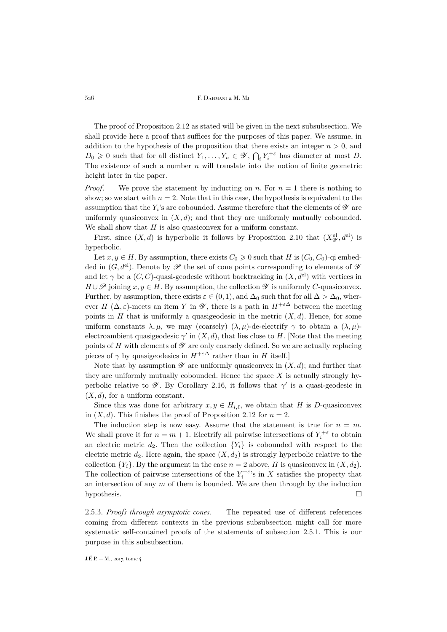The proof of Proposition [2.12](#page-9-0) as stated will be given in the next subsubsection. We shall provide here a proof that suffices for the purposes of this paper. We assume, in addition to the hypothesis of the proposition that there exists an integer  $n > 0$ , and  $D_0 \geq 0$  such that for all distinct  $Y_1, \ldots, Y_n \in \mathscr{Y}, \bigcap_i Y_i^{+\varepsilon}$  has diameter at most D. The existence of such a number  $n$  will translate into the notion of finite geometric height later in the paper.

*Proof.* – We prove the statement by inducting on n. For  $n = 1$  there is nothing to show; so we start with  $n = 2$ . Note that in this case, the hypothesis is equivalent to the assumption that the  $Y_i$ 's are cobounded. Assume therefore that the elements of  $\mathscr Y$  are uniformly quasiconvex in  $(X, d)$ ; and that they are uniformly mutually cobounded. We shall show that  $H$  is also quasiconvex for a uniform constant.

First, since  $(X, d)$  is hyperbolic it follows by Proposition [2.10](#page-8-0) that  $(X_{\mathscr{Y}}^{\text{el}}, d^{\text{el}})$  is hyperbolic.

Let  $x, y \in H$ . By assumption, there exists  $C_0 \geq 0$  such that H is  $(C_0, C_0)$ -qi embedded in  $(G, d^{\text{el}})$ . Denote by  $\mathscr P$  the set of cone points corresponding to elements of  $\mathscr Y$ and let  $\gamma$  be a  $(C, C)$ -quasi-geodesic without backtracking in  $(X, d^{\text{el}})$  with vertices in  $H \cup \mathscr{P}$  joining  $x, y \in H$ . By assumption, the collection  $\mathscr Y$  is uniformly C-quasiconvex. Further, by assumption, there exists  $\varepsilon \in (0,1)$ , and  $\Delta_0$  such that for all  $\Delta > \Delta_0$ , wherever H ( $\Delta, \varepsilon$ )-meets an item Y in  $\mathscr Y$ , there is a path in  $H^{+\varepsilon\Delta}$  between the meeting points in  $H$  that is uniformly a quasigeodesic in the metric  $(X, d)$ . Hence, for some uniform constants  $\lambda, \mu$ , we may (coarsely)  $(\lambda, \mu)$ -de-electrify  $\gamma$  to obtain a  $(\lambda, \mu)$ electroambient quasigeodesic  $\gamma'$  in  $(X, d)$ , that lies close to H. [Note that the meeting points of H with elements of  $\mathscr Y$  are only coarsely defined. So we are actually replacing pieces of  $\gamma$  by quasigeodesics in  $H^{+\varepsilon\Delta}$  rather than in H itself.]

Note that by assumption  $\mathscr Y$  are uniformly quasiconvex in  $(X, d)$ ; and further that they are uniformly mutually cobounded. Hence the space  $X$  is actually strongly hyperbolic relative to  $\mathscr Y$ . By Corollary [2.16,](#page-11-2) it follows that  $\gamma'$  is a quasi-geodesic in  $(X, d)$ , for a uniform constant.

Since this was done for arbitrary  $x, y \in H_{i,\ell}$ , we obtain that H is D-quasiconvex in  $(X, d)$ . This finishes the proof of Proposition [2.12](#page-9-0) for  $n = 2$ .

The induction step is now easy. Assume that the statement is true for  $n = m$ . We shall prove it for  $n = m + 1$ . Electrify all pairwise intersections of  $Y_i^{+\varepsilon}$  to obtain an electric metric  $d_2$ . Then the collection  ${Y_i}$  is cobounded with respect to the electric metric  $d_2$ . Here again, the space  $(X, d_2)$  is strongly hyperbolic relative to the collection  $\{Y_i\}$ . By the argument in the case  $n = 2$  above, H is quasiconvex in  $(X, d_2)$ . The collection of pairwise intersections of the  $Y_i^{+\varepsilon}$ 's in X satisfies the property that an intersection of any  $m$  of them is bounded. We are then through by the induction hypothesis.

2.5.3. *Proofs through asymptotic cones*. — The repeated use of different references coming from different contexts in the previous subsubsection might call for more systematic self-contained proofs of the statements of subsection [2.5.1.](#page-8-2) This is our purpose in this subsubsection.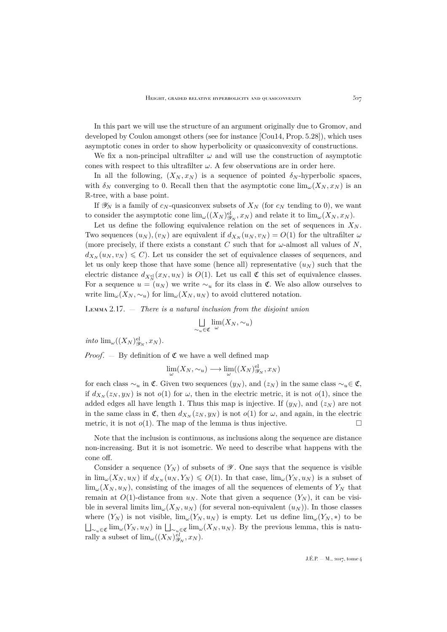In this part we will use the structure of an argument originally due to Gromov, and developed by Coulon amongst others (see for instance [\[Cou14,](#page-41-14) Prop. 5.28]), which uses asymptotic cones in order to show hyperbolicity or quasiconvexity of constructions.

We fix a non-principal ultrafilter  $\omega$  and will use the construction of asymptotic cones with respect to this ultrafilter  $\omega$ . A few observations are in order here.

In all the following,  $(X_N, x_N)$  is a sequence of pointed  $\delta_N$ -hyperbolic spaces, with  $\delta_N$  converging to 0. Recall then that the asymptotic cone  $\lim_{\omega} (X_N, x_N)$  is an R-tree, with a base point.

If  $\mathscr{Y}_N$  is a family of  $c_N$ -quasiconvex subsets of  $X_N$  (for  $c_N$  tending to 0), we want to consider the asymptotic cone  $\lim_{\omega}((X_N)^{\text{el}}_{\mathcal{Y}_N}, x_N)$  and relate it to  $\lim_{\omega}(X_N, x_N)$ .

Let us define the following equivalence relation on the set of sequences in  $X_N$ . Two sequences  $(u_N)$ ,  $(v_N)$  are equivalent if  $d_{X_N}(u_N, v_N) = O(1)$  for the ultrafilter  $\omega$ (more precisely, if there exists a constant C such that for  $\omega$ -almost all values of N,  $d_{X_N}(u_N, v_N) \leq C$ . Let us consider the set of equivalence classes of sequences, and let us only keep those that have some (hence all) representative  $(u_N)$  such that the electric distance  $d_{X_N^{el}}(x_N, u_N)$  is  $O(1)$ . Let us call  $\mathfrak C$  this set of equivalence classes. For a sequence  $u = (u_N)$  we write  $\sim_u$  for its class in  $\mathfrak{C}$ . We also allow ourselves to write  $\lim_{\omega}(X_N, \sim_u)$  for  $\lim_{\omega}(X_N, u_N)$  to avoid cluttered notation.

<span id="page-13-0"></span>Lemma 2.17. — *There is a natural inclusion from the disjoint union*

$$
\bigcup_{\sim_u \in \mathfrak{C}} \lim_{\omega} (X_N, \sim_u)
$$

*into*  $\lim_{\omega} ((X_N)_{\mathscr{Y}_N}^{\mathrm{el}}, x_N)$ *.* 

*Proof.*  $-$  By definition of  $\mathfrak C$  we have a well defined map

$$
\lim_{\omega}(X_N, \sim_u) \longrightarrow \lim_{\omega}((X_N)^{\text{el}}_{\mathscr{Y}_N}, x_N)
$$

for each class  $\sim_u$  in  $\mathfrak{C}$ . Given two sequences  $(y_N)$ , and  $(z_N)$  in the same class  $\sim_u \in \mathfrak{C}$ , if  $d_{X_N}(z_N, y_N)$  is not  $o(1)$  for  $\omega$ , then in the electric metric, it is not  $o(1)$ , since the added edges all have length 1. Thus this map is injective. If  $(y_N)$ , and  $(z_N)$  are not in the same class in  $\mathfrak{C}$ , then  $d_{X_N}(z_N, y_N)$  is not  $o(1)$  for  $\omega$ , and again, in the electric metric, it is not  $o(1)$ . The map of the lemma is thus injective.

Note that the inclusion is continuous, as inclusions along the sequence are distance non-increasing. But it is not isometric. We need to describe what happens with the cone off.

Consider a sequence  $(Y_N)$  of subsets of  $\mathscr Y$ . One says that the sequence is visible in  $\lim_{\omega}(X_N, u_N)$  if  $d_{X_N}(u_N, Y_N) \leq O(1)$ . In that case,  $\lim_{\omega}(Y_N, u_N)$  is a subset of  $\lim_{\omega} (X_N, u_N)$ , consisting of the images of all the sequences of elements of  $Y_N$  that remain at  $O(1)$ -distance from  $u_N$ . Note that given a sequence  $(Y_N)$ , it can be visible in several limits  $\lim_{\omega} (X_N, u_N)$  (for several non-equivalent  $(u_N)$ ). In those classes where  $(Y_N)$  is not visible,  $\lim_{\omega}(Y_N, u_N)$  is empty. Let us define  $\lim_{\omega}(Y_N, *)$  to be  $\bigsqcup_{\sim_u\in\mathfrak{C}}\lim_\omega(Y_N,u_N)$  in  $\bigsqcup_{\sim_u\in\mathfrak{C}}\lim_\omega(X_N,u_N)$ . By the previous lemma, this is naturally a subset of  $\lim_{\omega} ((X_N)_{\mathscr{Y}_N}^{el}, x_N)$ .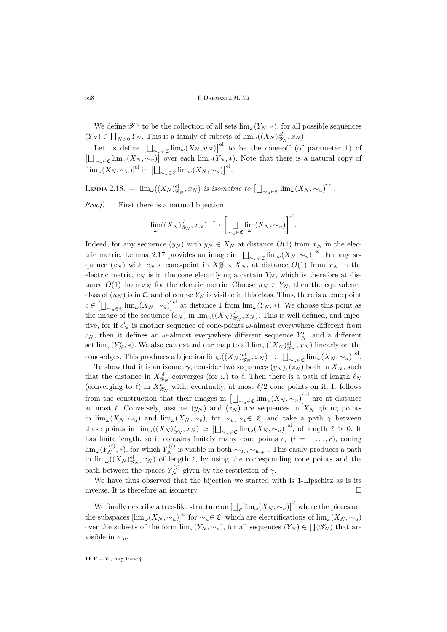We define  $\mathscr{Y}^{\omega}$  to be the collection of all sets  $\lim_{\omega}(Y_N, *),$  for all possible sequences  $(Y_N) \in \prod_{N>0} Y_N$ . This is a family of subsets of  $\lim_{\omega} ((X_N)_{\mathscr{Y}_N}^{\mathscr{e}l}, x_N)$ .

Let us define  $\left[\bigsqcup_{\sim_u\in\mathfrak{C}}\lim_{\omega}(X_N,u_N)\right]^{\mathrm{el}}$  to be the cone-off (of parameter 1) of  $\left[\bigsqcup_{\sim_u\in\mathfrak{C}}\text{lim}_{\omega}(X_N,\sim_u)\right]$  over each  $\text{lim}_{\omega}(Y_N,*)$ . Note that there is a natural copy of  $[\lim_{\omega}(X_N, \sim_u)]^{\mathrm{el}}$  in  $[\bigsqcup_{\sim_u \in \mathfrak{C}} \lim_{\omega}(X_N, \sim_u)]^{\mathrm{el}}$ .

Lemma 2.18.  $\; = \; \lim_{\omega}((X_N)^{\text{el}}_{\mathscr{Y}_N}, x_N) \; \text{is isometric to} \; \left[ \bigsqcup_{\sim_u \in \mathfrak{C}} \lim_{\omega} (X_N, \sim_u) \right]^{\text{el}}.$ 

*Proof*. — First there is a natural bijection

$$
\lim_{\omega} ((X_N)^{\mathrm{el}}_{\mathscr{Y}_N}, x_N) \stackrel{\sim}{\longrightarrow} \left[ \bigsqcup_{\sim_u \in \mathfrak{C}} \lim_{\omega} (X_N, \sim_u) \right]^{\mathrm{el}}.
$$

Indeed, for any sequence  $(y_N)$  with  $y_N \in X_N$  at distance  $O(1)$  from  $x_N$  in the elec-tric metric, Lemma [2.17](#page-13-0) provides an image in  $\left[\bigsqcup_{\sim_u\in\mathfrak{C}}\lim_{\omega}(X_N,\sim_u)\right]^{\text{el}}$ . For any sequence  $(c_N)$  with  $c_N$  a cone-point in  $X_N^{el} \setminus X_N$ , at distance  $O(1)$  from  $x_N$  in the electric metric,  $c_N$  is in the cone electrifying a certain  $Y_N$ , which is therefore at distance  $O(1)$  from  $x_N$  for the electric metric. Choose  $u_N \in Y_N$ , then the equivalence class of  $(u_N)$  is in  $\mathfrak{C}$ , and of course  $Y_N$  is visible in this class. Thus, there is a cone point  $c \in \left[\bigcup_{\sim_u \in \mathfrak{C}} \lim_{\omega}(X_N, \sim_u)\right]^{\mathrm{el}}$  at distance 1 from  $\lim_{\omega}(Y_N, \ast)$ . We choose this point as the image of the sequence  $(c_N)$  in  $\lim_{\omega}((X_N)_{\mathscr{Y}_N}^{\text{el}}, x_N)$ . This is well defined, and injective, for if  $c'_N$  is another sequence of cone-points  $\omega$ -almost everywhere different from  $c_N$ , then it defines an  $\omega$ -almost everywhere different sequence  $Y_N'$ , and a different set  $\lim_{\omega}(Y_N',*)$ . We also can extend our map to all  $\lim_{\omega}((X_N)_{\mathscr{Y}_N}^{\text{el}}, x_N)$  linearly on the cone-edges. This produces a bijection  $\lim_{\omega}((X_N)_{\mathscr{Y}_N}^{\text{el}}, x_N) \to \left[\bigsqcup_{\sim_u\in\mathfrak{C}}\lim_{\omega}(X_N, \sim_u)\right]^{\text{el}}$ .

To show that it is an isometry, consider two sequences  $(y_N)$ ,  $(z_N)$  both in  $X_N$ , such that the distance in  $X_{\mathscr{Y}_N}^{\text{el}}$  converges (for  $\omega$ ) to  $\ell$ . Then there is a path of length  $\ell_N$ (converging to  $\ell$ ) in  $X^{\text{el}}_{\mathscr{Y}_N}$  with, eventually, at most  $\ell/2$  cone points on it. It follows from the construction that their images in  $\left[\bigcup_{\sim_u\in\mathfrak{C}}\lim_{\omega}(X_N,\sim_u)\right]^{\text{el}}$  are at distance at most  $\ell$ . Conversely, assume  $(y_N)$  and  $(z_N)$  are sequences in  $X_N$  giving points in  $\lim_{\omega}(X_N, \sim_u)$  and  $\lim_{\omega}(X_N, \sim_v)$ , for  $\sim_u, \sim_v \in \mathfrak{C}$ , and take a path  $\gamma$  between these points in  $\lim_{\omega}((X_N)^{\mathrm{el}}_{\mathscr{Y}_N}, x_N) \simeq \left[\bigsqcup_{\sim_u\in\mathfrak{C}}\lim_{\omega}(X_N,\sim_u)\right]^{\mathrm{el}}$ , of length  $\ell > 0$ . It has finite length, so it contains finitely many cone points  $c_i$   $(i = 1, \ldots, r)$ , coning  $\lim_{\omega}(Y_N^{(i)}, *)$ , for which  $Y_N^{(i)}$  is visible in both  $\sim_{u_i}, \sim_{u_{i+1}}$ . This easily produces a path in  $\lim_{\omega}((X_N)_{\mathscr{Y}_N}^{\text{el}}, x_N)$  of length  $\ell$ , by using the corresponding cone points and the path between the spaces  $Y_N^{(i)}$  given by the restriction of  $\gamma$ .

We have thus observed that the bijection we started with is 1-Lipschitz as is its inverse. It is therefore an isometry.

We finally describe a tree-like structure on  $\left[\bigcup_{\mathfrak{C}} \lim_{\omega} (X_N, \sim_u)\right]^{\mathrm{el}}$  where the pieces are the subspaces  $[\lim_{\omega}(X_N, \sim_u)]^{\text{el}}$  for  $\sim_u \in \mathfrak{C}$ , which are electrifications of  $\lim_{\omega}(X_N, \sim_u)$ over the subsets of the form  $\lim_{\omega}(Y_N, \sim_u)$ , for all sequences  $(Y_N) \in \prod(\mathscr{Y}_N)$  that are visible in  $\sim_u$ .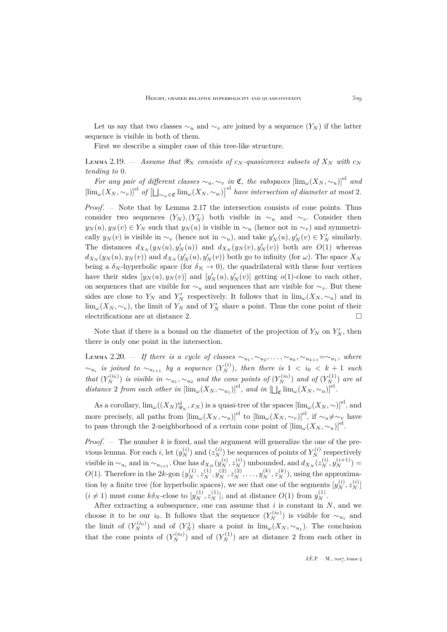Let us say that two classes  $\sim_u$  and  $\sim_v$  are joined by a sequence  $(Y_N)$  if the latter sequence is visible in both of them.

First we describe a simpler case of this tree-like structure.

LEMMA 2.19. – *Assume that*  $\mathscr{Y}_N$  *consists of*  $c_N$ *-quasiconvex subsets of*  $X_N$  *with*  $c_N$ *tending to* 0*.*

*For any pair of different classes*  $\sim_u, \sim_v$  *in*  $\mathfrak{C}$ *, the subspaces*  $[\lim_{\omega}(X_N, \sim_u)]^{el}$  *and*  $\left[\lim_{\omega}(X_N, \sim_v)\right]^{\text{el}}$  of  $\left[\bigcup_{\sim_w\in\mathfrak{C}}\lim_{\omega}(X_N, \sim_w)\right]^{\text{el}}$  have intersection of diameter at most 2.

*Proof*. — Note that by Lemma [2.17](#page-13-0) the intersection consists of cone points. Thus consider two sequences  $(Y_N), (Y'_N)$  both visible in  $\sim_u$  and  $\sim_v$ . Consider then  $y_N(u), y_N(v) \in Y_N$  such that  $y_N(u)$  is visible in  $\sim_u$  (hence not in  $\sim_v$ ) and symmetrically  $y_N(v)$  is visible in  $\sim_v$  (hence not in  $\sim_u$ ), and take  $y'_N(u), y'_N(v) \in Y'_N$  similarly. The distances  $d_{X_N}(y_N(u), y'_N(u))$  and  $d_{X_N}(y_N(v), y'_N(v))$  both are  $O(1)$  whereas  $d_{X_N}(y_N(u), y_N(v))$  and  $d_{X_N}(y'_N(u), y'_N(v))$  both go to infinity (for  $\omega$ ). The space  $X_N$ being a  $\delta_N$ -hyperbolic space (for  $\delta_N \to 0$ ), the quadrilateral with these four vertices have their sides  $[y_N(u), y_N(v)]$  and  $[y'_N(u), y'_N(v)]$  getting  $o(1)$ -close to each other, on sequences that are visible for  $\sim_u$  and sequences that are visible for  $\sim_v$ . But these sides are close to  $Y_N$  and  $Y'_N$  respectively. It follows that in  $\lim_{\omega}(X_N, \sim_u)$  and in  $\lim_{\omega}(X_N, \sim_v)$ , the limit of  $Y_N$  and of  $Y'_N$  share a point. Thus the cone point of their electrifications are at distance 2.  $\Box$ 

Note that if there is a bound on the diameter of the projection of  $Y_N$  on  $Y'_N$ , then there is only one point in the intersection.

LEMMA 2.20. – If there is a cycle of classes  $\sim_{u_1}, \sim_{u_2}, \ldots, \sim_{u_k}, \sim_{u_{k+1}} = \sim_{u_1},$  where  $\sim_{u_i}$  *is joined to*  $\sim_{u_{i+1}}$  *by a sequence*  $(Y_N^{(i)})$ *, then there is* 1 < *i*<sub>0</sub> < *k* + 1 *such that*  $(Y_N^{(i_0)})$  *is visible in*  $\sim_{u_1}, \sim_{u_2}$  *and the cone points of*  $(Y_N^{(i_0)})$  *and of*  $(Y_N^{(1)})$  *are at* distance 2 from each other in  $[\lim_{\omega}(X_N, \sim_{u_1})]^{\text{el}}$ , and in  $[\Box_{\mathfrak{C}} \lim_{\omega}(X_N, \sim_u)]^{\text{el}}$ .

As a corollary,  $\lim_{\omega}((X_N)^{\text{el}}_{\mathscr{Y}_N}, x_N)$  is a quasi-tree of the spaces  $[\lim_{\omega}(X_N, \sim)]^{\text{el}}$ , and more precisely, all paths from  $[\lim_{\omega}(X_N, \sim_u)]^{\text{el}}$  to  $[\lim_{\omega}(X_N, \sim_v)]^{\text{el}}$ , if  $\sim_u \neq \sim_v$  have to pass through the 2-neighborhood of a certain cone point of  $[\lim_{\omega} (X_N, \sim_u)]$ .

*Proof.*  $-$  The number k is fixed, and the argument will generalize the one of the previous lemma. For each i, let  $(y_N^{(i)})$  and  $(z_N^{(i)})$  be sequences of points of  $Y_N^{(i)}$  respectively visible in  $\sim_{u_i}$  and in  $\sim_{u_{i+1}}$ . One has  $d_{X_N}(y_N^{(i)}, z_N^{(i)})$  unbounded, and  $d_{X_N}(z_N^{(i)}, y_N^{(i+1)}) =$  $O(1)$ . Therefore in the 2k-gon  $(y_N^{(1)}, z_N^{(1)}, y_N^{(2)}, z_N^{(2)}, \ldots, y_N^{(k)}, z_N^{(k)})$ , using the approximation by a finite tree (for hyperbolic spaces), we see that one of the segments  $[y_N^{(i)}, z_N^{(i)}]$  $(i \neq 1)$  must come  $k\delta_N$ -close to  $[y_N^{(1)}, z_N^{(1)}]$ , and at distance  $O(1)$  from  $y_N^{(1)}$ .

After extracting a subsequence, one can assume that  $i$  is constant in  $N$ , and we choose it to be our i<sub>0</sub>. It follows that the sequence  $(Y_N^{(i_0)})$  is visible for  $\sim_{u_1}$  and the limit of  $(Y_N^{(i_0)})$  and of  $(Y_N^1)$  share a point in  $\lim_{\omega}(X_N, \sim_{u_1})$ . The conclusion that the cone points of  $(Y_N^{(i_0)})$  and of  $(Y_N^{(1)})$  are at distance 2 from each other in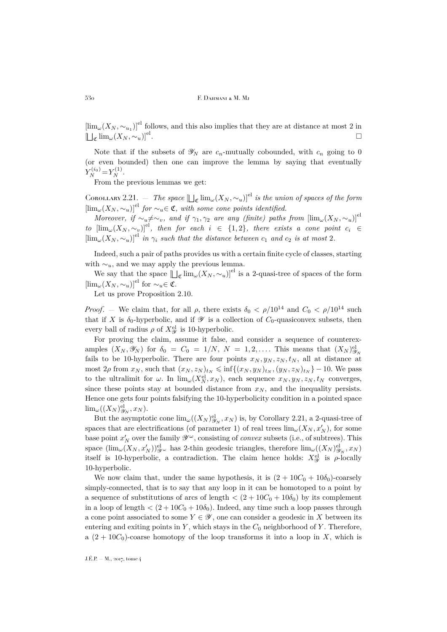$[\lim_{\omega}(X_N, \sim_{u_1})]^{\text{el}}$  follows, and this also implies that they are at distance at most 2 in  $\left[\Box_{\mathfrak{C}}\lim_{\omega}(X_N,\sim_u)\right]^{\mathrm{el}}$ .

Note that if the subsets of  $\mathscr{Y}_N$  are  $c_n$ -mutually cobounded, with  $c_n$  going to 0 (or even bounded) then one can improve the lemma by saying that eventually  $Y_N^{(i_0)} = Y_N^{(1)}$ .

From the previous lemmas we get:

<span id="page-16-0"></span>COROLLARY 2.21. — *The space*  $\left[\bigcup_{\mathfrak{C}} \lim_{\omega}(X_N, \sim_u)\right]^{\text{el}}$  *is the union of spaces of the form*  $[\lim_{\omega}(X_N, \sim_u)]^{el}$  *for*  $\sim_u \in \mathfrak{C}$ *, with some cone points identified.* 

*Moreover, if*  $\sim_u \neq \sim_v$ , and if  $\gamma_1, \gamma_2$  are any (finite) paths from  $[\lim_{\omega}(X_N, \sim_u)]^{\text{el}}$ *to*  $[\lim_{\omega} (X_N, \sim_v)]^{el}$ *, then for each*  $i \in \{1,2\}$ *, there exists a cone point*  $c_i \in$  $[\lim_{\omega} (X_N, \sim_u)]^{el}$  *in*  $\gamma_i$  *such that the distance between*  $c_1$  *and*  $c_2$  *is at most* 2*.* 

Indeed, such a pair of paths provides us with a certain finite cycle of classes, starting with  $\sim_u$ , and we may apply the previous lemma.

We say that the space  $\left[\bigcup_{\mathfrak{C}}\lim_{\omega}(X_N,\sim_u)\right]^{\mathrm{el}}$  is a 2-quasi-tree of spaces of the form  $[\lim_{\omega} (X_N, \sim_u)]^{el}$  for  $\sim_u \in \mathfrak{C}$ .

Let us prove Proposition [2.10.](#page-8-0)

*Proof.* — We claim that, for all  $\rho$ , there exists  $\delta_0 < \rho/10^{14}$  and  $C_0 < \rho/10^{14}$  such that if X is  $\delta_0$ -hyperbolic, and if  $\mathscr Y$  is a collection of  $C_0$ -quasiconvex subsets, then every ball of radius  $\rho$  of  $X_{\mathscr{Y}}^{\text{el}}$  is 10-hyperbolic.

For proving the claim, assume it false, and consider a sequence of counterexamples  $(X_N, \mathscr{Y}_N)$  for  $\delta_0 = C_0 = 1/N$ ,  $N = 1, 2, \ldots$ . This means that  $(X_N)_{\mathscr{Y}_N}^{\text{el}}$ fails to be 10-hyperbolic. There are four points  $x_N, y_N, z_N, t_N$ , all at distance at most  $2\rho$  from  $x_N$ , such that  $(x_N, z_N)_{t_N} \leq \inf\{(x_N, y_N)_{t_N}, (y_N, z_N)_{t_N}\} - 10$ . We pass to the ultralimit for  $\omega$ . In  $\lim_{\omega}(X_N^{\text{el}}, x_N)$ , each sequence  $x_N, y_N, z_N, t_N$  converges, since these points stay at bounded distance from  $x_N$ , and the inequality persists. Hence one gets four points falsifying the 10-hyperbolicity condition in a pointed space  $\lim_{\omega}((X_N)^{\mathrm{el}}_{\mathscr{Y}_N},x_N).$ 

But the asymptotic cone  $\lim_{\omega}((X_N)_{\mathscr{Y}_N}^{\text{el}}, x_N)$  is, by Corollary [2.21,](#page-16-0) a 2-quasi-tree of spaces that are electrifications (of parameter 1) of real trees  $\lim_{\omega}(X_N, x'_N)$ , for some base point  $x'_N$  over the family  $\mathscr{Y}^\omega$ , consisting of *convex* subsets (i.e., of subtrees). This space  $(\lim_{\omega}(X_N, x_N'))_{\mathscr{Y}}^{\text{el}}$  has 2-thin geodesic triangles, therefore  $\lim_{\omega}((X_N)_{\mathscr{Y}_N}^{\text{el}}, x_N)$ itself is 10-hyperbolic, a contradiction. The claim hence holds:  $X_{\mathscr{Y}}^{\text{el}}$  is  $\rho$ -locally 10-hyperbolic.

We now claim that, under the same hypothesis, it is  $(2 + 10C_0 + 10\delta_0)$ -coarsely simply-connected, that is to say that any loop in it can be homotoped to a point by a sequence of substitutions of arcs of length  $\langle (2 + 10C_0 + 10\delta_0) \rangle$  by its complement in a loop of length  $\langle (2+10C_0+10\delta_0)$ . Indeed, any time such a loop passes through a cone point associated to some  $Y \in \mathscr{Y}$ , one can consider a geodesic in X between its entering and exiting points in Y, which stays in the  $C_0$  neighborhood of Y. Therefore, a  $(2 + 10C_0)$ -coarse homotopy of the loop transforms it into a loop in X, which is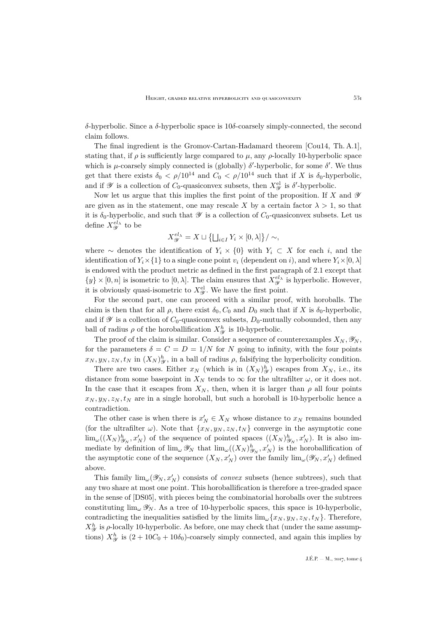δ-hyperbolic. Since a δ-hyperbolic space is 10δ-coarsely simply-connected, the second claim follows.

The final ingredient is the Gromov-Cartan-Hadamard theorem [\[Cou14,](#page-41-14) Th. A.1], stating that, if  $\rho$  is sufficiently large compared to  $\mu$ , any  $\rho$ -locally 10-hyperbolic space which is  $\mu$ -coarsely simply connected is (globally)  $\delta'$ -hyperbolic, for some  $\delta'$ . We thus get that there exists  $\delta_0 < \rho/10^{14}$  and  $C_0 < \rho/10^{14}$  such that if X is  $\delta_0$ -hyperbolic, and if  $\mathscr Y$  is a collection of  $C_0$ -quasiconvex subsets, then  $X_{\mathscr Y}^{\text{el}}$  is  $\delta'$ -hyperbolic.

Now let us argue that this implies the first point of the proposition. If X and  $\mathscr Y$ are given as in the statement, one may rescale X by a certain factor  $\lambda > 1$ , so that it is  $\delta_0$ -hyperbolic, and such that  $\mathscr Y$  is a collection of  $C_0$ -quasiconvex subsets. Let us define  $X^{el_\lambda}_{\mathscr{Y}}$  to be

$$
X_{\mathscr{Y}}^{el_{\lambda}} = X \sqcup \left\{ \bigsqcup_{i \in I} Y_i \times [0, \lambda] \right\} / \sim,
$$

where ∼ denotes the identification of  $Y_i \times \{0\}$  with  $Y_i \subset X$  for each i, and the identification of  $Y_i \times \{1\}$  to a single cone point  $v_i$  (dependent on i), and where  $Y_i \times [0, \lambda]$ is endowed with the product metric as defined in the first paragraph of [2.1](#page-4-1) except that  $\{y\} \times [0,n]$  is isometric to  $[0,\lambda]$ . The claim ensures that  $X_{\mathscr{Y}}^{el_{\lambda}}$  is hyperbolic. However, it is obviously quasi-isometric to  $X^{\text{el}}_{\mathscr{Y}}$ . We have the first point.

For the second part, one can proceed with a similar proof, with horoballs. The claim is then that for all  $\rho$ , there exist  $\delta_0$ ,  $C_0$  and  $D_0$  such that if X is  $\delta_0$ -hyperbolic, and if  $\mathscr Y$  is a collection of  $C_0$ -quasiconvex subsets,  $D_0$ -mutually cobounded, then any ball of radius  $\rho$  of the horoballification  $X_{\mathscr{Y}}^{h}$  is 10-hyperbolic.

The proof of the claim is similar. Consider a sequence of counterexamples  $X_N, \mathscr{Y}_N$ , for the parameters  $\delta = C = D = 1/N$  for N going to infinity, with the four points  $x_N, y_N, z_N, t_N$  in  $(X_N)_{\mathscr{Y}}^h$ , in a ball of radius  $\rho$ , falsifying the hyperbolicity condition.

There are two cases. Either  $x_N$  (which is in  $(X_N)_{\mathcal{Y}}^h$ ) escapes from  $X_N$ , i.e., its distance from some basepoint in  $X_N$  tends to  $\infty$  for the ultrafilter  $\omega$ , or it does not. In the case that it escapes from  $X_N$ , then, when it is larger than  $\rho$  all four points  $x_N, y_N, z_N, t_N$  are in a single horoball, but such a horoball is 10-hyperbolic hence a contradiction.

The other case is when there is  $x'_N \in X_N$  whose distance to  $x_N$  remains bounded (for the ultrafilter  $\omega$ ). Note that  $\{x_N, y_N, z_N, t_N\}$  converge in the asymptotic cone  $\lim_{\omega}((X_N)_{\mathscr{Y}_N}^h,x'_N)$  of the sequence of pointed spaces  $((X_N)_{\mathscr{Y}_N}^h,x'_N)$ . It is also immediate by definition of  $\lim_{\omega} \mathscr{Y}_N$  that  $\lim_{\omega} ((X_N)_{\mathscr{Y}_N}^h, x'_N)$  is the horoballification of the asymptotic cone of the sequence  $(X_N, x'_N)$  over the family  $\lim_{\omega}(\mathscr{Y}_N, x'_N)$  defined above.

This family  $\lim_{\omega}(\mathscr{Y}_N, x'_N)$  consists of *convex* subsets (hence subtrees), such that any two share at most one point. This horoballification is therefore a tree-graded space in the sense of [\[DS05\]](#page-41-15), with pieces being the combinatorial horoballs over the subtrees constituting  $\lim_{\omega} \mathscr{Y}_N$ . As a tree of 10-hyperbolic spaces, this space is 10-hyperbolic, contradicting the inequalities satisfied by the limits  $\lim_{\omega} \{x_N, y_N, z_N, t_N\}$ . Therefore,  $X^h_{\mathscr{Y}}$  is  $\rho$ -locally 10-hyperbolic. As before, one may check that (under the same assumptions)  $X_{\mathcal{Y}}^h$  is  $(2+10C_0+10\delta_0)$ -coarsely simply connected, and again this implies by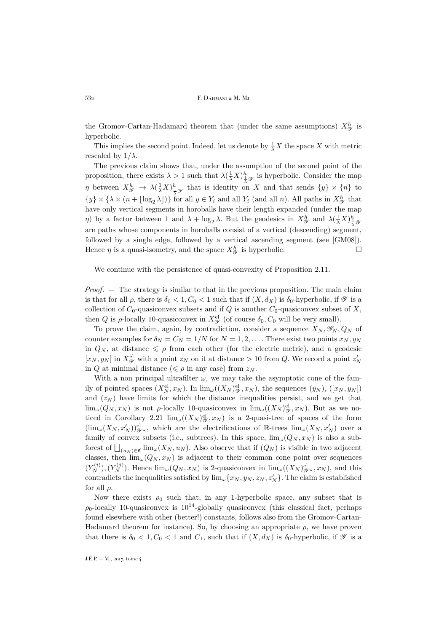the Gromov-Cartan-Hadamard theorem that (under the same assumptions)  $X_{\mathscr{Y}}^{h}$  is hyperbolic.

This implies the second point. Indeed, let us denote by  $\frac{1}{\lambda}X$  the space X with metric rescaled by  $1/\lambda$ .

The previous claim shows that, under the assumption of the second point of the proposition, there exists  $\lambda > 1$  such that  $\lambda(\frac{1}{\lambda}X)^h_{\frac{1}{\lambda}\mathscr{Y}}$  is hyperbolic. Consider the map  $\eta$  between  $X^h_{\mathscr{Y}} \to \lambda(\frac{1}{\lambda}X)^h_{\frac{1}{\lambda}\mathscr{Y}}$  that is identity on X and that sends  $\{y\} \times \{n\}$  to  $\{y\} \times \{\lambda \times (n + \lfloor \log_2 \lambda \rfloor)\}\)$  for all  $y \in Y_i$  and all  $Y_i$  (and all n). All paths in  $X_{\mathscr{Y}}^h$  that have only vertical segments in horoballs have their length expanded (under the map η) by a factor between 1 and  $\lambda + \log_2 \lambda$ . But the geodesics in  $X^h_{\mathscr{Y}}$  and  $\lambda(\frac{1}{\lambda}X)^h_{\frac{1}{\lambda}\mathscr{Y}}$ are paths whose components in horoballs consist of a vertical (descending) segment, followed by a single edge, followed by a vertical ascending segment (see [\[GM08\]](#page-41-11)). Hence  $\eta$  is a quasi-isometry, and the space  $X_{\mathscr{Y}}^h$  is hyperbolic.

We continue with the persistence of quasi-convexity of Proposition [2.11.](#page-8-1)

*Proof*. — The strategy is similar to that in the previous proposition. The main claim is that for all  $\rho$ , there is  $\delta_0 < 1, C_0 < 1$  such that if  $(X, d_X)$  is  $\delta_0$ -hyperbolic, if  $\mathscr Y$  is a collection of  $C_0$ -quasiconvex subsets and if Q is another  $C_0$ -quasiconvex subset of X, then Q is  $\rho$ -locally 10-quasiconvex in  $X^{\text{el}}_{\mathscr{Y}}$  (of course  $\delta_0$ ,  $C_0$  will be very small).

To prove the claim, again, by contradiction, consider a sequence  $X_N, \mathscr{Y}_N, Q_N$  of counter examples for  $\delta_N = C_N = 1/N$  for  $N = 1, 2, \ldots$ . There exist two points  $x_N, y_N$ in  $Q_N$ , at distance  $\leq \rho$  from each other (for the electric metric), and a geodesic  $[x_N, y_N]$  in  $X^{\text{el}}_{\mathcal{Y}}$  with a point  $z_N$  on it at distance  $> 10$  from Q. We record a point  $z'_N$ in Q at minimal distance ( $\leq \rho$  in any case) from  $z_N$ .

With a non principal ultrafilter  $\omega$ , we may take the asymptotic cone of the family of pointed spaces  $(X_N^{\text{el}}, x_N)$ . In  $\lim_{\omega}((X_N)^{\text{el}}_{\mathcal{Y}}, x_N)$ , the sequences  $(y_N)$ ,  $([x_N, y_N])$ and  $(z_N)$  have limits for which the distance inequalities persist, and we get that  $\lim_{\omega}(Q_N, x_N)$  is not  $\rho$ -locally 10-quasiconvex in  $\lim_{\omega}((X_N)^{\text{el}}_{\mathscr{Y}}, x_N)$ . But as we no-ticed in Corollary [2.21](#page-16-0)  $\lim_{\omega}((X_N)^{\mathrm{el}}_{\mathscr{Y}},x_N)$  is a 2-quasi-tree of spaces of the form  $(\lim_{\omega}(X_N, x'_N))_{\mathscr{Y}^{\omega}}^{\text{el}},$  which are the electrifications of  $\mathbb{R}$ -trees  $\lim_{\omega}(X_N, x'_N)$  over a family of convex subsets (i.e., subtrees). In this space,  $\lim_{\omega}(Q_N, x_N)$  is also a subforest of  $\bigsqcup_{(u_N)\in\mathfrak{C}}\lim_{\omega}(X_N, u_N)$ . Also observe that if  $(Q_N)$  is visible in two adjacent classes, then  $\lim_{\omega(Q_N, x_N)}$  is adjacent to their common cone point over sequences  $(Y_N^{(i)}), (Y_N^{(j)})$ . Hence  $\lim_{\omega}(Q_N, x_N)$  is 2-quasiconvex in  $\lim_{\omega}((X_N)_{\mathscr{Y}^{\omega}}^{\mathrm{el}}, x_N)$ , and this contradicts the inequalities satisfied by  $\lim_{\omega} \{x_N, y_N, z_N, z'_N\}$ . The claim is established for all  $\rho$ .

Now there exists  $\rho_0$  such that, in any 1-hyperbolic space, any subset that is  $\rho_0$ -locally 10-quasiconvex is  $10^{14}$ -globally quasiconvex (this classical fact, perhaps found elsewhere with other (better!) constants, follows also from the Gromov-Cartan-Hadamard theorem for instance). So, by choosing an appropriate  $\rho$ , we have proven that there is  $\delta_0 < 1, C_0 < 1$  and  $C_1$ , such that if  $(X, d_X)$  is  $\delta_0$ -hyperbolic, if  $\mathscr Y$  is a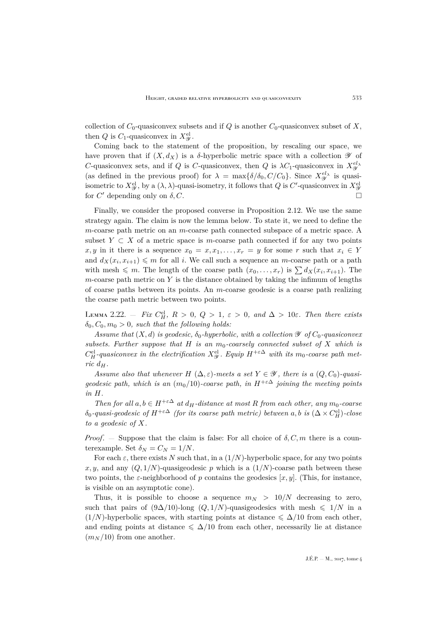collection of  $C_0$ -quasiconvex subsets and if Q is another  $C_0$ -quasiconvex subset of X, then Q is  $C_1$ -quasiconvex in  $X_{\mathscr{Y}}^{\text{el}}$ .

Coming back to the statement of the proposition, by rescaling our space, we have proven that if  $(X, d_X)$  is a  $\delta$ -hyperbolic metric space with a collection  $\mathscr Y$  of C-quasiconvex sets, and if Q is C-quasiconvex, then Q is  $\lambda C_1$ -quasiconvex in  $X_{\mathscr{Y}}^{el}$ (as defined in the previous proof) for  $\lambda = \max{\{\delta/\delta_0, C/C_0\}}$ . Since  $X_{\mathscr{Y}}^{el_{\lambda}}$  is quasiisometric to  $X^{\text{el}}_{\mathscr{Y}}$ , by a  $(\lambda, \lambda)$ -quasi-isometry, it follows that  $Q$  is  $C'$ -quasiconvex in  $X^{\text{el}}_{\mathscr{Y}}$ for  $C'$  depending only on  $\delta, C$ .

Finally, we consider the proposed converse in Proposition [2.12.](#page-9-0) We use the same strategy again. The claim is now the lemma below. To state it, we need to define the m-coarse path metric on an m-coarse path connected subspace of a metric space. A subset  $Y \subset X$  of a metric space is m-coarse path connected if for any two points x, y in it there is a sequence  $x_0 = x, x_1, \ldots, x_r = y$  for some r such that  $x_i \in Y$ and  $d_X(x_i, x_{i+1}) \leq m$  for all i. We call such a sequence an m-coarse path or a path with mesh  $\leqslant m$ . The length of the coarse path  $(x_0, \ldots, x_r)$  is  $\sum d_X(x_i, x_{i+1})$ . The m-coarse path metric on  $Y$  is the distance obtained by taking the infimum of lengths of coarse paths between its points. An m-coarse geodesic is a coarse path realizing the coarse path metric between two points.

LEMMA 2.22.  $-$  *Fix*  $C_H^{\text{el}}$ ,  $R > 0$ ,  $Q > 1$ ,  $\varepsilon > 0$ , and  $\Delta > 10\varepsilon$ . Then there exists  $\delta_0, C_0, m_0 > 0$ , such that the following holds:

*Assume that*  $(X, d)$  *is geodesic,*  $\delta_0$ *-hyperbolic, with a collection*  $\mathscr Y$  *of*  $C_0$ *-quasiconvex subsets. Further suppose that*  $H$  *is an*  $m_0$ -coarsely connected subset of  $X$  which is  $C_H^{\text{el}}$ -quasiconvex in the electrification  $X_{\mathscr{Y}}^{\text{el}}$ . Equip  $H^{+\varepsilon \Delta}$  with its m<sub>0</sub>-coarse path met*ric*  $d_H$ .

*Assume also that whenever*  $H(\Delta, \varepsilon)$ -meets a set  $Y \in \mathcal{Y}$ , there is a  $(Q, C_0)$ -quasi*geodesic path, which is an*  $(m_0/10)$ *-coarse path, in*  $H^{+\epsilon\Delta}$  *joining the meeting points in* H*.*

*Then for all*  $a, b \in H^{+\varepsilon \Delta}$  *at*  $d_H$ -distance at most R from each other, any  $m_0$ -coarse  $\delta_0$ -quasi-geodesic of  $H^{+\varepsilon\Delta}$  (for its coarse path metric) between a,b is  $(\Delta \times C_H^{\rm el})$ -close *to a geodesic of* X*.*

*Proof.* — Suppose that the claim is false: For all choice of  $\delta$ , C, m there is a counterexample. Set  $\delta_N = C_N = 1/N$ .

For each  $\varepsilon$ , there exists N such that, in a  $(1/N)$ -hyperbolic space, for any two points x, y, and any  $(Q, 1/N)$ -quasigeodesic p which is a  $(1/N)$ -coarse path between these two points, the  $\varepsilon$ -neighborhood of p contains the geodesics [x, y]. (This, for instance, is visible on an asymptotic cone).

Thus, it is possible to choose a sequence  $m_N > 10/N$  decreasing to zero, such that pairs of  $(9\Delta/10)$ -long  $(Q, 1/N)$ -quasigeodesics with mesh  $\leq 1/N$  in a  $(1/N)$ -hyperbolic spaces, with starting points at distance  $\leq \Delta/10$  from each other, and ending points at distance  $\leq \Delta/10$  from each other, necessarily lie at distance  $(m_N / 10)$  from one another.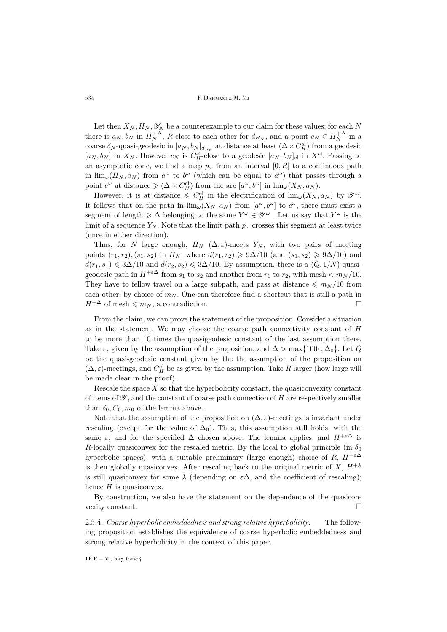Let then  $X_N, H_N, \mathscr{Y}_N$  be a counterexample to our claim for these values: for each N there is  $a_N, b_N$  in  $H_N^{+\Delta}$ , R-close to each other for  $d_{H_N}$ , and a point  $c_N \in H_N^{+\Delta}$  in a coarse  $\delta_N$ -quasi-geodesic in  $[a_N, b_N]_{d_{H_n}}$  at distance at least  $(\Delta \times C_H^{\text{el}})$  from a geodesic  $[a_N, b_N]$  in  $X_N$ . However  $c_N$  is  $C_H^{\text{el}}$ -close to a geodesic  $[a_N, b_N]_{\text{el}}$  in  $X^{\text{el}}$ . Passing to an asymptotic cone, we find a map  $p_{\omega}$  from an interval  $[0, R]$  to a continuous path in  $\lim_{\omega} (H_N, a_N)$  from  $a^{\omega}$  to  $b^{\omega}$  (which can be equal to  $a^{\omega}$ ) that passes through a point  $c^{\omega}$  at distance  $\geqslant (\Delta \times C_H^{\text{el}})$  from the arc  $[a^{\omega}, b^{\omega}]$  in  $\lim_{\omega} (X_N, a_N)$ .

However, it is at distance  $\leqslant C_H^{\text{el}}$  in the electrification of  $\lim_{\omega}(X_N, a_N)$  by  $\mathscr{Y}^{\omega}$ . It follows that on the path in  $\lim_{\omega}(X_N, a_N)$  from  $[a^{\omega}, b^{\omega}]$  to  $c^{\omega}$ , there must exist a segment of length  $\geqslant \Delta$  belonging to the same  $Y^{\omega} \in \mathscr{Y}^{\omega}$  . Let us say that  $Y^{\omega}$  is the limit of a sequence  $Y_N$ . Note that the limit path  $p_\omega$  crosses this segment at least twice (once in either direction).

Thus, for N large enough,  $H_N$  ( $\Delta, \varepsilon$ )-meets Y<sub>N</sub>, with two pairs of meeting points  $(r_1, r_2), (s_1, s_2)$  in  $H_N$ , where  $d(r_1, r_2) \ge 9\Delta/10$  (and  $(s_1, s_2) \ge 9\Delta/10$ ) and  $d(r_1, s_1) \leq 3\Delta/10$  and  $d(r_2, s_2) \leq 3\Delta/10$ . By assumption, there is a  $(Q, 1/N)$ -quasigeodesic path in  $H^{+\varepsilon\Delta}$  from  $s_1$  to  $s_2$  and another from  $r_1$  to  $r_2$ , with mesh  $\langle m_N/10 \rangle$ . They have to fellow travel on a large subpath, and pass at distance  $\leq m_N / 10$  from each other, by choice of  $m_N$ . One can therefore find a shortcut that is still a path in  $H^{+\Delta}$  of mesh  $\leq m_N$ , a contradiction.

From the claim, we can prove the statement of the proposition. Consider a situation as in the statement. We may choose the coarse path connectivity constant of H to be more than 10 times the quasigeodesic constant of the last assumption there. Take  $\varepsilon$ , given by the assumption of the proposition, and  $\Delta > \max\{100\varepsilon, \Delta_0\}$ . Let Q be the quasi-geodesic constant given by the the assumption of the proposition on  $(\Delta, \varepsilon)$ -meetings, and  $C_H^{\text{el}}$  be as given by the assumption. Take R larger (how large will be made clear in the proof).

Rescale the space  $X$  so that the hyperbolicity constant, the quasiconvexity constant of items of  $\mathscr Y$ , and the constant of coarse path connection of  $H$  are respectively smaller than  $\delta_0$ ,  $C_0$ ,  $m_0$  of the lemma above.

Note that the assumption of the proposition on  $(\Delta, \varepsilon)$ -meetings is invariant under rescaling (except for the value of  $\Delta_0$ ). Thus, this assumption still holds, with the same  $\varepsilon$ , and for the specified  $\Delta$  chosen above. The lemma applies, and  $H^{+\varepsilon\Delta}$  is R-locally quasiconvex for the rescaled metric. By the local to global principle (in  $\delta_0$ ) hyperbolic spaces), with a suitable preliminary (large enough) choice of R,  $H^{+\epsilon\Delta}$ is then globally quasiconvex. After rescaling back to the original metric of X,  $H^{+\lambda}$ is still quasiconvex for some  $\lambda$  (depending on  $\varepsilon \Delta$ , and the coefficient of rescaling); hence  $H$  is quasiconvex.

By construction, we also have the statement on the dependence of the quasiconvexity constant.

2.5.4. *Coarse hyperbolic embeddedness and strong relative hyperbolicity*. — The following proposition establishes the equivalence of coarse hyperbolic embeddedness and strong relative hyperbolicity in the context of this paper.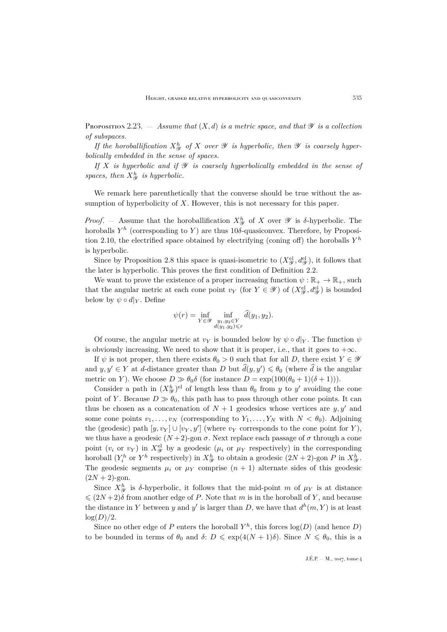<span id="page-21-0"></span>PROPOSITION 2.23.  $-$  *Assume that*  $(X, d)$  *is a metric space, and that*  $\mathscr Y$  *is a collection of subspaces.*

*If the horoballification*  $X_{\mathcal{Y}}^h$  *of* X *over*  $\mathcal{Y}$  *is hyperbolic, then*  $\mathcal{Y}$  *is coarsely hyperbolically embedded in the sense of spaces.*

*If* X *is hyperbolic and if* Y *is coarsely hyperbolically embedded in the sense of* spaces, then  $X_{\mathcal{Y}}^h$  is hyperbolic.

We remark here parenthetically that the converse should be true without the assumption of hyperbolicity of  $X$ . However, this is not necessary for this paper.

*Proof.* – Assume that the horoballification  $X_{\mathcal{Y}}^h$  of X over  $\mathcal{Y}$  is  $\delta$ -hyperbolic. The horoballs  $Y^h$  (corresponding to Y) are thus 10 $\delta$ -quasiconvex. Therefore, by Proposi-tion [2.10,](#page-8-0) the electrified space obtained by electrifying (coning off) the horoballs  $Y^h$ is hyperbolic.

Since by Proposition [2.8](#page-7-0) this space is quasi-isometric to  $(X_{\mathscr{Y}}^{\text{el}}, d_{\mathscr{Y}}^{\text{el}})$ , it follows that the later is hyperbolic. This proves the first condition of Definition [2.2.](#page-5-0)

We want to prove the existence of a proper increasing function  $\psi : \mathbb{R}_+ \to \mathbb{R}_+$ , such that the angular metric at each cone point  $v_Y$  (for  $Y \in \mathscr{Y}$ ) of  $(X_{\mathscr{Y}}^{\text{el}}, d_{\mathscr{Y}}^{\text{el}})$  is bounded below by  $\psi \circ d|_Y$ . Define

$$
\psi(r) = \inf_{Y \in \mathscr{Y}} \inf_{\substack{y_1, y_2 \in Y \\ d(y_1, y_2) \le r}} \hat{d}(y_1, y_2).
$$

Of course, the angular metric at  $v_Y$  is bounded below by  $\psi \circ d|_Y$ . The function  $\psi$ is obviously increasing. We need to show that it is proper, i.e., that it goes to  $+\infty$ .

If  $\psi$  is not proper, then there exists  $\theta_0 > 0$  such that for all D, there exist  $Y \in \mathscr{Y}$ and  $y, y' \in Y$  at d-distance greater than D but  $\hat{d}(y, y') \leq \theta_0$  (where  $\hat{d}$  is the angular metric on Y). We choose  $D \gg \theta_0 \delta$  (for instance  $D = \exp(100(\theta_0 + 1)(\delta + 1))$ ).

Consider a path in  $(X_{\mathscr{Y}}^h)$ <sup>el</sup> of length less than  $\theta_0$  from y to y' avoiding the cone point of Y. Because  $D \gg \theta_0$ , this path has to pass through other cone points. It can thus be chosen as a concatenation of  $N + 1$  geodesics whose vertices are  $y, y'$  and some cone points  $v_1, \ldots, v_N$  (corresponding to  $Y_1, \ldots, Y_N$  with  $N < \theta_0$ ). Adjoining the (geodesic) path  $[y, v_Y] \cup [v_Y, y']$  (where  $v_Y$  corresponds to the cone point for Y), we thus have a geodesic  $(N+2)$ -gon  $\sigma$ . Next replace each passage of  $\sigma$  through a cone point  $(v_i \text{ or } v_Y)$  in  $X^{\text{el}}_{\mathscr{Y}}$  by a geodesic  $(\mu_i \text{ or } \mu_Y \text{ respectively})$  in the corresponding horoball  $(Y_i^h$  or  $Y^h$  respectively) in  $X_{\mathcal{Y}}^h$  to obtain a geodesic  $(2N+2)$ -gon P in  $X_{\mathcal{Y}}^h$ . The geodesic segments  $\mu_i$  or  $\mu_Y$  comprise  $(n + 1)$  alternate sides of this geodesic  $(2N + 2)$ -gon.

Since  $X_{\mathscr{Y}}^h$  is  $\delta$ -hyperbolic, it follows that the mid-point m of  $\mu_Y$  is at distance  $\leqslant (2N+2)\delta$  from another edge of P. Note that m is in the horoball of Y, and because the distance in Y between y and y' is larger than D, we have that  $d^h(m, Y)$  is at least  $log(D)/2$ .

Since no other edge of P enters the horoball  $Y^h$ , this forces  $log(D)$  (and hence D) to be bounded in terms of  $\theta_0$  and  $\delta: D \leq \exp(4(N+1)\delta)$ . Since  $N \leq \theta_0$ , this is a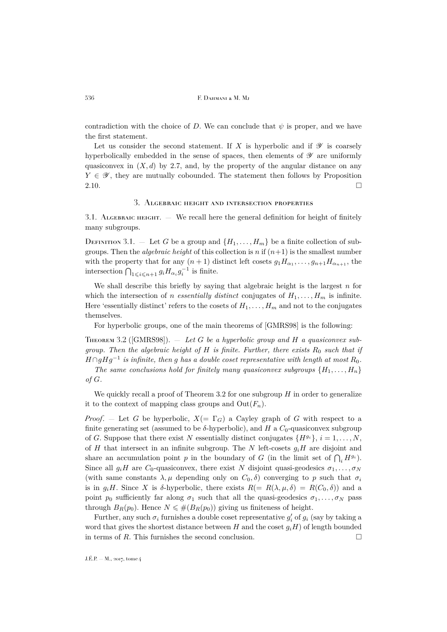contradiction with the choice of D. We can conclude that  $\psi$  is proper, and we have the first statement.

Let us consider the second statement. If X is hyperbolic and if  $\mathscr Y$  is coarsely hyperbolically embedded in the sense of spaces, then elements of  $\mathscr Y$  are uniformly quasiconvex in  $(X, d)$  by [2.7,](#page-7-1) and, by the property of the angular distance on any  $Y \in \mathscr{Y}$ , they are mutually cobounded. The statement then follows by Proposition  $2.10.$ 

## 3. Algebraic height and intersection properties

<span id="page-22-0"></span>3.1. ALGEBRAIC HEIGHT.  $-$  We recall here the general definition for height of finitely many subgroups.

DEFINITION 3.1. – Let G be a group and  $\{H_1, \ldots, H_m\}$  be a finite collection of subgroups. Then the *algebraic height* of this collection is n if  $(n+1)$  is the smallest number with the property that for any  $(n+1)$  distinct left cosets  $g_1H_{\alpha_1},\ldots,g_{n+1}H_{\alpha_{n+1}}$ , the intersection  $\bigcap_{1\leqslant i\leqslant n+1}g_iH_{\alpha_i}g_i^{-1}$  is finite.

We shall describe this briefly by saying that algebraic height is the largest  $n$  for which the intersection of *n essentially distinct* conjugates of  $H_1, \ldots, H_m$  is infinite. Here 'essentially distinct' refers to the cosets of  $H_1, \ldots, H_m$  and not to the conjugates themselves.

For hyperbolic groups, one of the main theorems of [\[GMRS98\]](#page-41-1) is the following:

<span id="page-22-1"></span>Theorem 3.2 ([\[GMRS98\]](#page-41-1)). — *Let* G *be a hyperbolic group and* H *a quasiconvex subgroup. Then the algebraic height of*  $H$  *is finite. Further, there exists*  $R_0$  *such that if*  $H ∩gHg<sup>-1</sup>$  *is infinite, then* g *has a double coset representative with length at most*  $R_0$ *. The same conclusions hold for finitely many quasiconvex subgroups*  $\{H_1, \ldots, H_n\}$ 

*of* G*.*

We quickly recall a proof of Theorem [3.2](#page-22-1) for one subgroup  $H$  in order to generalize it to the context of mapping class groups and  $Out(F_n)$ .

*Proof.* – Let G be hyperbolic,  $X(=\Gamma_G)$  a Cayley graph of G with respect to a finite generating set (assumed to be  $\delta$ -hyperbolic), and H a  $C_0$ -quasiconvex subgroup of G. Suppose that there exist N essentially distinct conjugates  $\{H^{g_i}\}, i=1,\ldots,N,$ of H that intersect in an infinite subgroup. The N left-cosets  $q_iH$  are disjoint and share an accumulation point p in the boundary of G (in the limit set of  $\bigcap_i H^{g_i}$ ). Since all  $g_iH$  are  $C_0$ -quasiconvex, there exist N disjoint quasi-geodesics  $\sigma_1, \ldots, \sigma_N$ (with same constants  $\lambda, \mu$  depending only on  $C_0, \delta$ ) converging to p such that  $\sigma_i$ is in  $g_iH$ . Since X is δ-hyperbolic, there exists  $R(= R(\lambda, \mu, \delta) = R(C_0, \delta))$  and a point  $p_0$  sufficiently far along  $\sigma_1$  such that all the quasi-geodesics  $\sigma_1, \ldots, \sigma_N$  pass through  $B_R(p_0)$ . Hence  $N \leq \#(B_R(p_0))$  giving us finiteness of height.

Further, any such  $\sigma_i$  furnishes a double coset representative  $g'_i$  of  $g_i$  (say by taking a word that gives the shortest distance between  $H$  and the coset  $g_iH$ ) of length bounded in terms of R. This furnishes the second conclusion.  $\square$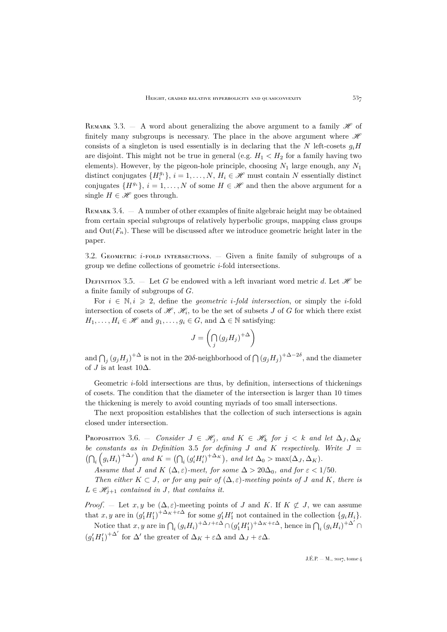REMARK 3.3.  $-$  A word about generalizing the above argument to a family  $\mathscr{H}$  of finitely many subgroups is necessary. The place in the above argument where  $\mathcal{H}$ consists of a singleton is used essentially is in declaring that the N left-cosets  $g_iH$ are disjoint. This might not be true in general (e.g.  $H_1 < H_2$  for a family having two elements). However, by the pigeon-hole principle, choosing  $N_1$  large enough, any  $N_1$ distinct conjugates  $\{H_i^{g_i}\}, i=1,\ldots,N$ ,  $H_i \in \mathcal{H}$  must contain N essentially distinct conjugates  $\{H^{g_i}\}, i = 1, ..., N$  of some  $H \in \mathcal{H}$  and then the above argument for a single  $H \in \mathcal{H}$  goes through.

REMARK  $3.4. - A$  number of other examples of finite algebraic height may be obtained from certain special subgroups of relatively hyperbolic groups, mapping class groups and  $Out(F_n)$ . These will be discussed after we introduce geometric height later in the paper.

3.2. GEOMETRIC  $i$ -FOLD INTERSECTIONS.  $-$  Given a finite family of subgroups of a group we define collections of geometric i-fold intersections.

<span id="page-23-0"></span>DEFINITION 3.5. — Let G be endowed with a left invariant word metric d. Let  $\mathscr H$  be a finite family of subgroups of G.

For  $i \in \mathbb{N}, i \geq 2$ , define the *geometric i-fold intersection*, or simply the *i*-fold intersection of cosets of  $\mathscr{H}, \mathscr{H}_i$ , to be the set of subsets J of G for which there exist  $H_1, \ldots, H_i \in \mathcal{H}$  and  $g_1, \ldots, g_i \in G$ , and  $\Delta \in \mathbb{N}$  satisfying:

$$
J = \left(\bigcap_j (g_j H_j)^{+\Delta}\right)
$$

and  $\bigcap_j (g_j H_j)^{+\Delta}$  is not in the 20δ-neighborhood of  $\bigcap (g_j H_j)^{+\Delta-2\delta}$ , and the diameter of J is at least  $10\Delta$ .

Geometric  $i$ -fold intersections are thus, by definition, intersections of thickenings of cosets. The condition that the diameter of the intersection is larger than 10 times the thickening is merely to avoid counting myriads of too small intersections.

The next proposition establishes that the collection of such intersections is again closed under intersection.

<span id="page-23-1"></span>Proposition 3.6. — *Consider*  $J \in \mathcal{H}_j$ , and  $K \in \mathcal{H}_k$  for  $j < k$  and let  $\Delta_J, \Delta_K$ *be constants as in Definition* [3.5](#page-23-0) *for defining* J *and* K *respectively. Write* J =  $\left(\bigcap_i \left(g_i H_i\right)^{+\Delta_J}\right)$  and  $K = \left(\bigcap_i \left(g'_i H'_i\right)^{+\Delta_K}\right)$ , and let  $\Delta_0 > \max(\Delta_J, \Delta_K)$ .

*Assume that* J and K  $(\Delta, \varepsilon)$ -meet, for some  $\Delta > 20\Delta_0$ , and for  $\varepsilon < 1/50$ .

*Then either*  $K \subset J$ *, or for any pair of*  $(\Delta, \varepsilon)$ *-meeting points of* J *and* K, *there is*  $L \in \mathcal{H}_{j+1}$  *contained in J, that contains it.* 

*Proof.* – Let  $x, y$  be  $(\Delta, \varepsilon)$ -meeting points of J and K. If  $K \not\subset J$ , we can assume that x, y are in  $(g'_1 H'_1)^{+\Delta_K + \varepsilon \Delta}$  for some  $g'_1 H'_1$  not contained in the collection  $\{g_i H_i\}$ .

Notice that x, y are in  $\bigcap_i (g_i H_i)^{+\Delta_J+\epsilon\Delta} \cap (g'_1 H'_1)^{+\Delta_K+\epsilon\Delta}$ , hence in  $\bigcap_i (g_i H_i)^{+\Delta'}$  $(g'_1 H'_1)^{+\Delta'}$  for  $\Delta'$  the greater of  $\Delta_K + \varepsilon \Delta$  and  $\Delta_J + \varepsilon \Delta$ .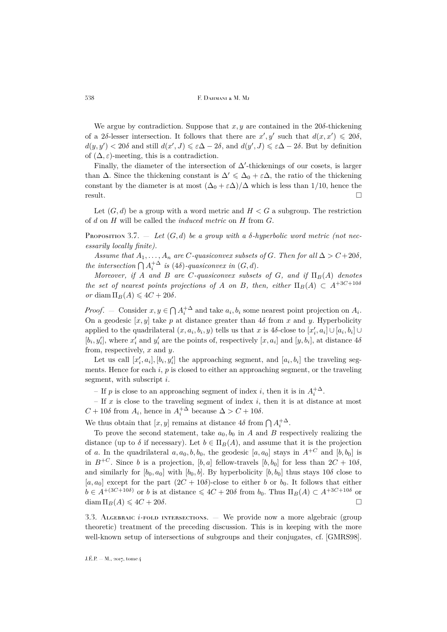We argue by contradiction. Suppose that  $x, y$  are contained in the 20 $\delta$ -thickening of a 2δ-lesser intersection. It follows that there are  $x', y'$  such that  $d(x, x') \leq 20\delta$ ,  $d(y, y') < 20\delta$  and still  $d(x', J) \leq \varepsilon \Delta - 2\delta$ , and  $d(y', J) \leq \varepsilon \Delta - 2\delta$ . But by definition of  $(\Delta, \varepsilon)$ -meeting, this is a contradiction.

Finally, the diameter of the intersection of  $\Delta'$ -thickenings of our cosets, is larger than  $\Delta$ . Since the thickening constant is  $\Delta' \leq \Delta_0 + \varepsilon \Delta$ , the ratio of the thickening constant by the diameter is at most  $(\Delta_0 + \varepsilon \Delta)/\Delta$  which is less than 1/10, hence the result.

Let  $(G, d)$  be a group with a word metric and  $H < G$  a subgroup. The restriction of d on H will be called the *induced metric* on H from G.

<span id="page-24-0"></span>Proposition 3.7.  $-$  Let  $(G, d)$  be a group with a  $\delta$ -hyperbolic word metric (not nec*essarily locally finite).*

*Assume that*  $A_1, \ldots, A_n$  *are*  $C$ *-quasiconvex subsets of*  $G$ *. Then for all*  $\Delta > C + 20\delta$ *, the intersection*  $\bigcap A_i^{+\Delta}$  *is* (4 $\delta$ )*-quasiconvex in* (*G*, *d*)*.* 

*Moreover, if* A *and* B are C-quasiconvex subsets of G, and if  $\Pi_B(A)$  denotes *the set of nearest points projections of* A *on* B, then, either  $\Pi_B(A) \subset A^{+3C+10\delta}$ *or* diam  $\Pi_B(A) \leq 4C + 20\delta$ .

*Proof.* – Consider  $x, y \in \bigcap A_i^{\{+\Delta\}}$  and take  $a_i, b_i$  some nearest point projection on  $A_i$ . On a geodesic  $[x, y]$  take p at distance greater than 4 $\delta$  from x and y. Hyperbolicity applied to the quadrilateral  $(x, a_i, b_i, y)$  tells us that x is 4 $\delta$ -close to  $[x'_i, a_i] \cup [a_i, b_i] \cup$  $[b_i, y'_i]$ , where  $x'_i$  and  $y'_i$  are the points of, respectively  $[x, a_i]$  and  $[y, b_i]$ , at distance  $4\delta$ from, respectively,  $x$  and  $y$ .

Let us call  $[x'_i, a_i], [b_i, y'_i]$  the approaching segment, and  $[a_i, b_i]$  the traveling segments. Hence for each i,  $p$  is closed to either an approaching segment, or the traveling segment, with subscript i.

– If p is close to an approaching segment of index *i*, then it is in  $A_i^{+\Delta}$ .

– If  $x$  is close to the traveling segment of index  $i$ , then it is at distance at most  $C + 10\delta$  from  $A_i$ , hence in  $A_i^{+\Delta}$  because  $\Delta > C + 10\delta$ .

We thus obtain that  $[x, y]$  remains at distance  $4\delta$  from  $\bigcap A_i^{+\Delta}$ .

To prove the second statement, take  $a_0, b_0$  in A and B respectively realizing the distance (up to  $\delta$  if necessary). Let  $b \in \Pi_B(A)$ , and assume that it is the projection of a. In the quadrilateral  $a, a_0, b, b_0$ , the geodesic  $[a, a_0]$  stays in  $A^{+C}$  and  $[b, b_0]$  is in  $B^{+C}$ . Since b is a projection, [b, a] fellow-travels [b, b<sub>0</sub>] for less than  $2C + 10\delta$ , and similarly for  $[b_0, a_0]$  with  $[b_0, b]$ . By hyperbolicity  $[b, b_0]$  thus stays 10 $\delta$  close to [a, a<sub>0</sub>] except for the part  $(2C + 10\delta)$ -close to either b or b<sub>0</sub>. It follows that either  $b \in A^{+(3C+10\delta)}$  or b is at distance  $\leqslant 4C + 20\delta$  from  $b_0$ . Thus  $\Pi_B(A) \subset A^{+3C+10\delta}$  or  $\text{diam } \Pi_B(A) \leq 4C + 20\delta.$ 

3.3. ALGEBRAIC  $i$ -FOLD INTERSECTIONS. — We provide now a more algebraic (group theoretic) treatment of the preceding discussion. This is in keeping with the more well-known setup of intersections of subgroups and their conjugates, cf. [\[GMRS98\]](#page-41-1).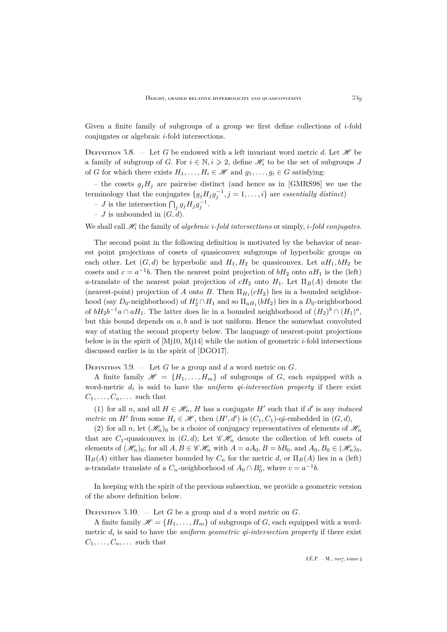Given a finite family of subgroups of a group we first define collections of  $i$ -fold conjugates or algebraic i-fold intersections.

DEFINITION 3.8. — Let G be endowed with a left invariant word metric d. Let  $\mathscr H$  be a family of subgroup of G. For  $i \in \mathbb{N}, i \geq 2$ , define  $\mathcal{H}_i$  to be the set of subgroups J of G for which there exists  $H_1, \ldots, H_i \in \mathcal{H}$  and  $g_1, \ldots, g_i \in G$  satisfying:

– the cosets  $g_jH_j$  are pairwise distinct (and hence as in [\[GMRS98\]](#page-41-1) we use the terminology that the conjugates  ${g_j H_j g_j^{-1}, j = 1, ..., i}$  are *essentially distinct*)

- *J* is the intersection  $\bigcap_j g_j H_j g_j^{-1}$ .
- $J$  is unbounded in  $(G, d)$ .

We shall call  $\mathcal{H}_i$  the family of *algebraic i-fold intersections* or simply, *i-fold conjugates*.

The second point in the following definition is motivated by the behavior of nearest point projections of cosets of quasiconvex subgroups of hyperbolic groups on each other. Let  $(G, d)$  be hyperbolic and  $H_1, H_2$  be quasiconvex. Let  $aH_1, bH_2$  be cosets and  $c = a^{-1}b$ . Then the nearest point projection of  $bH_2$  onto  $aH_1$  is the (left) a-translate of the nearest point projection of  $cH_2$  onto  $H_1$ . Let  $\Pi_B(A)$  denote the (nearest-point) projection of A onto B. Then  $\Pi_{H_1}(cH_2)$  lies in a bounded neighborhood (say  $D_0$ -neighborhood) of  $H_2^c \cap H_1$  and so  $\Pi_{aH_1}(bH_2)$  lies in a  $D_0$ -neighborhood of  $bH_2b^{-1}a\cap aH_1$ . The latter does lie in a bounded neighborhood of  $(H_2)^b\cap (H_1)^a$ , but this bound depends on  $a, b$  and is not uniform. Hence the somewhat convoluted way of stating the second property below. The language of nearest-point projections below is in the spirit of  $[M_110, M_114]$  while the notion of geometric *i*-fold intersections discussed earlier is in the spirit of [\[DGO17\]](#page-41-9).

DEFINITION 3.9. - Let G be a group and d a word metric on  $G$ .

A finite family  $\mathscr{H} = \{H_1, \ldots, H_m\}$  of subgroups of G, each equipped with a word-metric  $d_i$  is said to have the *uniform qi-intersection property* if there exist  $C_1, \ldots, C_n, \ldots$  such that

(1) for all  $n$ , and all  $H \in \mathcal{H}_n$ , H has a conjugate H' such that if d' is any *induced metric* on *H'* from some  $H_i \in \mathcal{H}$ , then  $(H', d')$  is  $(C_1, C_1)$ -qi-embedded in  $(G, d)$ ,

<span id="page-25-0"></span>(2) for all n, let  $(\mathscr{H}_n)$  be a choice of conjugacy representatives of elements of  $\mathscr{H}_n$ that are  $C_1$ -quasiconvex in  $(G, d)$ ; Let  $\mathscr{CH}_n$  denote the collection of left cosets of elements of  $(\mathscr{H}_n)_0$ ; for all  $A, B \in \mathscr{CH}_n$  with  $A = aA_0, B = bB_0$ , and  $A_0, B_0 \in (\mathscr{H}_n)_0$ ,  $\Pi_B(A)$  either has diameter bounded by  $C_n$  for the metric d, or  $\Pi_B(A)$  lies in a (left) a-translate translate of a  $C_n$ -neighborhood of  $A_0 \cap B_0^c$ , where  $c = a^{-1}b$ .

In keeping with the spirit of the previous subsection, we provide a geometric version of the above definition below.

DEFINITION 3.10. - Let G be a group and d a word metric on  $G$ .

A finite family  $\mathscr{H} = \{H_1, \ldots, H_m\}$  of subgroups of G, each equipped with a wordmetric  $d_i$  is said to have the *uniform geometric qi-intersection property* if there exist  $C_1, \ldots, C_n, \ldots$  such that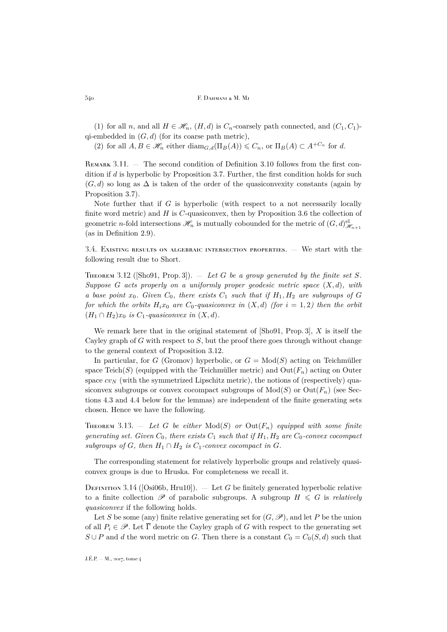(1) for all n, and all  $H \in \mathcal{H}_n$ ,  $(H, d)$  is  $C_n$ -coarsely path connected, and  $(C_1, C_1)$ qi-embedded in  $(G, d)$  (for its coarse path metric),

<span id="page-26-0"></span>(2) for all  $A, B \in \mathcal{H}_n$  either  $\text{diam}_{G,d}(\Pi_B(A)) \leqslant C_n$ , or  $\Pi_B(A) \subset A^{+C_n}$  for d.

<span id="page-26-3"></span>REMARK  $3.11.$  — The second condition of Definition [3.10](#page-26-0) follows from the first condition if  $d$  is hyperbolic by Proposition [3.7.](#page-24-0) Further, the first condition holds for such  $(G, d)$  so long as  $\Delta$  is taken of the order of the quasiconvexity constants (again by Proposition [3.7\)](#page-24-0).

Note further that if  $G$  is hyperbolic (with respect to a not necessarily locally finite word metric) and  $H$  is  $C$ -quasiconvex, then by Proposition [3.6](#page-23-1) the collection of geometric *n*-fold intersections  $\mathscr{H}_n$  is mutually cobounded for the metric of  $(G,d)_{\mathscr{H}_{n+1}}^{\text{el}}$ (as in Definition [2.9\)](#page-8-3).

3.4. Existing results on algebraic intersection properties. — We start with the following result due to Short.

<span id="page-26-1"></span>THEOREM 3.12 ([\[Sho91,](#page-42-3) Prop. 3]).  $-$  *Let* G *be a group generated by the finite set* S. *Suppose* G *acts properly on a uniformly proper geodesic metric space* (X, d)*, with a base point*  $x_0$ *. Given*  $C_0$ *, there exists*  $C_1$  *such that if*  $H_1, H_2$  *are subgroups of* G *for which the orbits*  $H_i x_0$  *are*  $C_0$ -quasiconvex in  $(X, d)$  (for  $i = 1, 2$ ) then the orbit  $(H_1 \cap H_2)x_0$  *is C*<sub>1</sub>-quasiconvex in  $(X, d)$ .

We remark here that in the original statement of  $\lbrack \text{Sho91}, \text{Prop.3} \rbrack$ , X is itself the Cayley graph of G with respect to  $S$ , but the proof there goes through without change to the general context of Proposition [3.12.](#page-26-1)

In particular, for G (Gromov) hyperbolic, or  $G = Mod(S)$  acting on Teichmüller space Teich(S) (equipped with the Teichmüller metric) and  $Out(F_n)$  acting on Outer space  $cv_N$  (with the symmetrized Lipschitz metric), the notions of (respectively) quasiconvex subgroups or convex cocompact subgroups of  $Mod(S)$  or  $Out(F_n)$  (see Sections [4.3](#page-30-1) and [4.4](#page-31-0) below for the lemmas) are independent of the finite generating sets chosen. Hence we have the following.

<span id="page-26-2"></span>THEOREM 3.13. - Let G be either  $Mod(S)$  or  $Out(F_n)$  equipped with some finite *generating set. Given*  $C_0$ *, there exists*  $C_1$  *such that if*  $H_1$ ,  $H_2$  *are*  $C_0$ *-convex cocompact subgroups of* G, then  $H_1 \cap H_2$  *is*  $C_1$ *-convex cocompact in* G.

The corresponding statement for relatively hyperbolic groups and relatively quasiconvex groups is due to Hruska. For completeness we recall it.

DEFINITION 3.14 ([\[Osi06b,](#page-42-4) [Hru10\]](#page-41-16)).  $-$  Let G be finitely generated hyperbolic relative to a finite collection  $\mathscr P$  of parabolic subgroups. A subgroup  $H \leq G$  is *relatively quasiconvex* if the following holds.

Let S be some (any) finite relative generating set for  $(G, \mathscr{P})$ , and let P be the union of all  $P_i \in \mathscr{P}$ . Let  $\overline{\Gamma}$  denote the Cayley graph of G with respect to the generating set  $S \cup P$  and d the word metric on G. Then there is a constant  $C_0 = C_0(S, d)$  such that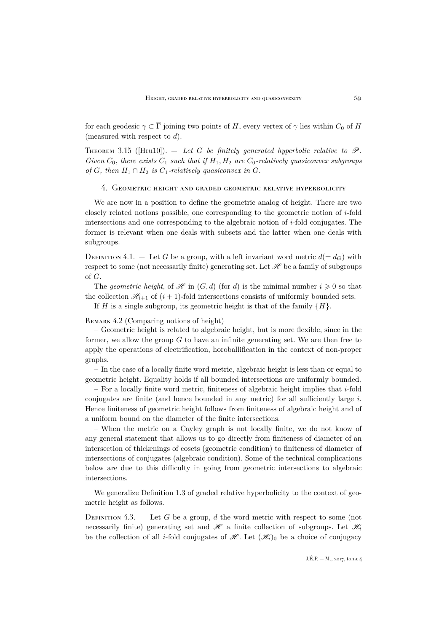for each geodesic  $\gamma \subset \overline{\Gamma}$  joining two points of H, every vertex of  $\gamma$  lies within  $C_0$  of H (measured with respect to  $d$ ).

<span id="page-27-3"></span>THEOREM 3.15 ( $\text{[Hru10]}$  $\text{[Hru10]}$  $\text{[Hru10]}$ ).  $-$  Let G be finitely generated hyperbolic relative to  $\mathscr{P}$ . *Given*  $C_0$ , *there exists*  $C_1$  *such that if*  $H_1$ ,  $H_2$  *are*  $C_0$ *-relatively quasiconvex subgroups of* G, then  $H_1 \cap H_2$  *is*  $C_1$ -relatively quasiconvex in G.

#### <span id="page-27-0"></span>4. Geometric height and graded geometric relative hyperbolicity

We are now in a position to define the geometric analog of height. There are two closely related notions possible, one corresponding to the geometric notion of  $i$ -fold intersections and one corresponding to the algebraic notion of  $i$ -fold conjugates. The former is relevant when one deals with subsets and the latter when one deals with subgroups.

DEFINITION 4.1. – Let G be a group, with a left invariant word metric  $d(= d_G)$  with respect to some (not necessarily finite) generating set. Let  $\mathscr H$  be a family of subgroups of G.

The *geometric height*, of  $\mathcal{H}$  in  $(G, d)$  (for d) is the minimal number  $i \geq 0$  so that the collection  $\mathcal{H}_{i+1}$  of  $(i+1)$ -fold intersections consists of uniformly bounded sets.

If H is a single subgroup, its geometric height is that of the family  $\{H\}$ .

<span id="page-27-2"></span>REMARK 4.2 (Comparing notions of height)

– Geometric height is related to algebraic height, but is more flexible, since in the former, we allow the group  $G$  to have an infinite generating set. We are then free to apply the operations of electrification, horoballification in the context of non-proper graphs.

– In the case of a locally finite word metric, algebraic height is less than or equal to geometric height. Equality holds if all bounded intersections are uniformly bounded.

– For a locally finite word metric, finiteness of algebraic height implies that  $i$ -fold conjugates are finite (and hence bounded in any metric) for all sufficiently large  $i$ . Hence finiteness of geometric height follows from finiteness of algebraic height and of a uniform bound on the diameter of the finite intersections.

– When the metric on a Cayley graph is not locally finite, we do not know of any general statement that allows us to go directly from finiteness of diameter of an intersection of thickenings of cosets (geometric condition) to finiteness of diameter of intersections of conjugates (algebraic condition). Some of the technical complications below are due to this difficulty in going from geometric intersections to algebraic intersections.

We generalize Definition [1.3](#page-2-3) of graded relative hyperbolicity to the context of geometric height as follows.

<span id="page-27-1"></span>DEFINITION 4.3.  $-$  Let G be a group, d the word metric with respect to some (not necessarily finite) generating set and  $\mathscr H$  a finite collection of subgroups. Let  $\mathscr H_i$ be the collection of all *i*-fold conjugates of  $\mathcal{H}$ . Let  $(\mathcal{H}_i)_0$  be a choice of conjugacy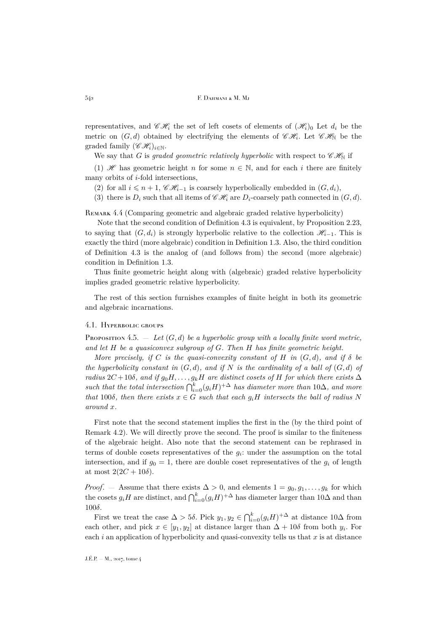representatives, and  $\mathscr{CH}_{i}$  the set of left cosets of elements of  $(\mathscr{H}_{i})_0$  Let  $d_i$  be the metric on  $(G, d)$  obtained by electrifying the elements of  $\mathscr{CH}_{i}$ . Let  $\mathscr{CH}_{N}$  be the graded family  $(\mathscr{CH}_{i})_{i\in\mathbb{N}}$ .

We say that G is *graded geometric relatively hyperbolic* with respect to  $\mathscr{CH}_{\mathbb{N}}$  if

(1) H has geometric height n for some  $n \in \mathbb{N}$ , and for each i there are finitely many orbits of  $i$ -fold intersections,

(2) for all  $i \leq n+1$ ,  $\mathscr{CH}_{i-1}$  is coarsely hyperbolically embedded in  $(G, d_i)$ ,

(3) there is  $D_i$  such that all items of  $\mathscr{CH}_i$  are  $D_i$ -coarsely path connected in  $(G, d)$ .

REMARK 4.4 (Comparing geometric and algebraic graded relative hyperbolicity)

Note that the second condition of Definition [4.3](#page-27-1) is equivalent, by Proposition [2.23,](#page-21-0) to saying that  $(G, d_i)$  is strongly hyperbolic relative to the collection  $\mathcal{H}_{i-1}$ . This is exactly the third (more algebraic) condition in Definition [1.3.](#page-2-3) Also, the third condition of Definition [4.3](#page-27-1) is the analog of (and follows from) the second (more algebraic) condition in Definition [1.3.](#page-2-3)

Thus finite geometric height along with (algebraic) graded relative hyperbolicity implies graded geometric relative hyperbolicity.

The rest of this section furnishes examples of finite height in both its geometric and algebraic incarnations.

#### 4.1. Hyperbolic groups

<span id="page-28-0"></span>Proposition 4.5.  $-$  *Let*  $(G, d)$  *be a hyperbolic group with a locally finite word metric, and let* H *be a quasiconvex subgroup of* G*. Then* H *has finite geometric height.*

*More precisely, if* C *is the quasi-convexity constant of* H *in*  $(G, d)$ *, and if*  $\delta$  *be the hyperbolicity constant in*  $(G, d)$ *, and if* N *is the cardinality of a ball of*  $(G, d)$  *of radius*  $2C + 10\delta$ *, and if*  $g_0H, \ldots, g_kH$  *are distinct cosets of* H *for which there exists*  $\Delta$ *such that the total intersection*  $\bigcap_{i=0}^{k} (g_i H)^{+\Delta}$  *has diameter more than* 10∆*, and more that* 100 $\delta$ *, then there exists*  $x \in G$  *such that each*  $g_i H$  *intersects the ball of radius* N *around* x*.*

First note that the second statement implies the first in the (by the third point of Remark [4.2\)](#page-27-2). We will directly prove the second. The proof is similar to the finiteness of the algebraic height. Also note that the second statement can be rephrased in terms of double cosets representatives of the  $g_i$ : under the assumption on the total intersection, and if  $g_0 = 1$ , there are double coset representatives of the  $g_i$  of length at most  $2(2C + 10\delta)$ .

*Proof.* — Assume that there exists  $\Delta > 0$ , and elements  $1 = g_0, g_1, \ldots, g_k$  for which the cosets  $g_i H$  are distinct, and  $\bigcap_{i=0}^k (g_i H)^{+\Delta}$  has diameter larger than  $10\Delta$  and than 100δ.

First we treat the case  $\Delta > 5\delta$ . Pick  $y_1, y_2 \in \bigcap_{i=0}^k (g_i H)^{+\Delta}$  at distance  $10\Delta$  from each other, and pick  $x \in [y_1, y_2]$  at distance larger than  $\Delta + 10\delta$  from both  $y_i$ . For each  $i$  an application of hyperbolicity and quasi-convexity tells us that  $x$  is at distance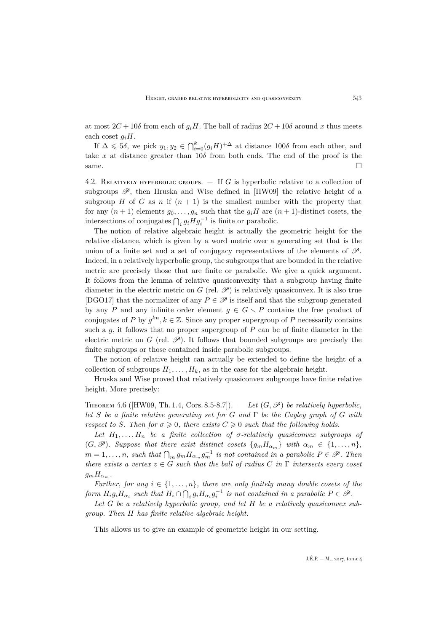at most  $2C + 10\delta$  from each of  $g_iH$ . The ball of radius  $2C + 10\delta$  around x thus meets each coset  $q_iH$ .

If  $\Delta \leq 5\delta$ , we pick  $y_1, y_2 \in \bigcap_{i=0}^k (g_i H)^{+\Delta}$  at distance  $100\delta$  from each other, and take x at distance greater than  $10\delta$  from both ends. The end of the proof is the same.

4.2. RELATIVELY HYPERBOLIC GROUPS.  $-$  If G is hyperbolic relative to a collection of subgroups  $\mathscr{P}$ , then Hruska and Wise defined in [\[HW09\]](#page-41-3) the relative height of a subgroup H of G as n if  $(n + 1)$  is the smallest number with the property that for any  $(n + 1)$  elements  $g_0, \ldots, g_n$  such that the  $g_i H$  are  $(n + 1)$ -distinct cosets, the intersections of conjugates  $\bigcap_i g_i H g_i^{-1}$  is finite or parabolic.

The notion of relative algebraic height is actually the geometric height for the relative distance, which is given by a word metric over a generating set that is the union of a finite set and a set of conjugacy representatives of the elements of  $\mathscr{P}$ . Indeed, in a relatively hyperbolic group, the subgroups that are bounded in the relative metric are precisely those that are finite or parabolic. We give a quick argument. It follows from the lemma of relative quasiconvexity that a subgroup having finite diameter in the electric metric on G (rel.  $\mathscr{P}$ ) is relatively quasiconvex. It is also true [\[DGO17\]](#page-41-9) that the normalizer of any  $P \in \mathscr{P}$  is itself and that the subgroup generated by any P and any infinite order element  $g \in G \setminus P$  contains the free product of conjugates of P by  $g^{kn}, k \in \mathbb{Z}$ . Since any proper supergroup of P necessarily contains such a  $q$ , it follows that no proper supergroup of  $P$  can be of finite diameter in the electric metric on G (rel.  $\mathscr{P}$ ). It follows that bounded subgroups are precisely the finite subgroups or those contained inside parabolic subgroups.

The notion of relative height can actually be extended to define the height of a collection of subgroups  $H_1, \ldots, H_k$ , as in the case for the algebraic height.

Hruska and Wise proved that relatively quasiconvex subgroups have finite relative height. More precisely:

<span id="page-29-0"></span>THEOREM 4.6 ( $[HW09, Th. 1.4, Cors. 8.5-8.7]$  $[HW09, Th. 1.4, Cors. 8.5-8.7]$ ). — Let  $(G, \mathcal{P})$  be relatively hyperbolic, *let* S *be a finite relative generating set for* G *and* Γ *be the Cayley graph of* G *with respect to* S. Then for  $\sigma \geq 0$ , there exists  $C \geq 0$  such that the following holds.

Let  $H_1, \ldots, H_n$  be a finite collection of  $\sigma$ -relatively quasiconvex subgroups of  $(G, \mathscr{P})$ *. Suppose that there exist distinct cosets*  $\{g_m H_{\alpha_m}\}\$  *with*  $\alpha_m \in \{1, \ldots, n\}$ *,*  $m = 1, \ldots, n$ , such that  $\bigcap_m g_m H_{\alpha_m} g_m^{-1}$  is not contained in a parabolic  $P \in \mathscr{P}$ . Then *there exists a vertex*  $z \in G$  *such that the ball of radius*  $C$  *in*  $\Gamma$  *intersects every coset*  $g_m H_{\alpha_m}$ .

*Further, for any*  $i \in \{1, \ldots, n\}$ *, there are only finitely many double cosets of the form*  $H_i g_i H_{\alpha_i}$  such that  $H_i \cap \bigcap_i g_i H_{\alpha_i} g_i^{-1}$  is not contained in a parabolic  $P \in \mathscr{P}$ .

Let G be a relatively hyperbolic group, and let H be a relatively quasiconvex sub*group. Then* H *has finite relative algebraic height.*

This allows us to give an example of geometric height in our setting.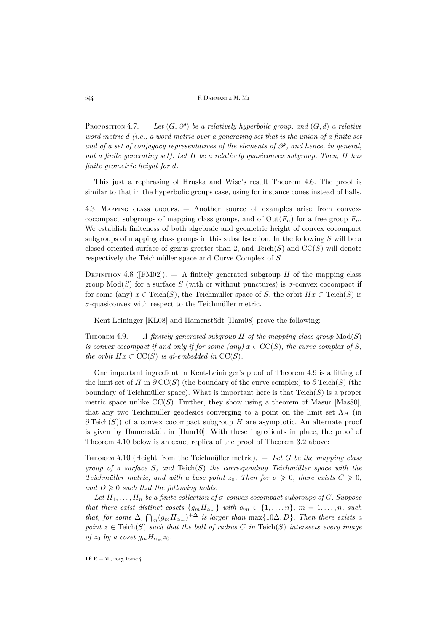544 **F. DAHMANI & M. Mj** 

<span id="page-30-3"></span>Proposition 4.7.  $-$  Let  $(G, \mathcal{P})$  be a relatively hyperbolic group, and  $(G, d)$  a relative *word metric* d *(i.e., a word metric over a generating set that is the union of a finite set* and of a set of conjugacy representatives of the elements of  $\mathscr P$ , and hence, in general, *not a finite generating set). Let* H *be a relatively quasiconvex subgroup. Then,* H *has finite geometric height for* d*.*

This just a rephrasing of Hruska and Wise's result Theorem [4.6.](#page-29-0) The proof is similar to that in the hyperbolic groups case, using for instance cones instead of balls.

<span id="page-30-1"></span>4.3. Mapping class groups. — Another source of examples arise from convexcocompact subgroups of mapping class groups, and of  $Out(F_n)$  for a free group  $F_n$ . We establish finiteness of both algebraic and geometric height of convex cocompact subgroups of mapping class groups in this subsubsection. In the following  $S$  will be a closed oriented surface of genus greater than 2, and  $Teich(S)$  and  $CC(S)$  will denote respectively the Teichmüller space and Curve Complex of S.

DEFINITION 4.8 ([\[FM02\]](#page-41-17)).  $-$  A finitely generated subgroup H of the mapping class group  $Mod(S)$  for a surface S (with or without punctures) is  $\sigma$ -convex cocompact if for some (any)  $x \in \text{Teich}(S)$ , the Teichmüller space of S, the orbit  $Hx \subset \text{Teich}(S)$  is  $\sigma$ -quasiconvex with respect to the Teichmüller metric.

Kent-Leininger [\[KL08\]](#page-41-18) and Hamenstädt [\[Ham08\]](#page-41-19) prove the following:

<span id="page-30-2"></span>THEOREM 4.9.  $-$  *A* finitely generated subgroup *H* of the mapping class group  $Mod(S)$ *is convex cocompact if and only if for some (any)*  $x \in CC(S)$ *, the curve complex of* S, *the orbit*  $Hx \subset CC(S)$  *is qi-embedded in*  $CC(S)$ *.* 

One important ingredient in Kent-Leininger's proof of Theorem [4.9](#page-30-2) is a lifting of the limit set of H in  $\partial CC(S)$  (the boundary of the curve complex) to  $\partial Teich(S)$  (the boundary of Teichmüller space). What is important here is that  $Teich(S)$  is a proper metric space unlike  $CC(S)$ . Further, they show using a theorem of Masur [\[Mas80\]](#page-41-20), that any two Teichmüller geodesics converging to a point on the limit set  $\Lambda_H$  (in  $\partial$ Teich(S)) of a convex cocompact subgroup H are asymptotic. An alternate proof is given by Hamenstädt in [\[Ham10\]](#page-41-21). With these ingredients in place, the proof of Theorem [4.10](#page-30-0) below is an exact replica of the proof of Theorem [3.2](#page-22-1) above:

<span id="page-30-0"></span>Theorem 4.10 (Height from the Teichmüller metric). — *Let* G *be the mapping class group of a surface* S*, and* Teich(S) *the corresponding Teichmüller space with the Teichmüller metric, and with a base point*  $z_0$ *. Then for*  $\sigma \geq 0$ *, there exists*  $C \geq 0$ *,* and  $D \geq 0$  *such that the following holds.* 

Let  $H_1, \ldots, H_n$  be a finite collection of  $\sigma$ -convex cocompact subgroups of G. Suppose *that there exist distinct cosets*  $\{g_m H_{\alpha_m}\}\$  *with*  $\alpha_m \in \{1, \ldots, n\}$ *,*  $m = 1, \ldots, n$ *, such that, for some*  $\Delta$ ,  $\bigcap_m (g_m H_{\alpha_m})^{+\Delta}$  *is larger than* max $\{10\Delta, D\}$ *. Then there exists a point*  $z \in \text{Teich}(S)$  *such that the ball of radius* C *in*  $\text{Teich}(S)$  *intersects every image of*  $z_0$  *by a coset*  $g_m H_{\alpha_m} z_0$ *.*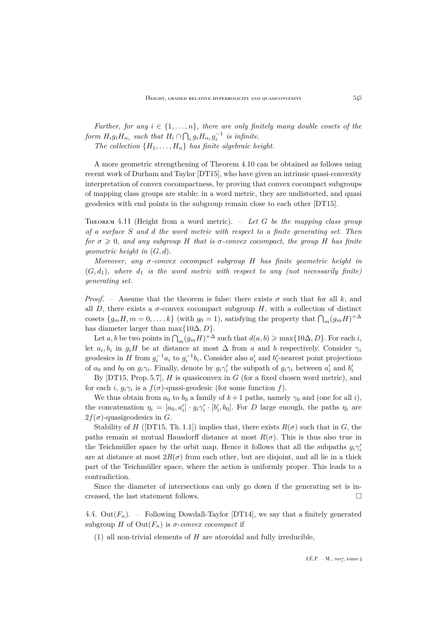*Further, for any*  $i \in \{1, \ldots, n\}$ *, there are only finitely many double cosets of the form*  $H_i g_i H_{\alpha_i}$  such that  $H_i \cap \bigcap_i g_i H_{\alpha_i} g_i^{-1}$  is infinite. *The collection*  $\{H_1, \ldots, H_n\}$  *has finite algebraic height.* 

A more geometric strengthening of Theorem [4.10](#page-30-0) can be obtained as follows using recent work of Durham and Taylor [\[DT15\]](#page-41-22), who have given an intrinsic quasi-convexity interpretation of convex cocompactness, by proving that convex cocompact subgroups of mapping class groups are stable: in a word metric, they are undistorted, and quasi geodesics with end points in the subgroup remain close to each other [\[DT15\]](#page-41-22).

<span id="page-31-1"></span>Theorem 4.11 (Height from a word metric). — *Let* G *be the mapping class group of a surface* S *and* d *the word metric with respect to a finite generating set. Then for*  $\sigma \geq 0$ *, and any subgroup* H *that is*  $\sigma$ -convex cocompact, the group H has finite *geometric height in* (G, d)*.*

*Moreover, any* σ*-convex cocompact subgroup* H *has finite geometric height in*  $(G, d_1)$ *, where*  $d_1$  *is the word metric with respect to any (not necessarily finite) generating set.*

*Proof.* — Assume that the theorem is false: there exists  $\sigma$  such that for all k, and all D, there exists a  $\sigma$ -convex cocompact subgroup H, with a collection of distinct cosets  $\{g_m H, m = 0, \ldots, k\}$  (with  $g_0 = 1$ ), satisfying the property that  $\bigcap_m (g_m H)^{+\Delta}$ has diameter larger than max $\{10\Delta, D\}.$ 

Let a, b be two points in  $\bigcap_m (g_m H)^{+\Delta}$  such that  $d(a, b) \geq \max\{10\Delta, D\}$ . For each i, let  $a_i, b_i$  in  $g_iH$  be at distance at most  $\Delta$  from a and b respectively. Consider  $\gamma_i$ geodesics in H from  $g_i^{-1}a_i$  to  $g_i^{-1}b_i$ . Consider also  $a'_i$  and  $b'_i$ -nearest point projections of  $a_0$  and  $b_0$  on  $g_i\gamma_i$ . Finally, denote by  $g_i\gamma'_i$  the subpath of  $g_i\gamma_i$  between  $a'_i$  and  $b'_i$ 

By  $[DT15, Prop. 5.7]$  $[DT15, Prop. 5.7]$ , H is quasiconvex in G (for a fixed chosen word metric), and for each *i*,  $g_i \gamma_i$  is a  $f(\sigma)$ -quasi-geodesic (for some function f).

We thus obtain from  $a_0$  to  $b_0$  a family of  $k+1$  paths, namely  $\gamma_0$  and (one for all i), the concatenation  $\eta_i = [a_0, a'_i] \cdot g_i \gamma'_i \cdot [b'_i, b_0]$ . For D large enough, the paths  $\eta_i$  are  $2f(\sigma)$ -quasigeodesics in G.

Stability of H ([\[DT15,](#page-41-22) Th. 1.1]) implies that, there exists  $R(\sigma)$  such that in G, the paths remain at mutual Hausdorff distance at most  $R(\sigma)$ . This is thus also true in the Teichmüller space by the orbit map. Hence it follows that all the subpaths  $g_i \gamma_i'$ are at distance at most  $2R(\sigma)$  from each other, but are disjoint, and all lie in a thick part of the Teichmüller space, where the action is uniformly proper. This leads to a contradiction.

Since the diameter of intersections can only go down if the generating set is increased, the last statement follows.  $\Box$ 

<span id="page-31-0"></span>4.4.  $Out(F_n)$ . – Following Dowdall-Taylor [\[DT14\]](#page-41-23), we say that a finitely generated subgroup H of  $Out(F_n)$  is  $\sigma$ -convex cocompact if

(1) all non-trivial elements of  $H$  are atoroidal and fully irreducible,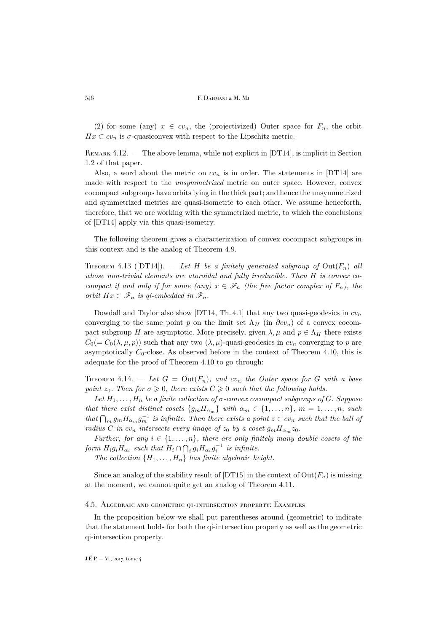(2) for some (any)  $x \in cv_n$ , the (projectivized) Outer space for  $F_n$ , the orbit  $Hx \subset cv_n$  is  $\sigma$ -quasiconvex with respect to the Lipschitz metric.

REMARK 4.12. — The above lemma, while not explicit in  $DT14$ , is implicit in Section 1.2 of that paper.

Also, a word about the metric on  $cv_n$  is in order. The statements in [\[DT14\]](#page-41-23) are made with respect to the *unsymmetrized* metric on outer space. However, convex cocompact subgroups have orbits lying in the thick part; and hence the unsymmetrized and symmetrized metrics are quasi-isometric to each other. We assume henceforth, therefore, that we are working with the symmetrized metric, to which the conclusions of [\[DT14\]](#page-41-23) apply via this quasi-isometry.

The following theorem gives a characterization of convex cocompact subgroups in this context and is the analog of Theorem [4.9.](#page-30-2)

<span id="page-32-1"></span>THEOREM 4.13 ([\[DT14\]](#page-41-23)).  $=$  *Let H be a finitely generated subgroup of* Out $(F_n)$  *all whose non-trivial elements are atoroidal and fully irreducible. Then* H *is convex cocompact if and only if for some (any)*  $x \in \mathscr{F}_n$  *(the free factor complex of*  $F_n$ *), the orbit*  $Hx \subset \mathscr{F}_n$  *is qi-embedded in*  $\mathscr{F}_n$ *.* 

Dowdall and Taylor also show [\[DT14,](#page-41-23) Th. 4.1] that any two quasi-geodesics in  $cv_n$ converging to the same point p on the limit set  $\Lambda_H$  (in  $\partial c v_n$ ) of a convex cocompact subgroup H are asymptotic. More precisely, given  $\lambda, \mu$  and  $p \in \Lambda_H$  there exists  $C_0(= C_0(\lambda, \mu, p))$  such that any two  $(\lambda, \mu)$ -quasi-geodesics in  $cv_n$  converging to p are asymptotically  $C_0$ -close. As observed before in the context of Theorem [4.10,](#page-30-0) this is adequate for the proof of Theorem [4.10](#page-30-0) to go through:

<span id="page-32-0"></span>THEOREM 4.14. – Let  $G = Out(F_n)$ , and  $cv_n$  the Outer space for G with a base *point*  $z_0$ *. Then for*  $\sigma \geq 0$ *, there exists*  $C \geq 0$  *such that the following holds.* 

Let  $H_1, \ldots, H_n$  be a finite collection of  $\sigma$ -convex cocompact subgroups of G. Suppose *that there exist distinct cosets*  $\{g_m H_{\alpha_m}\}\$  *with*  $\alpha_m \in \{1, \ldots, n\}$ *,*  $m = 1, \ldots, n$ *, such that*  $\bigcap_m g_m H_{\alpha_m} g_m^{-1}$  *is infinite. Then there exists a point*  $z \in cv_n$  *such that the ball of radius* C *in*  $cv_n$  *intersects every image of*  $z_0$  *by a coset*  $g_m H_{\alpha_m} z_0$ *.* 

*Further, for any*  $i \in \{1, \ldots, n\}$ *, there are only finitely many double cosets of the form*  $H_i g_i H_{\alpha_i}$  such that  $H_i \cap \bigcap_i g_i H_{\alpha_i} g_i^{-1}$  is infinite.

*The collection*  $\{H_1, \ldots, H_n\}$  *has finite algebraic height.* 

Since an analog of the stability result of [\[DT15\]](#page-41-22) in the context of  $Out(F_n)$  is missing at the moment, we cannot quite get an analog of Theorem [4.11.](#page-31-1)

#### 4.5. Algebraic and geometric qi-intersection property: Examples

In the proposition below we shall put parentheses around (geometric) to indicate that the statement holds for both the qi-intersection property as well as the geometric qi-intersection property.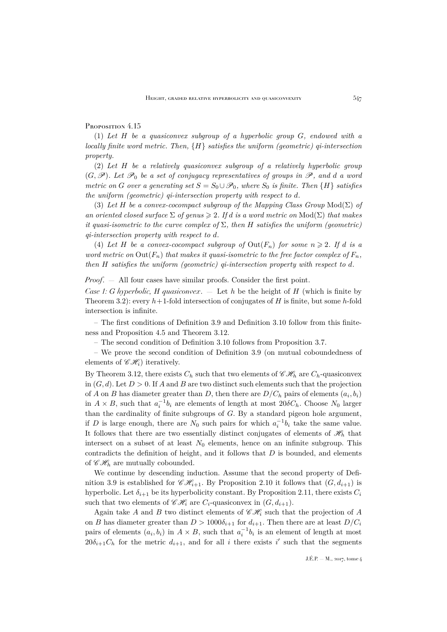## <span id="page-33-0"></span>Proposition 4.15

(1) *Let* H *be a quasiconvex subgroup of a hyperbolic group* G*, endowed with a locally finite word metric. Then,* {H} *satisfies the uniform (geometric) qi-intersection property.*

(2) *Let* H *be a relatively quasiconvex subgroup of a relatively hyperbolic group*  $(G, \mathscr{P})$ *. Let*  $\mathscr{P}_0$  *be a set of conjugacy representatives of groups in*  $\mathscr{P}$ *, and d a word metric on* G *over a generating set*  $S = S_0 \cup \mathcal{P}_0$ *, where*  $S_0$  *is finite. Then*  $\{H\}$  *satisfies the uniform (geometric) qi-intersection property with respect to* d*.*

(3) *Let* H *be a convex-cocompact subgroup of the Mapping Class Group* Mod(Σ) *of an oriented closed surface*  $\Sigma$  *of genus*  $\geq$  2*. If d is a word metric on*  $Mod(\Sigma)$  *that makes it quasi-isometric to the curve complex of* Σ*, then* H *satisfies the uniform (geometric) qi-intersection property with respect to* d*.*

(4) Let H be a convex-cocompact subgroup of  $Out(F_n)$  for some  $n \geqslant 2$ . If d is a *word metric on*  $Out(F_n)$  *that makes it quasi-isometric to the free factor complex of*  $F_n$ *, then* H *satisfies the uniform (geometric) qi-intersection property with respect to* d*.*

*Proof.* — All four cases have similar proofs. Consider the first point.

*Case 1:* G *hyperbolic,* H *quasiconvex*. — Let h be the height of H (which is finite by Theorem [3.2\)](#page-22-1): every  $h+1$ -fold intersection of conjugates of H is finite, but some h-fold intersection is infinite.

– The first conditions of Definition [3.9](#page-25-0) and Definition [3.10](#page-26-0) follow from this finiteness and Proposition [4.5](#page-28-0) and Theorem [3.12.](#page-26-1)

– The second condition of Definition [3.10](#page-26-0) follows from Proposition [3.7.](#page-24-0)

– We prove the second condition of Definition [3.9](#page-25-0) (on mutual coboundedness of elements of  $\mathscr{CH}_{i}$ ) iteratively.

By Theorem [3.12,](#page-26-1) there exists  $C_h$  such that two elements of  $\mathscr{CH}_h$  are  $C_h$ -quasiconvex in  $(G, d)$ . Let  $D > 0$ . If A and B are two distinct such elements such that the projection of A on B has diameter greater than D, then there are  $D/C_h$  pairs of elements  $(a_i, b_i)$ in  $A \times B$ , such that  $a_i^{-1}b_i$  are elements of length at most  $20\delta C_h$ . Choose  $N_0$  larger than the cardinality of finite subgroups of  $G$ . By a standard pigeon hole argument, if D is large enough, there are  $N_0$  such pairs for which  $a_i^{-1}b_i$  take the same value. It follows that there are two essentially distinct conjugates of elements of  $\mathscr{H}_h$  that intersect on a subset of at least  $N_0$  elements, hence on an infinite subgroup. This contradicts the definition of height, and it follows that  $D$  is bounded, and elements of  $\mathscr{CH}_h$  are mutually cobounded.

We continue by descending induction. Assume that the second property of Defi-nition [3.9](#page-25-0) is established for  $\mathscr{CH}_{i+1}$ . By Proposition [2.10](#page-8-0) it follows that  $(G, d_{i+1})$  is hyperbolic. Let  $\delta_{i+1}$  be its hyperbolicity constant. By Proposition [2.11,](#page-8-1) there exists  $C_i$ such that two elements of  $\mathscr{CH}_{i}$  are  $C_{i}$ -quasiconvex in  $(G, d_{i+1})$ .

Again take A and B two distinct elements of  $\mathscr{CH}_i$  such that the projection of A on B has diameter greater than  $D > 1000\delta_{i+1}$  for  $d_{i+1}$ . Then there are at least  $D/C_i$ pairs of elements  $(a_i, b_i)$  in  $A \times B$ , such that  $a_i^{-1}b_i$  is an element of length at most  $20\delta_{i+1}C_h$  for the metric  $d_{i+1}$ , and for all i there exists i' such that the segments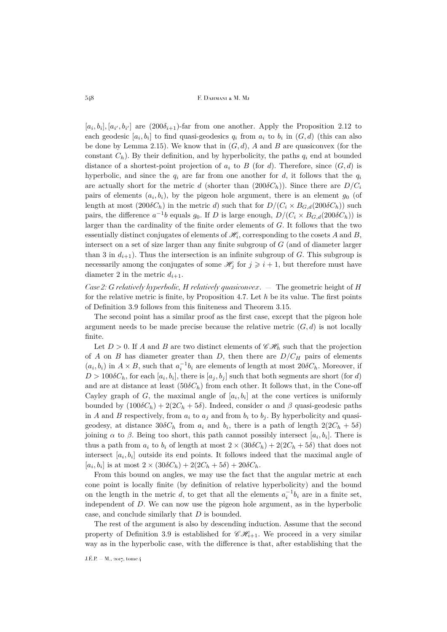$[a_i, b_i], [a_{i'}, b_{i'}]$  are  $(200\delta_{i+1})$ -far from one another. Apply the Proposition [2.12](#page-9-0) to each geodesic  $[a_i, b_i]$  to find quasi-geodesics  $q_i$  from  $a_i$  to  $b_i$  in  $(G, d)$  (this can also be done by Lemma [2.15\)](#page-11-1). We know that in  $(G, d)$ , A and B are quasiconvex (for the constant  $C_h$ ). By their definition, and by hyperbolicity, the paths  $q_i$  end at bounded distance of a shortest-point projection of  $a_i$  to B (for d). Therefore, since  $(G, d)$  is hyperbolic, and since the  $q_i$  are far from one another for d, it follows that the  $q_i$ are actually short for the metric d (shorter than  $(200\delta C_h)$ ). Since there are  $D/C_i$ pairs of elements  $(a_i, b_i)$ , by the pigeon hole argument, there is an element  $g_0$  (of length at most  $(200\delta C_h)$  in the metric d) such that for  $D/(C_i \times B_{G,d}(200\delta C_h))$  such pairs, the difference  $a^{-1}b$  equals  $g_0$ . If D is large enough,  $D/(C_i \times B_{G,d}(200\delta C_h))$  is larger than the cardinality of the finite order elements of G. It follows that the two essentially distinct conjugates of elements of  $\mathscr{H}_i$ , corresponding to the cosets A and B, intersect on a set of size larger than any finite subgroup of G (and of diameter larger than 3 in  $d_{i+1}$ ). Thus the intersection is an infinite subgroup of G. This subgroup is necessarily among the conjugates of some  $\mathcal{H}_j$  for  $j \geq i + 1$ , but therefore must have diameter 2 in the metric  $d_{i+1}$ .

*Case 2:* G *relatively hyperbolic,* H *relatively quasiconvex*. — The geometric height of H for the relative metric is finite, by Proposition [4.7.](#page-30-3) Let  $h$  be its value. The first points of Definition [3.9](#page-25-0) follows from this finiteness and Theorem [3.15.](#page-27-3)

The second point has a similar proof as the first case, except that the pigeon hole argument needs to be made precise because the relative metric  $(G, d)$  is not locally finite.

Let  $D > 0$ . If A and B are two distinct elements of  $\mathscr{CH}_h$  such that the projection of A on B has diameter greater than D, then there are  $D/C_H$  pairs of elements  $(a_i, b_i)$  in  $A \times B$ , such that  $a_i^{-1}b_i$  are elements of length at most  $20\delta C_h$ . Moreover, if  $D > 100 \delta C_h$ , for each  $[a_i, b_i]$ , there is  $[a_j, b_j]$  such that both segments are short (for d) and are at distance at least  $(50\delta C_h)$  from each other. It follows that, in the Cone-off Cayley graph of  $G$ , the maximal angle of  $[a_i, b_i]$  at the cone vertices is uniformly bounded by  $(100\delta C_h) + 2(2C_h + 5\delta)$ . Indeed, consider  $\alpha$  and  $\beta$  quasi-geodesic paths in A and B respectively, from  $a_i$  to  $a_j$  and from  $b_i$  to  $b_j$ . By hyperbolicity and quasigeodesy, at distance  $30\delta C_h$  from  $a_i$  and  $b_i$ , there is a path of length  $2(2C_h + 5\delta)$ joining  $\alpha$  to  $\beta$ . Being too short, this path cannot possibly intersect  $[a_i, b_i]$ . There is thus a path from  $a_i$  to  $b_i$  of length at most  $2 \times (30\delta C_h) + 2(2C_h + 5\delta)$  that does not intersect  $[a_i, b_i]$  outside its end points. It follows indeed that the maximal angle of [ $a_i, b_i$ ] is at most  $2 \times (30\delta C_h) + 2(2C_h + 5\delta) + 20\delta C_h$ .

From this bound on angles, we may use the fact that the angular metric at each cone point is locally finite (by definition of relative hyperbolicity) and the bound on the length in the metric d, to get that all the elements  $a_i^{-1}b_i$  are in a finite set, independent of D. We can now use the pigeon hole argument, as in the hyperbolic case, and conclude similarly that D is bounded.

The rest of the argument is also by descending induction. Assume that the second property of Definition [3.9](#page-25-0) is established for  $\mathscr{CH}_{i+1}$ . We proceed in a very similar way as in the hyperbolic case, with the difference is that, after establishing that the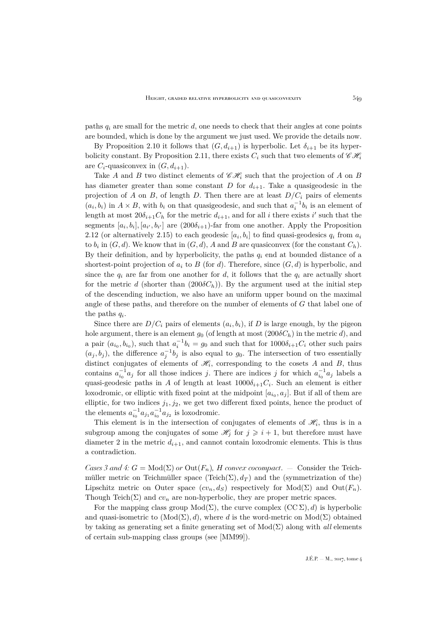paths  $q_i$  are small for the metric  $d$ , one needs to check that their angles at cone points are bounded, which is done by the argument we just used. We provide the details now.

By Proposition [2.10](#page-8-0) it follows that  $(G, d_{i+1})$  is hyperbolic. Let  $\delta_{i+1}$  be its hyper-bolicity constant. By Proposition [2.11,](#page-8-1) there exists  $C_i$  such that two elements of  $\mathscr{CH}_i$ are  $C_i$ -quasiconvex in  $(G, d_{i+1})$ .

Take A and B two distinct elements of  $\mathscr{CH}_i$  such that the projection of A on B has diameter greater than some constant D for  $d_{i+1}$ . Take a quasigeodesic in the projection of A on B, of length D. Then there are at least  $D/C_i$  pairs of elements  $(a_i, b_i)$  in  $A \times B$ , with  $b_i$  on that quasigeodesic, and such that  $a_i^{-1}b_i$  is an element of length at most  $20\delta_{i+1}C_h$  for the metric  $d_{i+1}$ , and for all i there exists i' such that the segments  $[a_i, b_i], [a_{i'}, b_{i'}]$  are  $(200\delta_{i+1})$ -far from one another. Apply the Proposition [2.12](#page-9-0) (or alternatively [2.15\)](#page-11-1) to each geodesic  $[a_i, b_i]$  to find quasi-geodesics  $q_i$  from  $a_i$ to  $b_i$  in  $(G, d)$ . We know that in  $(G, d)$ , A and B are quasiconvex (for the constant  $C_h$ ). By their definition, and by hyperbolicity, the paths  $q_i$  end at bounded distance of a shortest-point projection of  $a_i$  to B (for d). Therefore, since  $(G, d)$  is hyperbolic, and since the  $q_i$  are far from one another for d, it follows that the  $q_i$  are actually short for the metric d (shorter than  $(200\delta C_h)$ ). By the argument used at the initial step of the descending induction, we also have an uniform upper bound on the maximal angle of these paths, and therefore on the number of elements of G that label one of the paths  $q_i$ .

Since there are  $D/C_i$  pairs of elements  $(a_i, b_i)$ , if D is large enough, by the pigeon hole argument, there is an element  $g_0$  (of length at most  $(200\delta C_h)$  in the metric d), and a pair  $(a_{i_0}, b_{i_0})$ , such that  $a_i^{-1}b_i = g_0$  and such that for  $1000\delta_{i+1}C_i$  other such pairs  $(a_j, b_j)$ , the difference  $a_j^{-1}b_j$  is also equal to  $g_0$ . The intersection of two essentially distinct conjugates of elements of  $\mathcal{H}_i$ , corresponding to the cosets A and B, thus contains  $a_{i_0}^{-1}a_j$  for all those indices j. There are indices j for which  $a_{i_0}^{-1}a_j$  labels a quasi-geodesic paths in A of length at least  $1000\delta_{i+1}C_i$ . Such an element is either loxodromic, or elliptic with fixed point at the midpoint  $[a_{i_0}, a_j]$ . But if all of them are elliptic, for two indices  $j_1, j_2$ , we get two different fixed points, hence the product of the elements  $a_{i_0}^{-1}a_{j_1}a_{i_0}^{-1}a_{j_2}$  is loxodromic.

This element is in the intersection of conjugates of elements of  $\mathcal{H}_i$ , thus is in a subgroup among the conjugates of some  $\mathscr{H}_j$  for  $j \geq i + 1$ , but therefore must have diameter 2 in the metric  $d_{i+1}$ , and cannot contain loxodromic elements. This is thus a contradiction.

*Cases 3 and 4:*  $G = Mod(\Sigma)$  *or*  $Out(F_n)$ *, H convex cocompact.* — Consider the Teichmüller metric on Teichmüller space (Teich( $\Sigma$ ),  $d_T$ ) and the (symmetrization of the) Lipschitz metric on Outer space  $(cv_n, d_S)$  respectively for Mod( $\Sigma$ ) and Out( $F_n$ ). Though Teich( $\Sigma$ ) and  $cv_n$  are non-hyperbolic, they are proper metric spaces.

For the mapping class group  $Mod(\Sigma)$ , the curve complex  $(CC \Sigma)$ , d) is hyperbolic and quasi-isometric to  $(Mod(\Sigma), d)$ , where d is the word-metric on  $Mod(\Sigma)$  obtained by taking as generating set a finite generating set of  $Mod(\Sigma)$  along with *all* elements of certain sub-mapping class groups (see [\[MM99\]](#page-41-24)).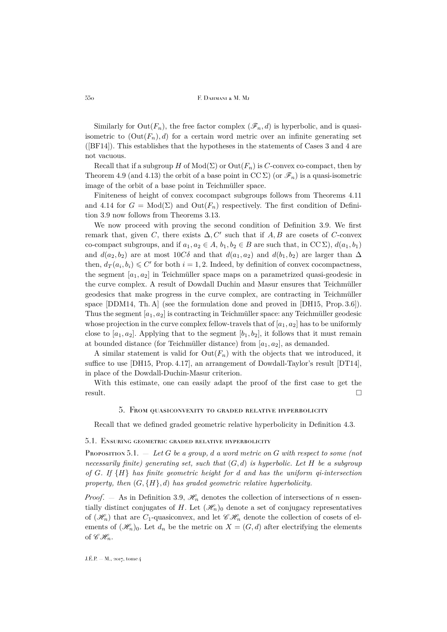Similarly for  $Out(F_n)$ , the free factor complex  $(\mathscr{F}_n, d)$  is hyperbolic, and is quasiisometric to  $(\text{Out}(F_n), d)$  for a certain word metric over an infinite generating set ([\[BF14\]](#page-41-25)). This establishes that the hypotheses in the statements of Cases 3 and 4 are not vacuous.

Recall that if a subgroup H of  $Mod(\Sigma)$  or  $Out(F_n)$  is C-convex co-compact, then by Theorem [4.9](#page-30-2) (and [4.13\)](#page-32-1) the orbit of a base point in  $CC \Sigma$ ) (or  $\mathscr{F}_n$ ) is a quasi-isometric image of the orbit of a base point in Teichmüller space.

Finiteness of height of convex cocompact subgroups follows from Theorems [4.11](#page-31-1) and [4.14](#page-32-0) for  $G = Mod(\Sigma)$  and  $Out(F_n)$  respectively. The first condition of Definition [3.9](#page-25-0) now follows from Theorems [3.13.](#page-26-2)

We now proceed with proving the second condition of Definition [3.9.](#page-25-0) We first remark that, given C, there exists  $\Delta, C'$  such that if A, B are cosets of C-convex co-compact subgroups, and if  $a_1, a_2 \in A$ ,  $b_1, b_2 \in B$  are such that, in  $\mathrm{CC}\Sigma$ ),  $d(a_1, b_1)$ and  $d(a_2, b_2)$  are at most 10Cδ and that  $d(a_1, a_2)$  and  $d(b_1, b_2)$  are larger than  $\Delta$ then,  $d_T(a_i, b_i) \leq C'$  for both  $i = 1, 2$ . Indeed, by definition of convex cocompactness, the segment  $[a_1, a_2]$  in Teichmüller space maps on a parametrized quasi-geodesic in the curve complex. A result of Dowdall Duchin and Masur ensures that Teichmüller geodesics that make progress in the curve complex, are contracting in Teichmüller space [\[DDM14,](#page-41-26) Th. A] (see the formulation done and proved in [\[DH15,](#page-41-27) Prop. 3.6]). Thus the segment  $[a_1, a_2]$  is contracting in Teichmüller space: any Teichmüller geodesic whose projection in the curve complex fellow-travels that of  $[a_1, a_2]$  has to be uniformly close to  $[a_1, a_2]$ . Applying that to the segment  $[b_1, b_2]$ , it follows that it must remain at bounded distance (for Teichmüller distance) from  $[a_1, a_2]$ , as demanded.

A similar statement is valid for  $Out(F_n)$  with the objects that we introduced, it suffice to use [\[DH15,](#page-41-27) Prop. 4.17], an arrangement of Dowdall-Taylor's result [\[DT14\]](#page-41-23), in place of the Dowdall-Duchin-Masur criterion.

<span id="page-36-0"></span>With this estimate, one can easily adapt the proof of the first case to get the result.

#### 5. From quasiconvexity to graded relative hyperbolicity

Recall that we defined graded geometric relative hyperbolicity in Definition [4.3.](#page-27-1)

#### 5.1. Ensuring geometric graded relative hyperbolicity

<span id="page-36-1"></span>Proposition 5.1. — *Let* G *be a group,* d *a word metric on* G *with respect to some (not necessarily finite) generating set, such that* (G, d) *is hyperbolic. Let* H *be a subgroup of* G*. If* {H} *has finite geometric height for* d *and has the uniform qi-intersection property, then* (G, {H}, d) *has graded geometric relative hyperbolicity.*

*Proof.* — As in Definition [3.9,](#page-25-0)  $\mathcal{H}_n$  denotes the collection of intersections of n essentially distinct conjugates of H. Let  $(\mathscr{H}_n)_0$  denote a set of conjugacy representatives of  $(\mathscr{H}_n)$  that are  $C_1$ -quasiconvex, and let  $\mathscr{CH}_n$  denote the collection of cosets of elements of  $(\mathcal{H}_n)_0$ . Let  $d_n$  be the metric on  $X = (G, d)$  after electrifying the elements of  $\mathscr{C}\mathscr{H}_n$ .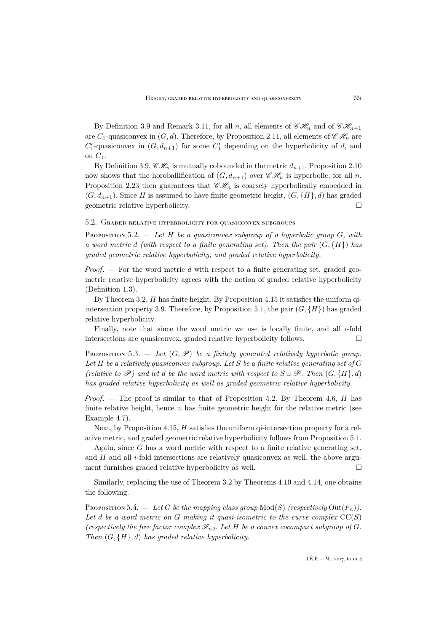By Definition [3.9](#page-25-0) and Remark [3.11,](#page-26-3) for all n, all elements of  $\mathscr{CH}_n$  and of  $\mathscr{CH}_{n+1}$ are  $C_1$ -quasiconvex in  $(G, d)$ . Therefore, by Proposition [2.11,](#page-8-1) all elements of  $\mathscr{CH}_n$  are  $C'_1$ -quasiconvex in  $(G, d_{n+1})$  for some  $C'_1$  depending on the hyperbolicity of d, and on  $C_1$ .

By Definition [3.9,](#page-25-0)  $\mathscr{CH}_n$  is mutually cobounded in the metric  $d_{n+1}$ . Proposition [2.10](#page-8-0) now shows that the horoballification of  $(G, d_{n+1})$  over  $\mathscr{CH}_n$  is hyperbolic, for all n. Proposition [2.23](#page-21-0) then guarantees that  $\mathscr{CH}_n$  is coarsely hyperbolically embedded in  $(G, d_{n+1})$ . Since H is assumed to have finite geometric height,  $(G, {H}, d)$  has graded geometric relative hyperbolicity.

#### 5.2. Graded relative hyperbolicity for quasiconvex subgroups

<span id="page-37-0"></span>Proposition 5.2. — *Let* H *be a quasiconvex subgroup of a hyperbolic group* G*, with a word metric d (with respect to a finite generating set). Then the pair*  $(G, \{H\})$  *has graded geometric relative hyperbolicity, and graded relative hyperbolicity.*

*Proof*. — For the word metric d with respect to a finite generating set, graded geometric relative hyperbolicity agrees with the notion of graded relative hyperbolicity (Definition [1.3\)](#page-2-3).

By Theorem [3.2,](#page-22-1)  $H$  has finite height. By Proposition [4.15](#page-33-0) it satisfies the uniform qi-intersection property [3.9.](#page-25-0) Therefore, by Proposition [5.1,](#page-36-1) the pair  $(G, \{H\})$  has graded relative hyperbolicity.

Finally, note that since the word metric we use is locally finite, and all  $i$ -fold intersections are quasiconvex, graded relative hyperbolicity follows.

<span id="page-37-2"></span>Proposition 5.3.  $-$  *Let*  $(G, \mathscr{P})$  *be a finitely generated relatively hyperbolic group. Let* H *be a relatively quasiconvex subgroup. Let* S *be a finite relative generating set of* G *(relative to*  $\mathscr{P}$ *)* and let *d be the word metric with respect to*  $S \cup \mathscr{P}$ *. Then*  $(G, \{H\}, d)$ *has graded relative hyperbolicity as well as graded geometric relative hyperbolicity.*

*Proof.* — The proof is similar to that of Proposition [5.2.](#page-37-0) By Theorem [4.6,](#page-29-0) H has finite relative height, hence it has finite geometric height for the relative metric (see Example [4.7\)](#page-30-3).

Next, by Proposition [4.15,](#page-33-0)  $H$  satisfies the uniform qi-intersection property for a relative metric, and graded geometric relative hyperbolicity follows from Proposition [5.1.](#page-36-1)

Again, since  $G$  has a word metric with respect to a finite relative generating set, and  $H$  and all  $i$ -fold intersections are relatively quasiconvex as well, the above argument furnishes graded relative hyperbolicity as well.  $\Box$ 

Similarly, replacing the use of Theorem [3.2](#page-22-1) by Theorems [4.10](#page-30-0) and [4.14,](#page-32-0) one obtains the following.

<span id="page-37-1"></span>Proposition 5.4.  $-$  Let G be the mapping class group  $Mod(S)$  (respectively  $Out(F_n)$ ). Let  $d$  be a word metric on  $G$  making it quasi-isometric to the curve complex  $\mathrm{CC}(S)$ *(respectively the free factor complex*  $\mathscr{F}_n$ *). Let* H *be a convex cocompact subgroup of G*. *Then* (G, {H}, d) *has graded relative hyperbolicity.*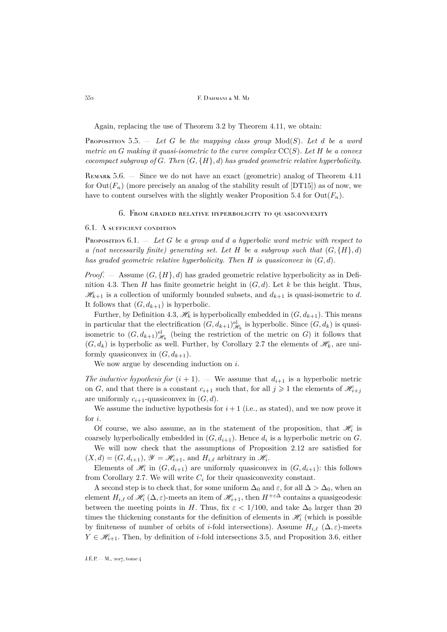Again, replacing the use of Theorem [3.2](#page-22-1) by Theorem [4.11,](#page-31-1) we obtain:

<span id="page-38-2"></span>**Proposition** 5.5.  $-$  *Let* G *be the mapping class group*  $Mod(S)$ *. Let d be a word metric on* G *making it quasi-isometric to the curve complex* CC(S)*. Let* H *be a convex cocompact subgroup of* G*. Then* (G, {H}, d) *has graded geometric relative hyperbolicity.*

REMARK 5.6. — Since we do not have an exact (geometric) analog of Theorem [4.11](#page-31-1) for  $Out(F_n)$  (more precisely an analog of the stability result of [\[DT15\]](#page-41-22)) as of now, we have to content ourselves with the slightly weaker Proposition [5.4](#page-37-1) for  $Out(F_n)$ .

#### 6. From graded relative hyperbolicity to quasiconvexity

#### <span id="page-38-0"></span>6.1. A sufficient condition

<span id="page-38-1"></span>Proposition 6.1. — *Let* G *be a group and* d *a hyperbolic word metric with respect to a (not necessarily finite) generating set. Let*  $H$  *be a subgroup such that*  $(G, \{H\}, d)$ *has graded geometric relative hyperbolicity. Then* H *is quasiconvex in* (G, d)*.*

*Proof.* — Assume  $(G, \{H\}, d)$  has graded geometric relative hyperbolicity as in Defi-nition [4.3.](#page-27-1) Then H has finite geometric height in  $(G, d)$ . Let k be this height. Thus,  $\mathcal{H}_{k+1}$  is a collection of uniformly bounded subsets, and  $d_{k+1}$  is quasi-isometric to d. It follows that  $(G, d_{k+1})$  is hyperbolic.

Further, by Definition [4.3,](#page-27-1)  $\mathcal{H}_k$  is hyperbolically embedded in  $(G, d_{k+1})$ . This means in particular that the electrification  $(G, d_{k+1})^{\text{el}}_{\mathscr{H}_k}$  is hyperbolic. Since  $(G, d_k)$  is quasiisometric to  $(G, d_{k+1})_{\mathscr{H}_k}^{\text{el}}$  (being the restriction of the metric on G) it follows that  $(G, d_k)$  is hyperbolic as well. Further, by Corollary [2.7](#page-7-1) the elements of  $\mathscr{H}_k$ , are uniformly quasiconvex in  $(G, d_{k+1})$ .

We now argue by descending induction on  $i$ .

*The inductive hypothesis for*  $(i + 1)$ . — We assume that  $d_{i+1}$  is a hyperbolic metric on G, and that there is a constant  $c_{i+1}$  such that, for all  $j \geq 1$  the elements of  $\mathcal{H}_{i+j}$ are uniformly  $c_{i+1}$ -quasiconvex in  $(G, d)$ .

We assume the inductive hypothesis for  $i + 1$  (i.e., as stated), and we now prove it for i.

Of course, we also assume, as in the statement of the proposition, that  $\mathcal{H}_i$  is coarsely hyperbolically embedded in  $(G, d_{i+1})$ . Hence  $d_i$  is a hyperbolic metric on  $G$ .

We will now check that the assumptions of Proposition [2.12](#page-9-0) are satisfied for  $(X, d) = (G, d_{i+1}), \mathscr{Y} = \mathscr{H}_{i+1}$ , and  $H_{i,\ell}$  arbitrary in  $\mathscr{H}_i$ .

Elements of  $\mathcal{H}_i$  in  $(G, d_{i+1})$  are uniformly quasiconvex in  $(G, d_{i+1})$ : this follows from Corollary [2.7.](#page-7-1) We will write  $C_i$  for their quasiconvexity constant.

A second step is to check that, for some uniform  $\Delta_0$  and  $\varepsilon$ , for all  $\Delta > \Delta_0$ , when an element  $H_{i,\ell}$  of  $\mathcal{H}_i (\Delta,\varepsilon)$ -meets an item of  $\mathcal{H}_{i+1}$ , then  $H^{+\varepsilon\Delta}$  contains a quasigeodesic between the meeting points in H. Thus, fix  $\varepsilon < 1/100$ , and take  $\Delta_0$  larger than 20 times the thickening constants for the definition of elements in  $\mathcal{H}_i$  (which is possible by finiteness of number of orbits of i-fold intersections). Assume  $H_{i,\ell}(\Delta,\varepsilon)$ -meets  $Y \in \mathcal{H}_{i+1}$ . Then, by definition of *i*-fold intersections [3.5,](#page-23-0) and Proposition [3.6,](#page-23-1) either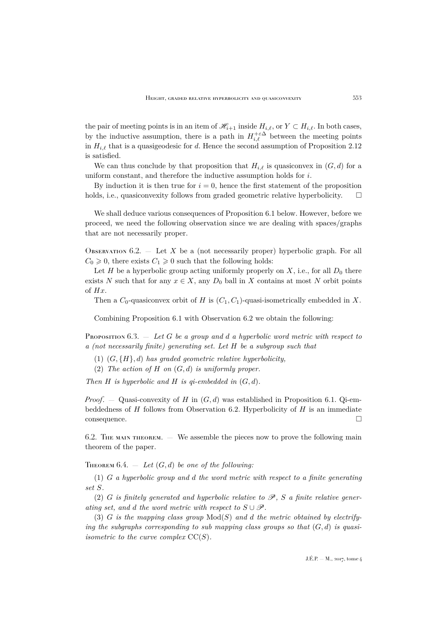the pair of meeting points is in an item of  $\mathscr{H}_{i+1}$  inside  $H_{i,\ell}$ , or  $Y \subset H_{i,\ell}$ . In both cases, by the inductive assumption, there is a path in  $H_{i,\ell}^{+\varepsilon\Delta}$  between the meeting points in  $H_{i,\ell}$  that is a quasigeodesic for d. Hence the second assumption of Proposition [2.12](#page-9-0) is satisfied.

We can thus conclude by that proposition that  $H_{i,\ell}$  is quasiconvex in  $(G, d)$  for a uniform constant, and therefore the inductive assumption holds for i.

By induction it is then true for  $i = 0$ , hence the first statement of the proposition holds, i.e., quasiconvexity follows from graded geometric relative hyperbolicity.  $\square$ 

We shall deduce various consequences of Proposition [6.1](#page-38-1) below. However, before we proceed, we need the following observation since we are dealing with spaces/graphs that are not necessarily proper.

<span id="page-39-1"></span>OBSERVATION  $6.2.$  — Let X be a (not necessarily proper) hyperbolic graph. For all  $C_0 \geq 0$ , there exists  $C_1 \geq 0$  such that the following holds:

Let H be a hyperbolic group acting uniformly properly on  $X$ , i.e., for all  $D_0$  there exists N such that for any  $x \in X$ , any  $D_0$  ball in X contains at most N orbit points of Hx.

Then a  $C_0$ -quasiconvex orbit of H is  $(C_1, C_1)$ -quasi-isometrically embedded in X.

Combining Proposition [6.1](#page-38-1) with Observation [6.2](#page-39-1) we obtain the following:

<span id="page-39-2"></span>Proposition 6.3. — *Let* G *be a group and* d *a hyperbolic word metric with respect to a (not necessarily finite) generating set. Let* H *be a subgroup such that*

- (1) (G, {H}, d) *has graded geometric relative hyperbolicity,*
- (2) *The action of* H *on* (G, d) *is uniformly proper.*

*Then* H *is hyperbolic and* H *is qi-embedded in* (G, d)*.*

*Proof.* — Quasi-convexity of H in  $(G, d)$  was established in Proposition [6.1.](#page-38-1) Qi-embeddedness of  $H$  follows from Observation [6.2.](#page-39-1) Hyperbolicity of  $H$  is an immediate consequence.

6.2. The main theorem.  $-$  We assemble the pieces now to prove the following main theorem of the paper.

<span id="page-39-0"></span>THEOREM  $6.4.$  — Let  $(G, d)$  be one of the following:

(1) G *a hyperbolic group and* d *the word metric with respect to a finite generating set* S*.*

(2) G *is finitely generated and hyperbolic relative to* P*,* S *a finite relative generating set, and d the word metric with respect to*  $S \cup \mathscr{P}$ .

(3) G *is the mapping class group* Mod(S) *and* d *the metric obtained by electrifying the subgraphs corresponding to sub mapping class groups so that*  $(G,d)$  *is quasiisometric to the curve complex*  $CC(S)$ *.*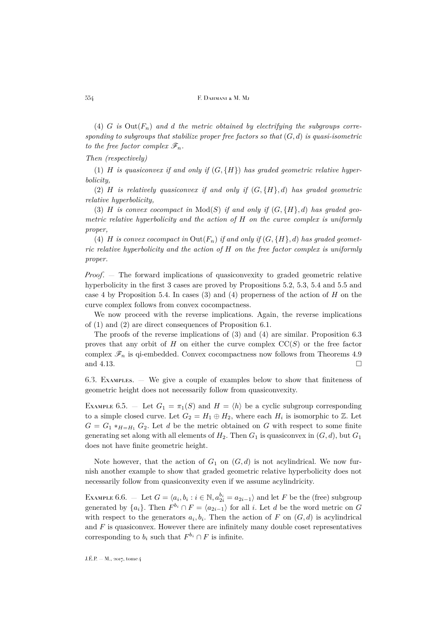(4) G is  $Out(F_n)$  and d the metric obtained by electrifying the subgroups corre*sponding to subgroups that stabilize proper free factors so that* (G, d) *is quasi-isometric to the free factor complex*  $\mathscr{F}_n$ *.* 

#### *Then (respectively)*

(1) H *is quasiconvex if and only if*  $(G, \{H\})$  *has graded geometric relative hyperbolicity,*

(2) H *is relatively quasiconvex if and only if* (G, {H}, d) *has graded geometric relative hyperbolicity,*

(3)  $H$  *is convex cocompact in*  $Mod(S)$  *if and only if*  $(G, {H}, d)$  *has graded geometric relative hyperbolicity and the action of* H *on the curve complex is uniformly proper,*

(4) H is convex cocompact in  $Out(F_n)$  if and only if  $(G, \{H\}, d)$  has graded geomet*ric relative hyperbolicity and the action of* H *on the free factor complex is uniformly proper.*

*Proof*. — The forward implications of quasiconvexity to graded geometric relative hyperbolicity in the first 3 cases are proved by Propositions [5.2,](#page-37-0) [5.3,](#page-37-2) [5.4](#page-37-1) and [5.5](#page-38-2) and case 4 by Proposition [5.4.](#page-37-1) In cases  $(3)$  and  $(4)$  properness of the action of H on the curve complex follows from convex cocompactness.

We now proceed with the reverse implications. Again, the reverse implications of (1) and (2) are direct consequences of Proposition [6.1.](#page-38-1)

The proofs of the reverse implications of (3) and (4) are similar. Proposition [6.3](#page-39-2) proves that any orbit of H on either the curve complex  $\mathrm{CC}(S)$  or the free factor complex  $\mathscr{F}_n$  is qi-embedded. Convex cocompactness now follows from Theorems [4.9](#page-30-2) and [4.13.](#page-32-1)

6.3. Examples. — We give a couple of examples below to show that finiteness of geometric height does not necessarily follow from quasiconvexity.

EXAMPLE 6.5. – Let  $G_1 = \pi_1(S)$  and  $H = \langle h \rangle$  be a cyclic subgroup corresponding to a simple closed curve. Let  $G_2 = H_1 \oplus H_2$ , where each  $H_i$  is isomorphic to  $\mathbb{Z}$ . Let  $G = G_1 *_{H=H_1} G_2$ . Let d be the metric obtained on G with respect to some finite generating set along with all elements of  $H_2$ . Then  $G_1$  is quasiconvex in  $(G, d)$ , but  $G_1$ does not have finite geometric height.

Note however, that the action of  $G_1$  on  $(G, d)$  is not acylindrical. We now furnish another example to show that graded geometric relative hyperbolicity does not necessarily follow from quasiconvexity even if we assume acylindricity.

EXAMPLE 6.6. – Let  $G = \langle a_i, b_i : i \in \mathbb{N}, a_{2i}^{b_i} = a_{2i-1} \rangle$  and let F be the (free) subgroup generated by  $\{a_i\}$ . Then  $F^{b_i} \cap F = \langle a_{2i-1} \rangle$  for all i. Let d be the word metric on G with respect to the generators  $a_i, b_i$ . Then the action of F on  $(G, d)$  is acylindrical and  $F$  is quasiconvex. However there are infinitely many double coset representatives corresponding to  $b_i$  such that  $F^{b_i} \cap F$  is infinite.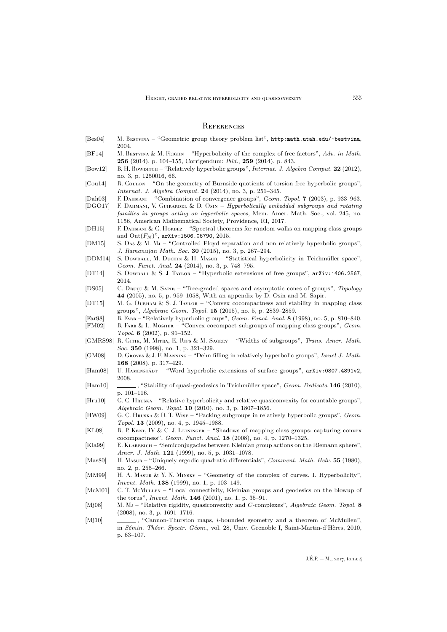#### <span id="page-41-0"></span>**REFERENCES**

- <span id="page-41-4"></span>[Bes04] M. Bestvina – "Geometric group theory problem list", <http:math.utah.edu/~bestvina>, 2004.
- <span id="page-41-25"></span>[BF14] M. Bestvina & M. Feighn – "Hyperbolicity of the complex of free factors", *Adv. in Math.* **256** (2014), p. 104–155, Corrigendum: *Ibid.*, **259** (2014), p. 843.
- <span id="page-41-6"></span>[Bow12] B. H. Bowpirch – "Relatively hyperbolic groups", *Internat. J. Algebra Comput.* 22 (2012), no. 3, p. 1250016, 66.
- <span id="page-41-14"></span>[Cou14] R. Coulon – "On the geometry of Burnside quotients of torsion free hyperbolic groups", *Internat. J. Algebra Comput.* **24** (2014), no. 3, p. 251–345.
- <span id="page-41-2"></span>[Dah03] F. Dahmani – "Combination of convergence groups", *Geom. Topol.* **7** (2003), p. 933–963.
- <span id="page-41-9"></span>[DGO17] F. Dahmani, V. Guirardel & D. Osin – *Hyperbolically embedded subgroups and rotating families in groups acting on hyperbolic spaces*, Mem. Amer. Math. Soc., vol. 245, no. 1156, American Mathematical Society, Providence, RI, 2017.
- <span id="page-41-27"></span>[DH15] F. DAHMANI & C. HORBEZ – "Spectral theorems for random walks on mapping class groups and  $Out(F_N)$ ", [arXiv:1506.06790](http://arxiv.org/abs/1506.06790), 2015.
- <span id="page-41-5"></span>[DM15] S. Das & M. Mj – "Controlled Floyd separation and non relatively hyperbolic groups", *J. Ramanujan Math. Soc.* **30** (2015), no. 3, p. 267–294.
- <span id="page-41-26"></span>[DDM14] S. Dowdall, M. Duchin & H. Masur – "Statistical hyperbolicity in Teichmüller space", *Geom. Funct. Anal.* **24** (2014), no. 3, p. 748–795.
- <span id="page-41-23"></span>[DT14] S. Dowdall & S. J. Taylor – "Hyperbolic extensions of free groups", [arXiv:1406.2567](http://arxiv.org/abs/1406.2567), 2014.
- <span id="page-41-15"></span>[DS05] C. DRUȚU & M. SAPIR – "Tree-graded spaces and asymptotic cones of groups", *Topology* **44** (2005), no. 5, p. 959–1058, With an appendix by D. Osin and M. Sapir.
- <span id="page-41-22"></span>[DT15] M. G. DURHAM & S. J. TAYLOR – "Convex cocompactness and stability in mapping class groups", *Algebraic Geom. Topol.* **15** (2015), no. 5, p. 2839–2859.
- <span id="page-41-10"></span>[Far98] B. Farb – "Relatively hyperbolic groups", *Geom. Funct. Anal.* **8** (1998), no. 5, p. 810–840.
- <span id="page-41-17"></span>[FM02] B. Farb & L. Mosher – "Convex cocompact subgroups of mapping class groups", *Geom. Topol.* **6** (2002), p. 91–152.
- <span id="page-41-1"></span>[GMRS98] R. Gitik, M. Mitra, E. Rips & M. Sageev – "Widths of subgroups", *Trans. Amer. Math. Soc.* **350** (1998), no. 1, p. 321–329.
- <span id="page-41-11"></span>[GM08] D. Groves & J. F. Manning – "Dehn filling in relatively hyperbolic groups", *Israel J. Math.* **168** (2008), p. 317–429.
- <span id="page-41-19"></span>[Ham08] U. HAMENSTÄDT – "Word hyperbolic extensions of surface groups", [arXiv:0807.4891v2](http://arxiv.org/abs/0807.4891v2), 2008.
- <span id="page-41-21"></span>[Ham10] , "Stability of quasi-geodesics in Teichmüller space", *Geom. Dedicata* **146** (2010), p. 101–116.
- <span id="page-41-16"></span>[Hru10] G. C. Hruska – "Relative hyperbolicity and relative quasiconvexity for countable groups", *Algebraic Geom. Topol.* **10** (2010), no. 3, p. 1807–1856.
- <span id="page-41-3"></span>[HW09] G. C. Hruska & D. T. Wise – "Packing subgroups in relatively hyperbolic groups", *Geom. Topol.* **13** (2009), no. 4, p. 1945–1988.
- <span id="page-41-18"></span>[KL08] R. P. KENT, IV & C. J. LEININGER – "Shadows of mapping class groups: capturing convex cocompactness", *Geom. Funct. Anal.* **18** (2008), no. 4, p. 1270–1325.
- <span id="page-41-12"></span>[Kla99] E. KLARREICH – "Semiconjugacies between Kleinian group actions on the Riemann sphere", *Amer. J. Math.* **121** (1999), no. 5, p. 1031–1078.
- <span id="page-41-20"></span>[Mas80] H. Masur – "Uniquely ergodic quadratic differentials", *Comment. Math. Helv.* **55** (1980), no. 2, p. 255–266.
- <span id="page-41-24"></span>[MM99] H. A. MASUR & Y. N. MINSKY – "Geometry of the complex of curves. I. Hyperbolicity", *Invent. Math.* **138** (1999), no. 1, p. 103–149.
- <span id="page-41-13"></span>[McM01] C. T. McMuLLEN – "Local connectivity, Kleinian groups and geodesics on the blowup of the torus", *Invent. Math.* **146** (2001), no. 1, p. 35–91.
- <span id="page-41-7"></span>[Mj08] M. Mj – "Relative rigidity, quasiconvexity and C-complexes", *Algebraic Geom. Topol.* **8** (2008), no. 3, p. 1691–1716.
- <span id="page-41-8"></span>[Mj10]  $\qquad \qquad$ , "Cannon-Thurston maps, *i*-bounded geometry and a theorem of McMullen", in *Sémin. Théor. Spectr. Géom.*, vol. 28, Univ. Grenoble I, Saint-Martin-d'Hères, 2010, p. 63–107.